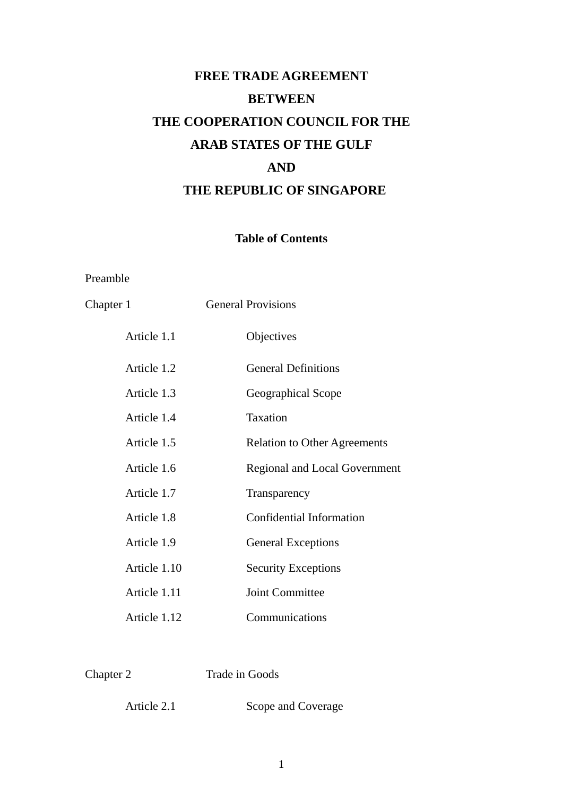# **FREE TRADE AGREEMENT BETWEEN THE COOPERATION COUNCIL FOR THE ARAB STATES OF THE GULF AND THE REPUBLIC OF SINGAPORE**

# **Table of Contents**

### Preamble

| Chapter 1   |              | <b>General Provisions</b>            |
|-------------|--------------|--------------------------------------|
| Article 1.1 |              | Objectives                           |
| Article 1.2 |              | <b>General Definitions</b>           |
| Article 1.3 |              | Geographical Scope                   |
| Article 1.4 |              | Taxation                             |
| Article 1.5 |              | <b>Relation to Other Agreements</b>  |
| Article 1.6 |              | <b>Regional and Local Government</b> |
| Article 1.7 |              | Transparency                         |
| Article 1.8 |              | Confidential Information             |
| Article 1.9 |              | <b>General Exceptions</b>            |
|             | Article 1.10 | <b>Security Exceptions</b>           |
|             | Article 1.11 | Joint Committee                      |
|             | Article 1.12 | Communications                       |

Chapter 2 Trade in Goods

Article 2.1 Scope and Coverage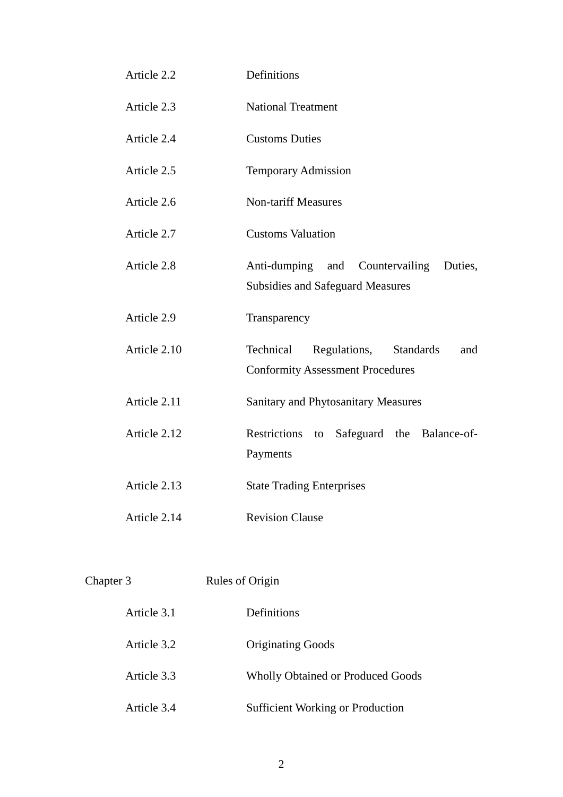| Article 2.2  | Definitions                                                                                     |
|--------------|-------------------------------------------------------------------------------------------------|
| Article 2.3  | <b>National Treatment</b>                                                                       |
| Article 2.4  | <b>Customs Duties</b>                                                                           |
| Article 2.5  | <b>Temporary Admission</b>                                                                      |
| Article 2.6  | <b>Non-tariff Measures</b>                                                                      |
| Article 2.7  | <b>Customs Valuation</b>                                                                        |
| Article 2.8  | Anti-dumping and Countervailing<br>Duties,<br><b>Subsidies and Safeguard Measures</b>           |
| Article 2.9  | Transparency                                                                                    |
| Article 2.10 | Technical<br>Regulations,<br><b>Standards</b><br>and<br><b>Conformity Assessment Procedures</b> |
| Article 2.11 | Sanitary and Phytosanitary Measures                                                             |
| Article 2.12 | Restrictions<br>Safeguard the Balance-of-<br>to<br>Payments                                     |
| Article 2.13 | <b>State Trading Enterprises</b>                                                                |
| Article 2.14 | <b>Revision Clause</b>                                                                          |

| Chapter 3   | Rules of Origin                          |
|-------------|------------------------------------------|
| Article 3.1 | Definitions                              |
| Article 3.2 | <b>Originating Goods</b>                 |
| Article 3.3 | <b>Wholly Obtained or Produced Goods</b> |
| Article 3.4 | <b>Sufficient Working or Production</b>  |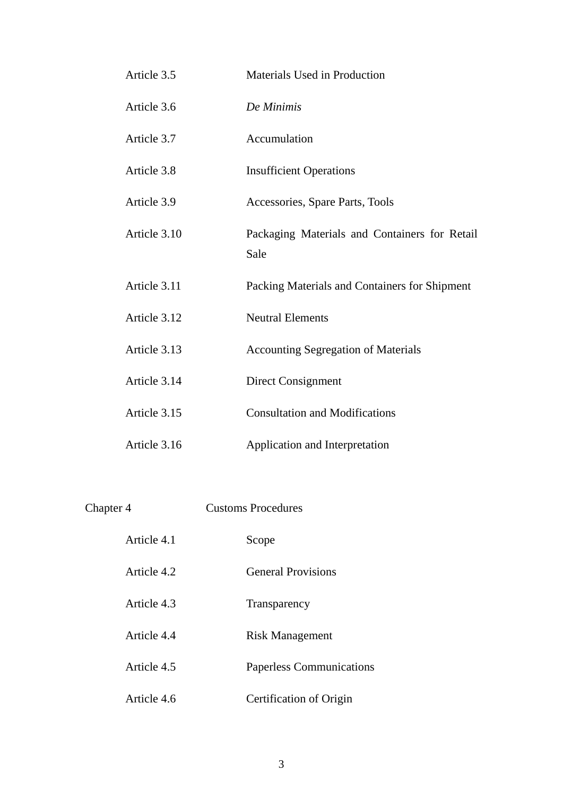| Article 3.5  | Materials Used in Production                          |
|--------------|-------------------------------------------------------|
| Article 3.6  | De Minimis                                            |
| Article 3.7  | Accumulation                                          |
| Article 3.8  | <b>Insufficient Operations</b>                        |
| Article 3.9  | Accessories, Spare Parts, Tools                       |
| Article 3.10 | Packaging Materials and Containers for Retail<br>Sale |
| Article 3.11 | Packing Materials and Containers for Shipment         |
| Article 3.12 | <b>Neutral Elements</b>                               |
| Article 3.13 | <b>Accounting Segregation of Materials</b>            |
| Article 3.14 | Direct Consignment                                    |
| Article 3.15 | <b>Consultation and Modifications</b>                 |
| Article 3.16 | Application and Interpretation                        |

| Chapter 4   | <b>Customs Procedures</b>       |
|-------------|---------------------------------|
| Article 4.1 | Scope                           |
| Article 4.2 | <b>General Provisions</b>       |
| Article 4.3 | Transparency                    |
| Article 4.4 | <b>Risk Management</b>          |
| Article 4.5 | <b>Paperless Communications</b> |
| Article 4.6 | Certification of Origin         |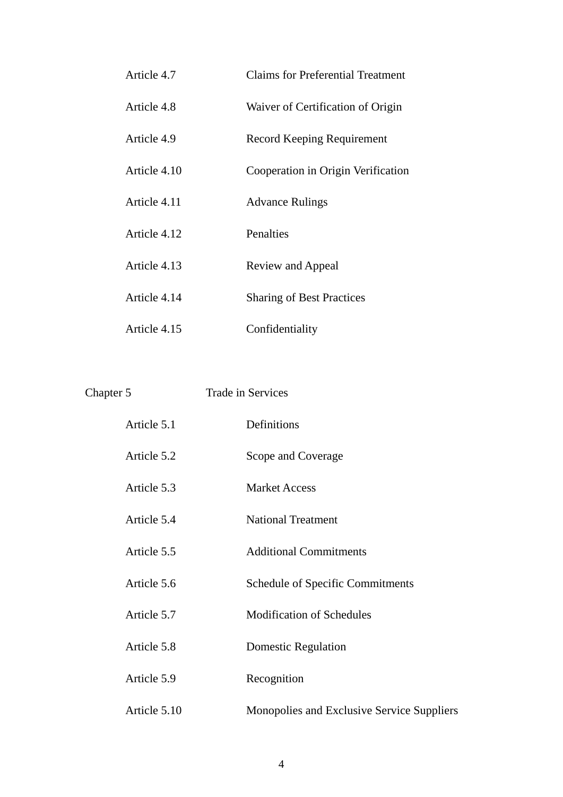| Article 4.7  | <b>Claims for Preferential Treatment</b> |
|--------------|------------------------------------------|
| Article 4.8  | Waiver of Certification of Origin        |
| Article 4.9  | Record Keeping Requirement               |
| Article 4.10 | Cooperation in Origin Verification       |
| Article 4.11 | <b>Advance Rulings</b>                   |
| Article 4.12 | Penalties                                |
| Article 4.13 | Review and Appeal                        |
| Article 4.14 | <b>Sharing of Best Practices</b>         |
| Article 4.15 | Confidentiality                          |

| Chapter 5    | Trade in Services                          |
|--------------|--------------------------------------------|
| Article 5.1  | Definitions                                |
| Article 5.2  | Scope and Coverage                         |
| Article 5.3  | <b>Market Access</b>                       |
| Article 5.4  | <b>National Treatment</b>                  |
| Article 5.5  | <b>Additional Commitments</b>              |
| Article 5.6  | <b>Schedule of Specific Commitments</b>    |
| Article 5.7  | <b>Modification of Schedules</b>           |
| Article 5.8  | <b>Domestic Regulation</b>                 |
| Article 5.9  | Recognition                                |
| Article 5.10 | Monopolies and Exclusive Service Suppliers |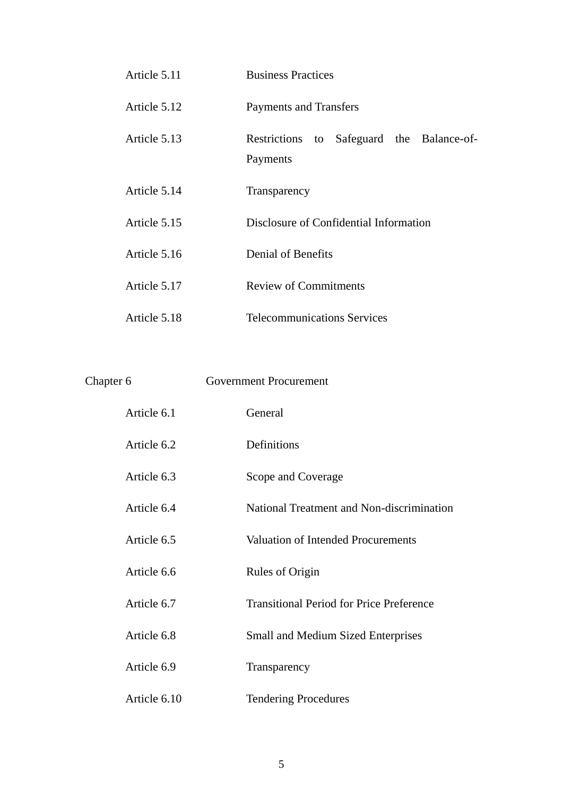| Article 5.11 | <b>Business Practices</b>                                |
|--------------|----------------------------------------------------------|
| Article 5.12 | Payments and Transfers                                   |
| Article 5.13 | Safeguard the Balance-of-<br>Restrictions to<br>Payments |
| Article 5.14 | Transparency                                             |
| Article 5.15 | Disclosure of Confidential Information                   |
| Article 5.16 | Denial of Benefits                                       |
| Article 5.17 | <b>Review of Commitments</b>                             |
| Article 5.18 | <b>Telecommunications Services</b>                       |

| Chapter 6    | <b>Government Procurement</b>                   |
|--------------|-------------------------------------------------|
| Article 6.1  | General                                         |
| Article 6.2  | Definitions                                     |
| Article 6.3  | Scope and Coverage                              |
| Article 6.4  | National Treatment and Non-discrimination       |
| Article 6.5  | <b>Valuation of Intended Procurements</b>       |
| Article 6.6  | Rules of Origin                                 |
| Article 6.7  | <b>Transitional Period for Price Preference</b> |
| Article 6.8  | Small and Medium Sized Enterprises              |
| Article 6.9  | Transparency                                    |
| Article 6.10 | <b>Tendering Procedures</b>                     |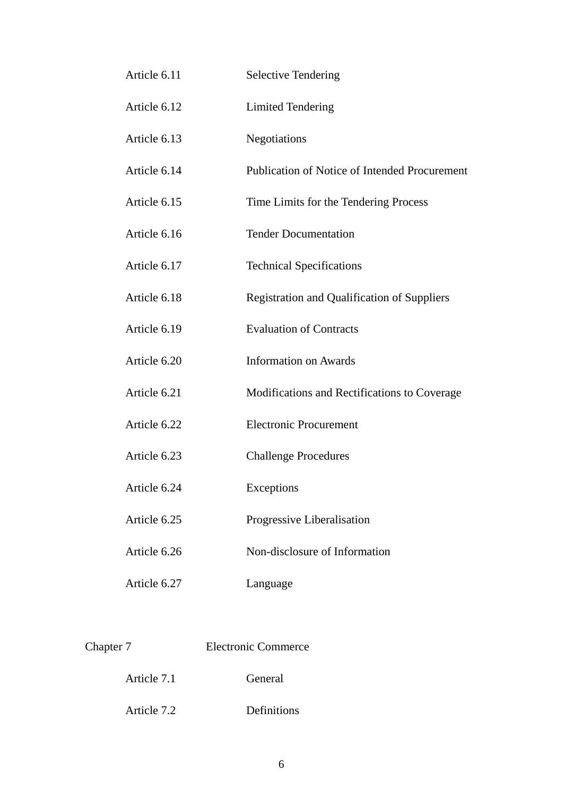| Article 6.11 | <b>Selective Tendering</b>                         |
|--------------|----------------------------------------------------|
| Article 6.12 | Limited Tendering                                  |
| Article 6.13 | Negotiations                                       |
| Article 6.14 | Publication of Notice of Intended Procurement      |
| Article 6.15 | Time Limits for the Tendering Process              |
| Article 6.16 | <b>Tender Documentation</b>                        |
| Article 6.17 | <b>Technical Specifications</b>                    |
| Article 6.18 | <b>Registration and Qualification of Suppliers</b> |
| Article 6.19 | <b>Evaluation of Contracts</b>                     |
| Article 6.20 | <b>Information on Awards</b>                       |
| Article 6.21 | Modifications and Rectifications to Coverage       |
| Article 6.22 | <b>Electronic Procurement</b>                      |
| Article 6.23 | <b>Challenge Procedures</b>                        |
| Article 6.24 | Exceptions                                         |
| Article 6.25 | Progressive Liberalisation                         |
| Article 6.26 | Non-disclosure of Information                      |
| Article 6.27 | Language                                           |
|              |                                                    |

Article 7.1 General

Article 7.2 Definitions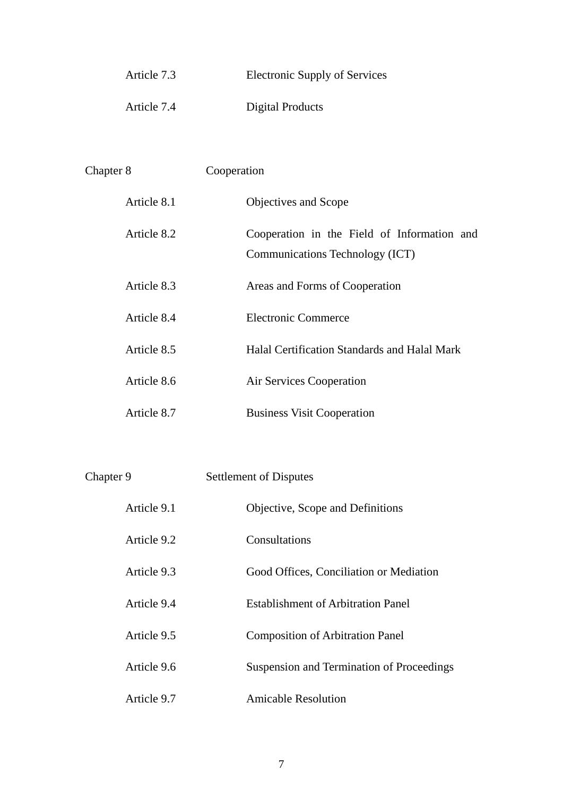| Article 7.3 | <b>Electronic Supply of Services</b> |
|-------------|--------------------------------------|
| Article 7.4 | Digital Products                     |

| Chapter 8   | Cooperation                                                                    |
|-------------|--------------------------------------------------------------------------------|
| Article 8.1 | Objectives and Scope                                                           |
| Article 8.2 | Cooperation in the Field of Information and<br>Communications Technology (ICT) |
| Article 8.3 | Areas and Forms of Cooperation                                                 |
| Article 8.4 | <b>Electronic Commerce</b>                                                     |
| Article 8.5 | Halal Certification Standards and Halal Mark                                   |
| Article 8.6 | Air Services Cooperation                                                       |
| Article 8.7 | <b>Business Visit Cooperation</b>                                              |

| Chapter 9   | <b>Settlement of Disputes</b>             |
|-------------|-------------------------------------------|
| Article 9.1 | Objective, Scope and Definitions          |
| Article 9.2 | Consultations                             |
| Article 9.3 | Good Offices, Conciliation or Mediation   |
| Article 9.4 | <b>Establishment of Arbitration Panel</b> |
| Article 9.5 | <b>Composition of Arbitration Panel</b>   |
| Article 9.6 | Suspension and Termination of Proceedings |
| Article 9.7 | <b>Amicable Resolution</b>                |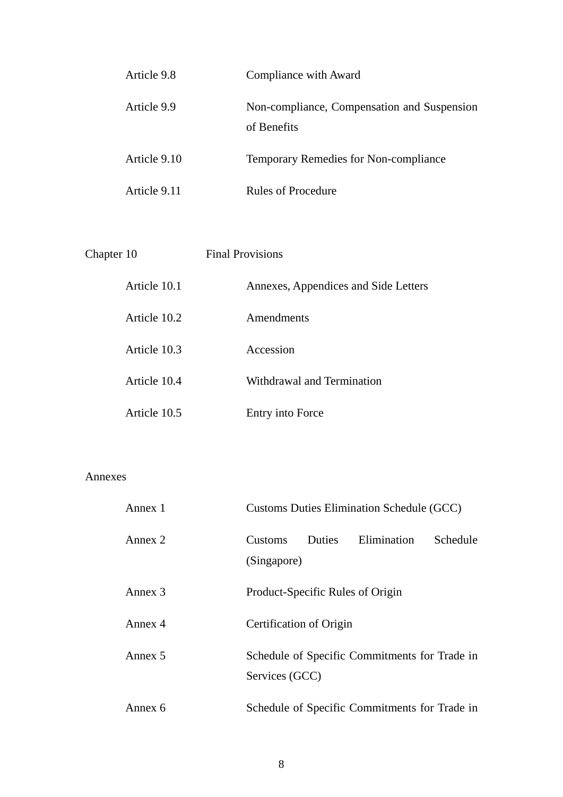| Article 9.8  | Compliance with Award                                      |
|--------------|------------------------------------------------------------|
| Article 9.9  | Non-compliance, Compensation and Suspension<br>of Benefits |
| Article 9.10 | Temporary Remedies for Non-compliance                      |
| Article 9.11 | <b>Rules of Procedure</b>                                  |

# Chapter 10 Final Provisions

| Article 10.1 | Annexes, Appendices and Side Letters |
|--------------|--------------------------------------|
| Article 10.2 | Amendments                           |
| Article 10.3 | Accession                            |
| Article 10.4 | Withdrawal and Termination           |
| Article 10.5 | Entry into Force                     |

# Annexes

| Annex 1 |                                  |        | <b>Customs Duties Elimination Schedule (GCC)</b> |          |
|---------|----------------------------------|--------|--------------------------------------------------|----------|
| Annex 2 | Customs<br>(Singapore)           | Duties | Elimination                                      | Schedule |
| Annex 3 | Product-Specific Rules of Origin |        |                                                  |          |
| Annex 4 | Certification of Origin          |        |                                                  |          |
| Annex 5 | Services (GCC)                   |        | Schedule of Specific Commitments for Trade in    |          |
| Annex 6 |                                  |        | Schedule of Specific Commitments for Trade in    |          |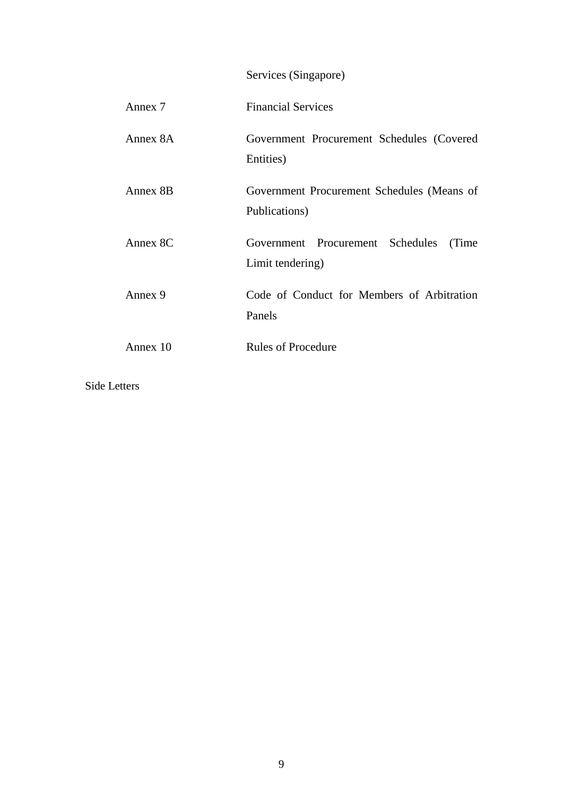|          | Services (Singapore)                                           |
|----------|----------------------------------------------------------------|
| Annex 7  | <b>Financial Services</b>                                      |
| Annex 8A | Government Procurement Schedules (Covered<br>Entities)         |
| Annex 8B | Government Procurement Schedules (Means of<br>Publications)    |
| Annex 8C | Government Procurement Schedules<br>(Time)<br>Limit tendering) |
| Annex 9  | Code of Conduct for Members of Arbitration<br>Panels           |
| Annex 10 | <b>Rules of Procedure</b>                                      |

Side Letters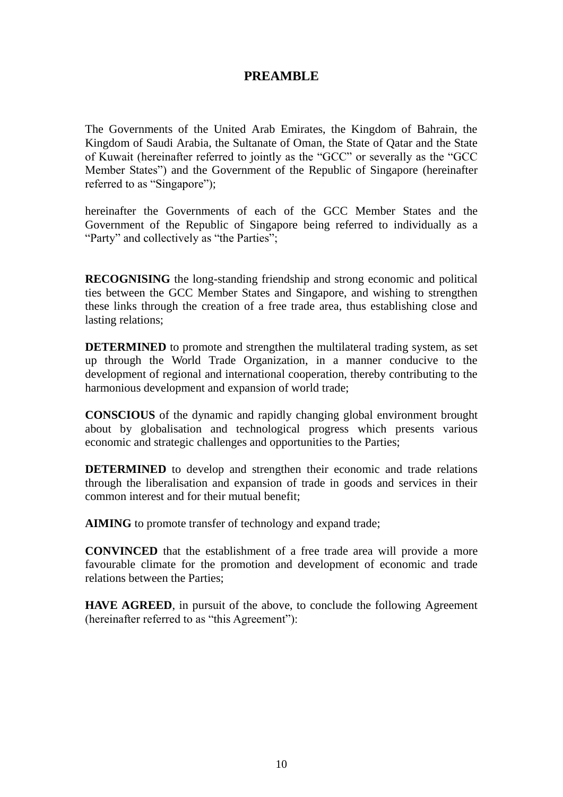# **PREAMBLE**

The Governments of the United Arab Emirates, the Kingdom of Bahrain, the Kingdom of Saudi Arabia, the Sultanate of Oman, the State of Qatar and the State of Kuwait (hereinafter referred to jointly as the "GCC" or severally as the "GCC Member States") and the Government of the Republic of Singapore (hereinafter referred to as "Singapore");

hereinafter the Governments of each of the GCC Member States and the Government of the Republic of Singapore being referred to individually as a "Party" and collectively as "the Parties";

**RECOGNISING** the long-standing friendship and strong economic and political ties between the GCC Member States and Singapore, and wishing to strengthen these links through the creation of a free trade area, thus establishing close and lasting relations;

**DETERMINED** to promote and strengthen the multilateral trading system, as set up through the World Trade Organization, in a manner conducive to the development of regional and international cooperation, thereby contributing to the harmonious development and expansion of world trade;

**CONSCIOUS** of the dynamic and rapidly changing global environment brought about by globalisation and technological progress which presents various economic and strategic challenges and opportunities to the Parties;

**DETERMINED** to develop and strengthen their economic and trade relations through the liberalisation and expansion of trade in goods and services in their common interest and for their mutual benefit;

**AIMING** to promote transfer of technology and expand trade;

**CONVINCED** that the establishment of a free trade area will provide a more favourable climate for the promotion and development of economic and trade relations between the Parties;

**HAVE AGREED**, in pursuit of the above, to conclude the following Agreement (hereinafter referred to as "this Agreement"):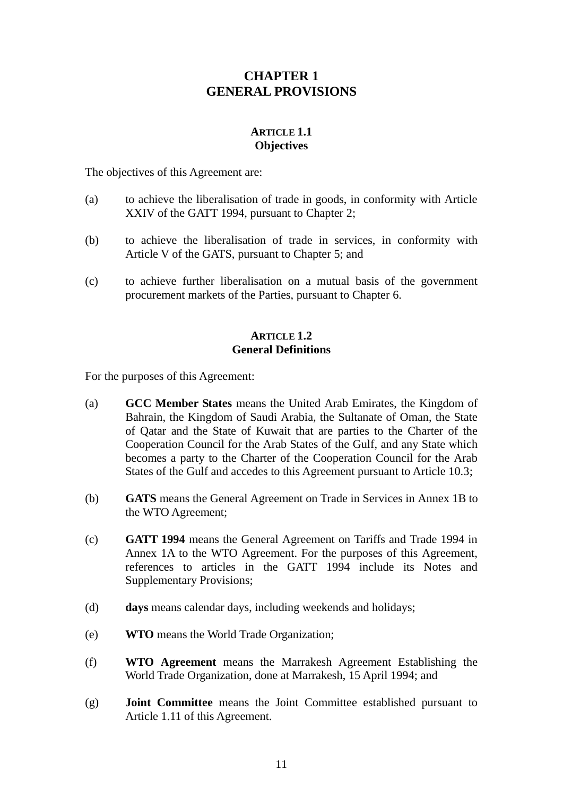# **CHAPTER 1 GENERAL PROVISIONS**

# **ARTICLE 1.1 Objectives**

The objectives of this Agreement are:

- (a) to achieve the liberalisation of trade in goods, in conformity with Article XXIV of the GATT 1994, pursuant to Chapter 2;
- (b) to achieve the liberalisation of trade in services, in conformity with Article V of the GATS, pursuant to Chapter 5; and
- (c) to achieve further liberalisation on a mutual basis of the government procurement markets of the Parties, pursuant to Chapter 6.

# **ARTICLE 1.2 General Definitions**

For the purposes of this Agreement:

- (a) **GCC Member States** means the United Arab Emirates, the Kingdom of Bahrain, the Kingdom of Saudi Arabia, the Sultanate of Oman, the State of Qatar and the State of Kuwait that are parties to the Charter of the Cooperation Council for the Arab States of the Gulf, and any State which becomes a party to the Charter of the Cooperation Council for the Arab States of the Gulf and accedes to this Agreement pursuant to Article 10.3;
- (b) **GATS** means the General Agreement on Trade in Services in Annex 1B to the WTO Agreement;
- (c) **GATT 1994** means the General Agreement on Tariffs and Trade 1994 in Annex 1A to the WTO Agreement. For the purposes of this Agreement, references to articles in the GATT 1994 include its Notes and Supplementary Provisions;
- (d) **days** means calendar days, including weekends and holidays;
- (e) **WTO** means the World Trade Organization;
- (f) **WTO Agreement** means the Marrakesh Agreement Establishing the World Trade Organization, done at Marrakesh, 15 April 1994; and
- (g) **Joint Committee** means the Joint Committee established pursuant to Article 1.11 of this Agreement.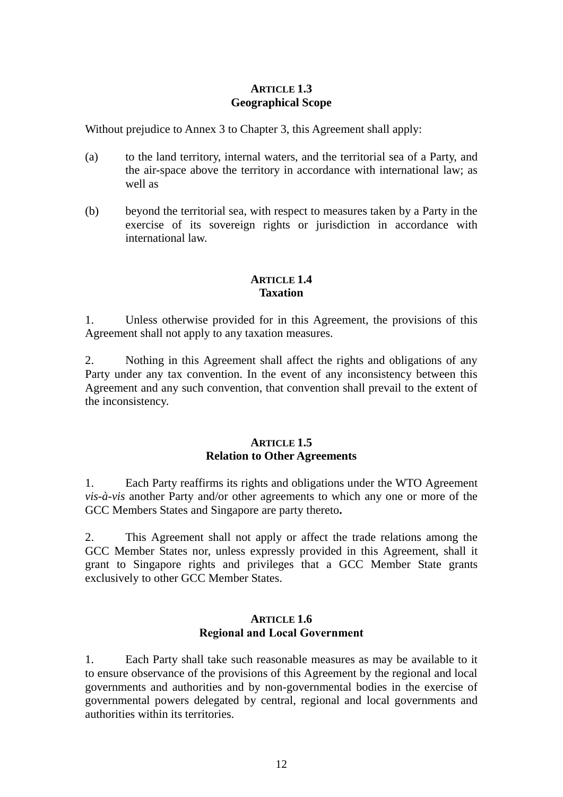# **ARTICLE 1.3 Geographical Scope**

Without prejudice to Annex 3 to Chapter 3, this Agreement shall apply:

- (a) to the land territory, internal waters, and the territorial sea of a Party, and the air-space above the territory in accordance with international law; as well as
- (b) beyond the territorial sea, with respect to measures taken by a Party in the exercise of its sovereign rights or jurisdiction in accordance with international law.

# **ARTICLE 1.4 Taxation**

1. Unless otherwise provided for in this Agreement, the provisions of this Agreement shall not apply to any taxation measures.

2. Nothing in this Agreement shall affect the rights and obligations of any Party under any tax convention. In the event of any inconsistency between this Agreement and any such convention, that convention shall prevail to the extent of the inconsistency.

### **ARTICLE 1.5 Relation to Other Agreements**

1. Each Party reaffirms its rights and obligations under the WTO Agreement *vis-à-vis* another Party and/or other agreements to which any one or more of the GCC Members States and Singapore are party thereto**.**

2. This Agreement shall not apply or affect the trade relations among the GCC Member States nor, unless expressly provided in this Agreement, shall it grant to Singapore rights and privileges that a GCC Member State grants exclusively to other GCC Member States.

#### **ARTICLE 1.6 Regional and Local Government**

1. Each Party shall take such reasonable measures as may be available to it to ensure observance of the provisions of this Agreement by the regional and local governments and authorities and by non-governmental bodies in the exercise of governmental powers delegated by central, regional and local governments and authorities within its territories.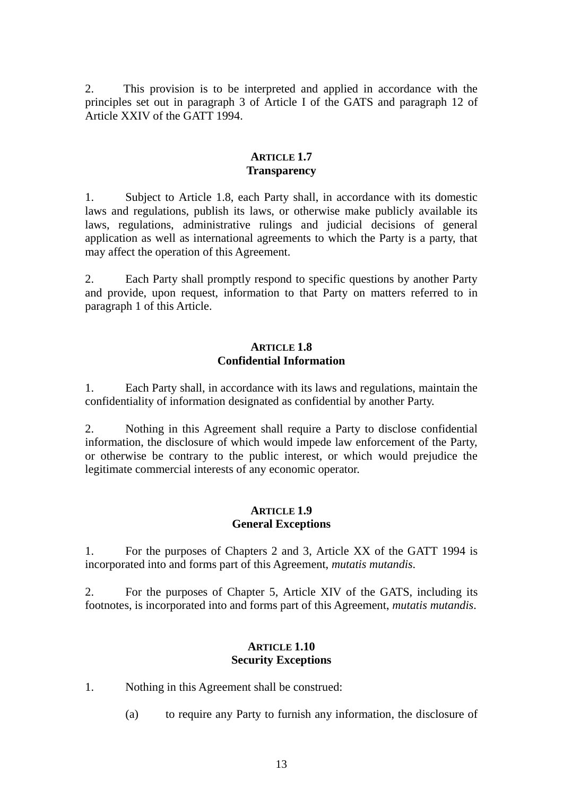2. This provision is to be interpreted and applied in accordance with the principles set out in paragraph 3 of Article I of the GATS and paragraph 12 of Article XXIV of the GATT 1994.

#### **ARTICLE 1.7 Transparency**

1. Subject to Article 1.8, each Party shall, in accordance with its domestic laws and regulations, publish its laws, or otherwise make publicly available its laws, regulations, administrative rulings and judicial decisions of general application as well as international agreements to which the Party is a party, that may affect the operation of this Agreement.

2. Each Party shall promptly respond to specific questions by another Party and provide, upon request, information to that Party on matters referred to in paragraph 1 of this Article.

### **ARTICLE 1.8 Confidential Information**

1. Each Party shall, in accordance with its laws and regulations, maintain the confidentiality of information designated as confidential by another Party.

2. Nothing in this Agreement shall require a Party to disclose confidential information, the disclosure of which would impede law enforcement of the Party, or otherwise be contrary to the public interest, or which would prejudice the legitimate commercial interests of any economic operator.

#### **ARTICLE 1.9 General Exceptions**

1. For the purposes of Chapters 2 and 3, Article XX of the GATT 1994 is incorporated into and forms part of this Agreement, *mutatis mutandis*.

2. For the purposes of Chapter 5, Article XIV of the GATS, including its footnotes, is incorporated into and forms part of this Agreement, *mutatis mutandis*.

#### **ARTICLE 1.10 Security Exceptions**

1. Nothing in this Agreement shall be construed:

(a) to require any Party to furnish any information, the disclosure of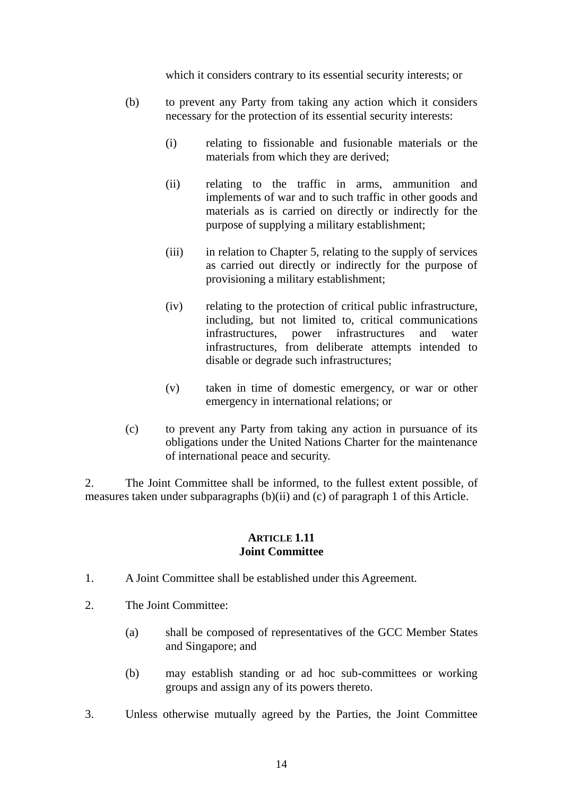which it considers contrary to its essential security interests; or

- (b) to prevent any Party from taking any action which it considers necessary for the protection of its essential security interests:
	- (i) relating to fissionable and fusionable materials or the materials from which they are derived;
	- (ii) relating to the traffic in arms, ammunition and implements of war and to such traffic in other goods and materials as is carried on directly or indirectly for the purpose of supplying a military establishment;
	- (iii) in relation to Chapter 5, relating to the supply of services as carried out directly or indirectly for the purpose of provisioning a military establishment;
	- (iv) relating to the protection of critical public infrastructure, including, but not limited to, critical communications infrastructures, power infrastructures and water infrastructures, from deliberate attempts intended to disable or degrade such infrastructures;
	- (v) taken in time of domestic emergency, or war or other emergency in international relations; or
- (c) to prevent any Party from taking any action in pursuance of its obligations under the United Nations Charter for the maintenance of international peace and security.

2. The Joint Committee shall be informed, to the fullest extent possible, of measures taken under subparagraphs (b)(ii) and (c) of paragraph 1 of this Article.

#### **ARTICLE 1.11 Joint Committee**

- 1. A Joint Committee shall be established under this Agreement.
- 2. The Joint Committee:
	- (a) shall be composed of representatives of the GCC Member States and Singapore; and
	- (b) may establish standing or ad hoc sub-committees or working groups and assign any of its powers thereto.
- 3. Unless otherwise mutually agreed by the Parties, the Joint Committee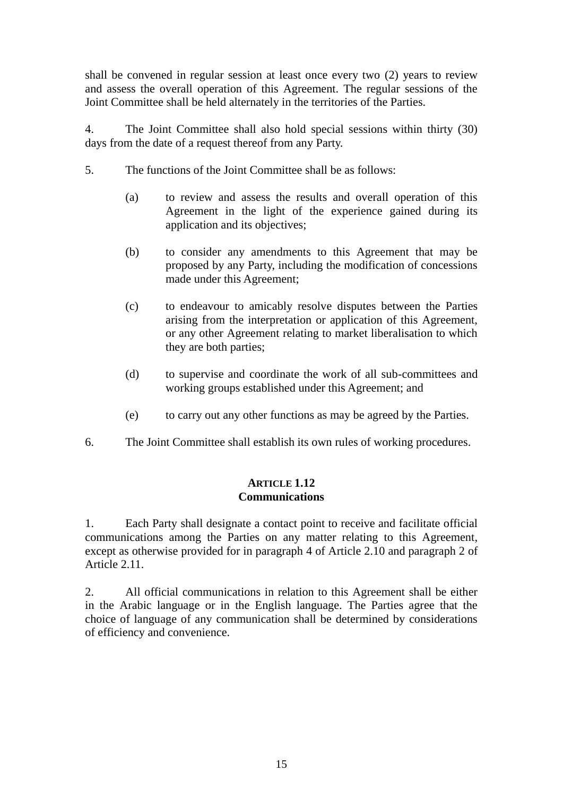shall be convened in regular session at least once every two (2) years to review and assess the overall operation of this Agreement. The regular sessions of the Joint Committee shall be held alternately in the territories of the Parties.

4. The Joint Committee shall also hold special sessions within thirty (30) days from the date of a request thereof from any Party.

- 5. The functions of the Joint Committee shall be as follows:
	- (a) to review and assess the results and overall operation of this Agreement in the light of the experience gained during its application and its objectives;
	- (b) to consider any amendments to this Agreement that may be proposed by any Party, including the modification of concessions made under this Agreement;
	- (c) to endeavour to amicably resolve disputes between the Parties arising from the interpretation or application of this Agreement, or any other Agreement relating to market liberalisation to which they are both parties;
	- (d) to supervise and coordinate the work of all sub-committees and working groups established under this Agreement; and
	- (e) to carry out any other functions as may be agreed by the Parties.
- 6. The Joint Committee shall establish its own rules of working procedures.

# **ARTICLE 1.12 Communications**

1. Each Party shall designate a contact point to receive and facilitate official communications among the Parties on any matter relating to this Agreement, except as otherwise provided for in paragraph 4 of Article 2.10 and paragraph 2 of Article 2.11.

2. All official communications in relation to this Agreement shall be either in the Arabic language or in the English language. The Parties agree that the choice of language of any communication shall be determined by considerations of efficiency and convenience.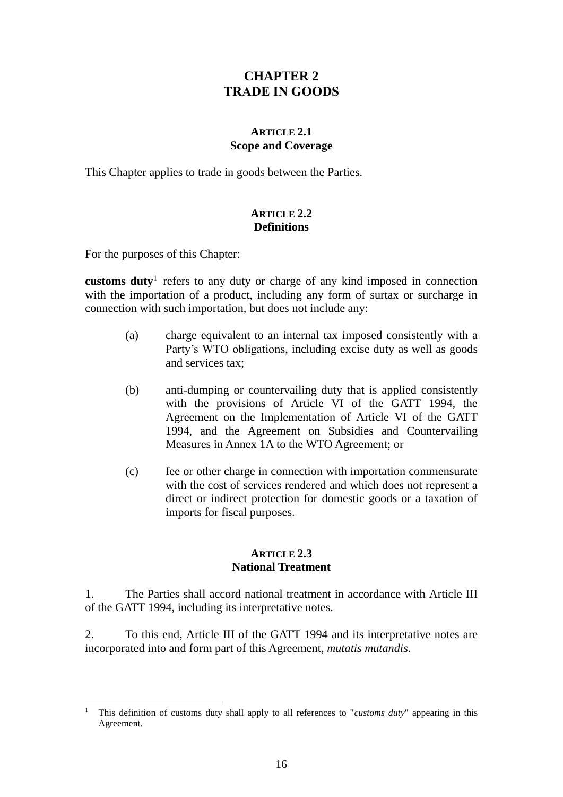# **CHAPTER 2 TRADE IN GOODS**

# **ARTICLE 2.1 Scope and Coverage**

This Chapter applies to trade in goods between the Parties.

# **ARTICLE 2.2 Definitions**

For the purposes of this Chapter:

customs duty<sup>1</sup> refers to any duty or charge of any kind imposed in connection with the importation of a product, including any form of surtax or surcharge in connection with such importation, but does not include any:

- (a) charge equivalent to an internal tax imposed consistently with a Party's WTO obligations, including excise duty as well as goods and services tax;
- (b) anti-dumping or countervailing duty that is applied consistently with the provisions of Article VI of the GATT 1994, the Agreement on the Implementation of Article VI of the GATT 1994, and the Agreement on Subsidies and Countervailing Measures in Annex 1A to the WTO Agreement; or
- (c) fee or other charge in connection with importation commensurate with the cost of services rendered and which does not represent a direct or indirect protection for domestic goods or a taxation of imports for fiscal purposes.

# **ARTICLE 2.3 National Treatment**

1. The Parties shall accord national treatment in accordance with Article III of the GATT 1994, including its interpretative notes.

2. To this end, Article III of the GATT 1994 and its interpretative notes are incorporated into and form part of this Agreement, *mutatis mutandis*.

<sup>1</sup> <sup>1</sup> This definition of customs duty shall apply to all references to "*customs duty*" appearing in this Agreement.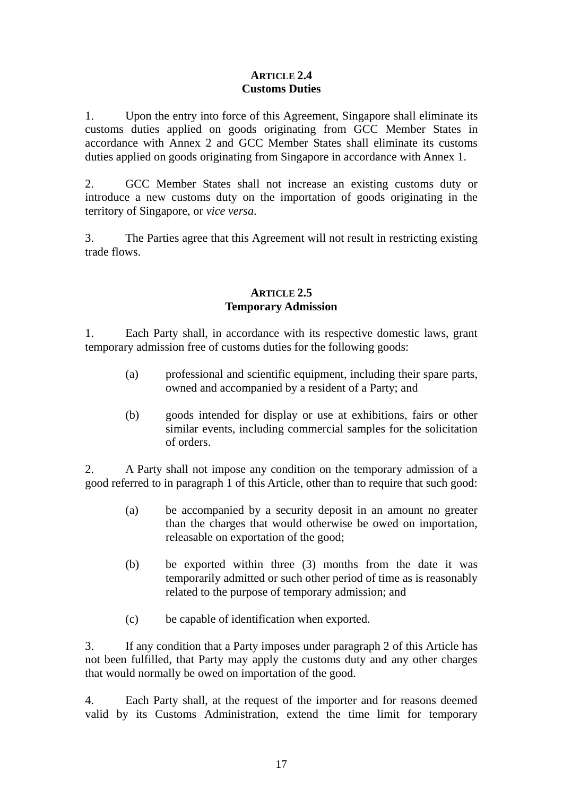# **ARTICLE 2.4 Customs Duties**

1. Upon the entry into force of this Agreement, Singapore shall eliminate its customs duties applied on goods originating from GCC Member States in accordance with Annex 2 and GCC Member States shall eliminate its customs duties applied on goods originating from Singapore in accordance with Annex 1.

2. GCC Member States shall not increase an existing customs duty or introduce a new customs duty on the importation of goods originating in the territory of Singapore, or *vice versa*.

3. The Parties agree that this Agreement will not result in restricting existing trade flows.

#### **ARTICLE 2.5 Temporary Admission**

1. Each Party shall, in accordance with its respective domestic laws, grant temporary admission free of customs duties for the following goods:

- (a) professional and scientific equipment, including their spare parts, owned and accompanied by a resident of a Party; and
- (b) goods intended for display or use at exhibitions, fairs or other similar events, including commercial samples for the solicitation of orders.

2. A Party shall not impose any condition on the temporary admission of a good referred to in paragraph 1 of this Article, other than to require that such good:

- (a) be accompanied by a security deposit in an amount no greater than the charges that would otherwise be owed on importation, releasable on exportation of the good;
- (b) be exported within three (3) months from the date it was temporarily admitted or such other period of time as is reasonably related to the purpose of temporary admission; and
- (c) be capable of identification when exported.

3. If any condition that a Party imposes under paragraph 2 of this Article has not been fulfilled, that Party may apply the customs duty and any other charges that would normally be owed on importation of the good.

4. Each Party shall, at the request of the importer and for reasons deemed valid by its Customs Administration, extend the time limit for temporary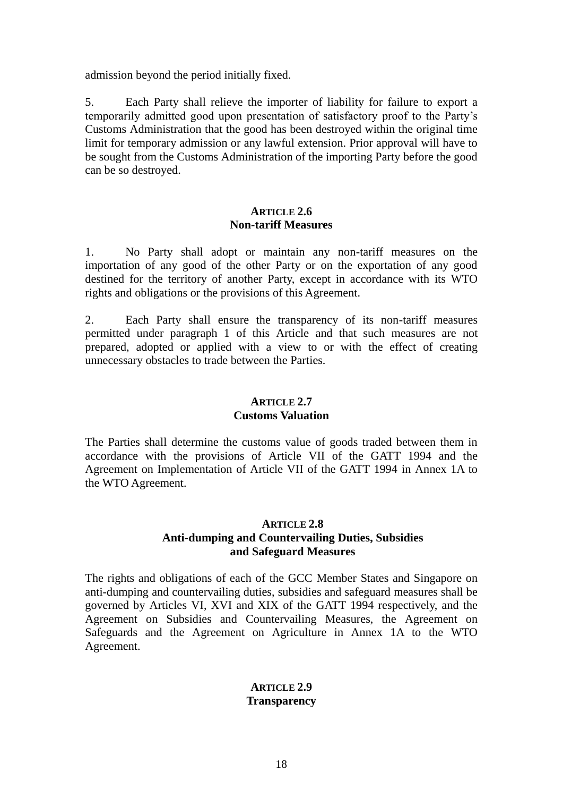admission beyond the period initially fixed.

5. Each Party shall relieve the importer of liability for failure to export a temporarily admitted good upon presentation of satisfactory proof to the Party's Customs Administration that the good has been destroyed within the original time limit for temporary admission or any lawful extension. Prior approval will have to be sought from the Customs Administration of the importing Party before the good can be so destroyed.

#### **ARTICLE 2.6 Non-tariff Measures**

1. No Party shall adopt or maintain any non-tariff measures on the importation of any good of the other Party or on the exportation of any good destined for the territory of another Party, except in accordance with its WTO rights and obligations or the provisions of this Agreement.

2. Each Party shall ensure the transparency of its non-tariff measures permitted under paragraph 1 of this Article and that such measures are not prepared, adopted or applied with a view to or with the effect of creating unnecessary obstacles to trade between the Parties.

# **ARTICLE 2.7 Customs Valuation**

The Parties shall determine the customs value of goods traded between them in accordance with the provisions of Article VII of the GATT 1994 and the Agreement on Implementation of Article VII of the GATT 1994 in Annex 1A to the WTO Agreement.

# **ARTICLE 2.8 Anti-dumping and Countervailing Duties, Subsidies and Safeguard Measures**

The rights and obligations of each of the GCC Member States and Singapore on anti-dumping and countervailing duties, subsidies and safeguard measures shall be governed by Articles VI, XVI and XIX of the GATT 1994 respectively, and the Agreement on Subsidies and Countervailing Measures, the Agreement on Safeguards and the Agreement on Agriculture in Annex 1A to the WTO Agreement.

#### **ARTICLE 2.9 Transparency**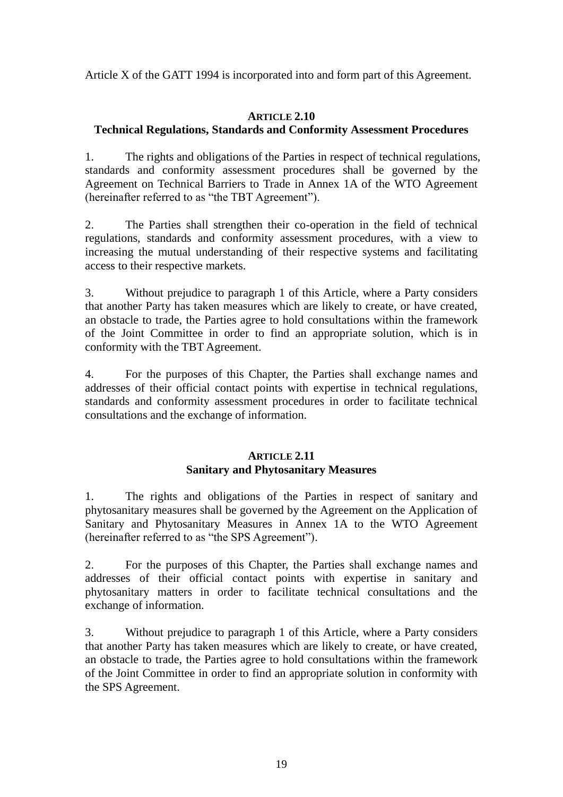Article X of the GATT 1994 is incorporated into and form part of this Agreement.

# **ARTICLE 2.10**

# **Technical Regulations, Standards and Conformity Assessment Procedures**

1. The rights and obligations of the Parties in respect of technical regulations, standards and conformity assessment procedures shall be governed by the Agreement on Technical Barriers to Trade in Annex 1A of the WTO Agreement (hereinafter referred to as "the TBT Agreement").

2. The Parties shall strengthen their co-operation in the field of technical regulations, standards and conformity assessment procedures, with a view to increasing the mutual understanding of their respective systems and facilitating access to their respective markets.

3. Without prejudice to paragraph 1 of this Article, where a Party considers that another Party has taken measures which are likely to create, or have created, an obstacle to trade, the Parties agree to hold consultations within the framework of the Joint Committee in order to find an appropriate solution, which is in conformity with the TBT Agreement.

4. For the purposes of this Chapter, the Parties shall exchange names and addresses of their official contact points with expertise in technical regulations, standards and conformity assessment procedures in order to facilitate technical consultations and the exchange of information.

# **ARTICLE 2.11 Sanitary and Phytosanitary Measures**

1. The rights and obligations of the Parties in respect of sanitary and phytosanitary measures shall be governed by the Agreement on the Application of Sanitary and Phytosanitary Measures in Annex 1A to the WTO Agreement (hereinafter referred to as "the SPS Agreement").

2. For the purposes of this Chapter, the Parties shall exchange names and addresses of their official contact points with expertise in sanitary and phytosanitary matters in order to facilitate technical consultations and the exchange of information.

3. Without prejudice to paragraph 1 of this Article, where a Party considers that another Party has taken measures which are likely to create, or have created, an obstacle to trade, the Parties agree to hold consultations within the framework of the Joint Committee in order to find an appropriate solution in conformity with the SPS Agreement.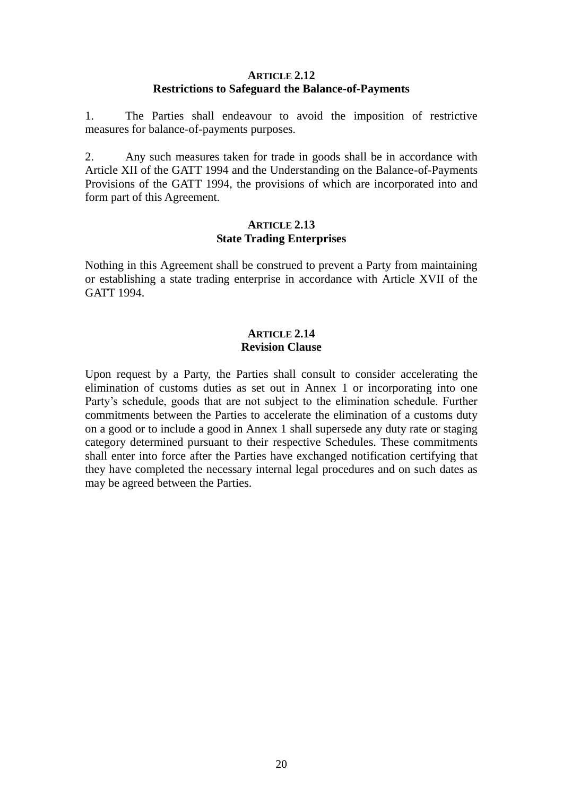#### **ARTICLE 2.12 Restrictions to Safeguard the Balance-of-Payments**

1. The Parties shall endeavour to avoid the imposition of restrictive measures for balance-of-payments purposes.

2. Any such measures taken for trade in goods shall be in accordance with Article XII of the GATT 1994 and the Understanding on the Balance-of-Payments Provisions of the GATT 1994, the provisions of which are incorporated into and form part of this Agreement.

# **ARTICLE 2.13 State Trading Enterprises**

Nothing in this Agreement shall be construed to prevent a Party from maintaining or establishing a state trading enterprise in accordance with Article XVII of the GATT 1994.

# **ARTICLE 2.14 Revision Clause**

Upon request by a Party, the Parties shall consult to consider accelerating the elimination of customs duties as set out in Annex 1 or incorporating into one Party's schedule, goods that are not subject to the elimination schedule. Further commitments between the Parties to accelerate the elimination of a customs duty on a good or to include a good in Annex 1 shall supersede any duty rate or staging category determined pursuant to their respective Schedules. These commitments shall enter into force after the Parties have exchanged notification certifying that they have completed the necessary internal legal procedures and on such dates as may be agreed between the Parties.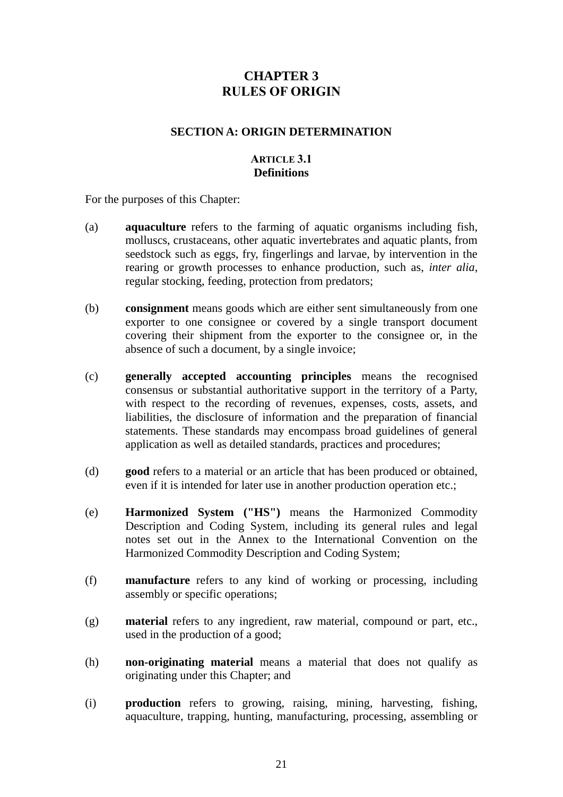# **CHAPTER 3 RULES OF ORIGIN**

# **SECTION A: ORIGIN DETERMINATION**

# **ARTICLE 3.1 Definitions**

For the purposes of this Chapter:

- (a) **aquaculture** refers to the farming of aquatic organisms including fish, molluscs, crustaceans, other aquatic invertebrates and aquatic plants, from seedstock such as eggs, fry, fingerlings and larvae, by intervention in the rearing or growth processes to enhance production, such as, *inter alia*, regular stocking, feeding, protection from predators;
- (b) **consignment** means goods which are either sent simultaneously from one exporter to one consignee or covered by a single transport document covering their shipment from the exporter to the consignee or, in the absence of such a document, by a single invoice;
- (c) **generally accepted accounting principles** means the recognised consensus or substantial authoritative support in the territory of a Party, with respect to the recording of revenues, expenses, costs, assets, and liabilities, the disclosure of information and the preparation of financial statements. These standards may encompass broad guidelines of general application as well as detailed standards, practices and procedures;
- (d) **good** refers to a material or an article that has been produced or obtained, even if it is intended for later use in another production operation etc.;
- (e) **Harmonized System ("HS")** means the Harmonized Commodity Description and Coding System, including its general rules and legal notes set out in the Annex to the International Convention on the Harmonized Commodity Description and Coding System;
- (f) **manufacture** refers to any kind of working or processing, including assembly or specific operations;
- (g) **material** refers to any ingredient, raw material, compound or part, etc., used in the production of a good;
- (h) **non-originating material** means a material that does not qualify as originating under this Chapter; and
- (i) **production** refers to growing, raising, mining, harvesting, fishing, aquaculture, trapping, hunting, manufacturing, processing, assembling or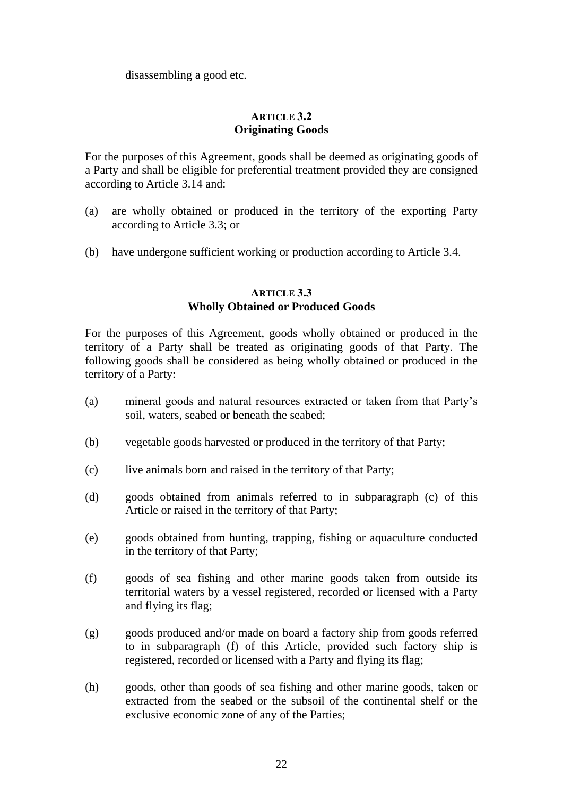disassembling a good etc.

# **ARTICLE 3.2 Originating Goods**

For the purposes of this Agreement, goods shall be deemed as originating goods of a Party and shall be eligible for preferential treatment provided they are consigned according to Article 3.14 and:

- (a) are wholly obtained or produced in the territory of the exporting Party according to Article 3.3; or
- (b) have undergone sufficient working or production according to Article 3.4.

#### **ARTICLE 3.3 Wholly Obtained or Produced Goods**

For the purposes of this Agreement, goods wholly obtained or produced in the territory of a Party shall be treated as originating goods of that Party. The following goods shall be considered as being wholly obtained or produced in the territory of a Party:

- (a) mineral goods and natural resources extracted or taken from that Party's soil, waters, seabed or beneath the seabed;
- (b) vegetable goods harvested or produced in the territory of that Party;
- (c) live animals born and raised in the territory of that Party;
- (d) goods obtained from animals referred to in subparagraph (c) of this Article or raised in the territory of that Party;
- (e) goods obtained from hunting, trapping, fishing or aquaculture conducted in the territory of that Party;
- (f) goods of sea fishing and other marine goods taken from outside its territorial waters by a vessel registered, recorded or licensed with a Party and flying its flag;
- (g) goods produced and/or made on board a factory ship from goods referred to in subparagraph (f) of this Article, provided such factory ship is registered, recorded or licensed with a Party and flying its flag;
- (h) goods, other than goods of sea fishing and other marine goods, taken or extracted from the seabed or the subsoil of the continental shelf or the exclusive economic zone of any of the Parties;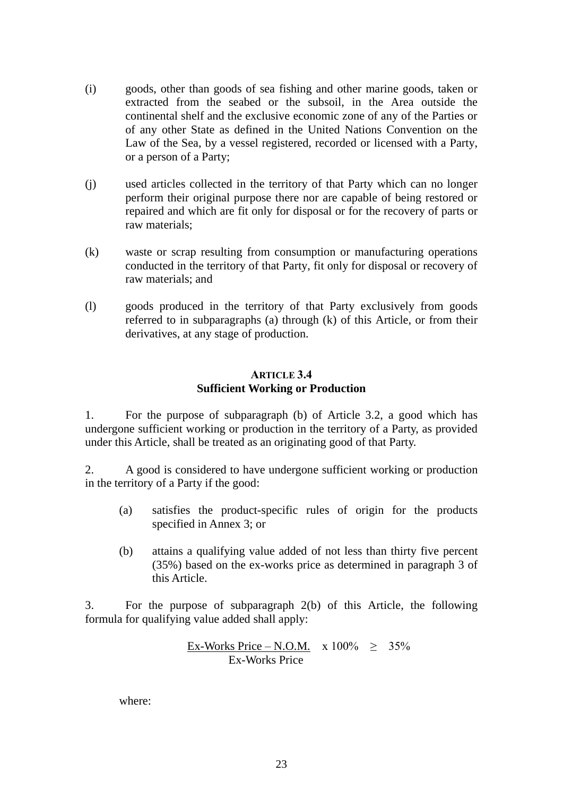- (i) goods, other than goods of sea fishing and other marine goods, taken or extracted from the seabed or the subsoil, in the Area outside the continental shelf and the exclusive economic zone of any of the Parties or of any other State as defined in the United Nations Convention on the Law of the Sea, by a vessel registered, recorded or licensed with a Party, or a person of a Party;
- (j) used articles collected in the territory of that Party which can no longer perform their original purpose there nor are capable of being restored or repaired and which are fit only for disposal or for the recovery of parts or raw materials;
- (k) waste or scrap resulting from consumption or manufacturing operations conducted in the territory of that Party, fit only for disposal or recovery of raw materials; and
- (l) goods produced in the territory of that Party exclusively from goods referred to in subparagraphs (a) through (k) of this Article, or from their derivatives, at any stage of production.

# **ARTICLE 3.4 Sufficient Working or Production**

1. For the purpose of subparagraph (b) of Article 3.2, a good which has undergone sufficient working or production in the territory of a Party, as provided under this Article, shall be treated as an originating good of that Party.

2. A good is considered to have undergone sufficient working or production in the territory of a Party if the good:

- (a) satisfies the product-specific rules of origin for the products specified in Annex 3; or
- (b) attains a qualifying value added of not less than thirty five percent (35%) based on the ex-works price as determined in paragraph 3 of this Article.

3. For the purpose of subparagraph 2(b) of this Article, the following formula for qualifying value added shall apply:

$$
\frac{Ex-Works \text{ Price} - N.O.M.}{Ex-Works \text{ Price}} \quad x \, 100\% \geq 35\%
$$

where: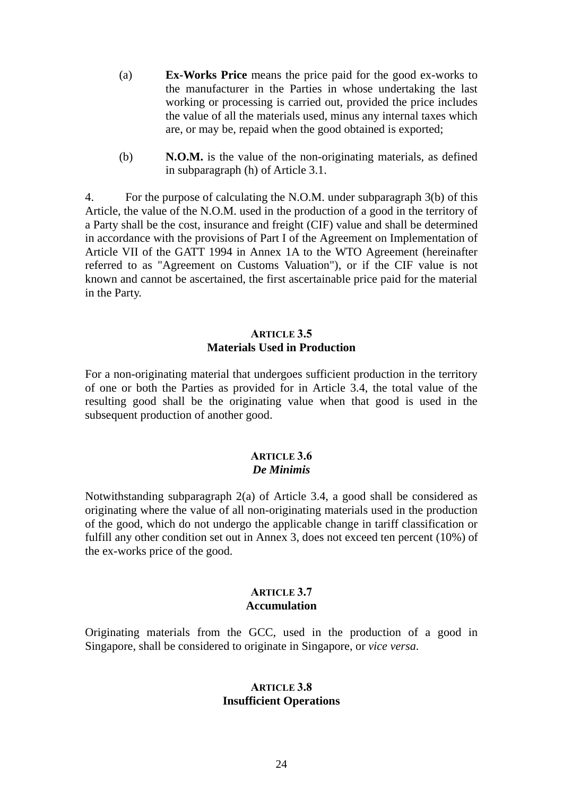- (a) **Ex-Works Price** means the price paid for the good ex-works to the manufacturer in the Parties in whose undertaking the last working or processing is carried out, provided the price includes the value of all the materials used, minus any internal taxes which are, or may be, repaid when the good obtained is exported;
- (b) **N.O.M.** is the value of the non-originating materials, as defined in subparagraph (h) of Article 3.1.

4. For the purpose of calculating the N.O.M. under subparagraph 3(b) of this Article, the value of the N.O.M. used in the production of a good in the territory of a Party shall be the cost, insurance and freight (CIF) value and shall be determined in accordance with the provisions of Part I of the Agreement on Implementation of Article VII of the GATT 1994 in Annex 1A to the WTO Agreement (hereinafter referred to as "Agreement on Customs Valuation"), or if the CIF value is not known and cannot be ascertained, the first ascertainable price paid for the material in the Party.

#### **ARTICLE 3.5 Materials Used in Production**

For a non-originating material that undergoes sufficient production in the territory of one or both the Parties as provided for in Article 3.4, the total value of the resulting good shall be the originating value when that good is used in the subsequent production of another good.

#### **ARTICLE 3.6** *De Minimis*

Notwithstanding subparagraph 2(a) of Article 3.4, a good shall be considered as originating where the value of all non-originating materials used in the production of the good, which do not undergo the applicable change in tariff classification or fulfill any other condition set out in Annex 3, does not exceed ten percent (10%) of the ex-works price of the good.

#### **ARTICLE 3.7 Accumulation**

Originating materials from the GCC, used in the production of a good in Singapore, shall be considered to originate in Singapore, or *vice versa*.

#### **ARTICLE 3.8 Insufficient Operations**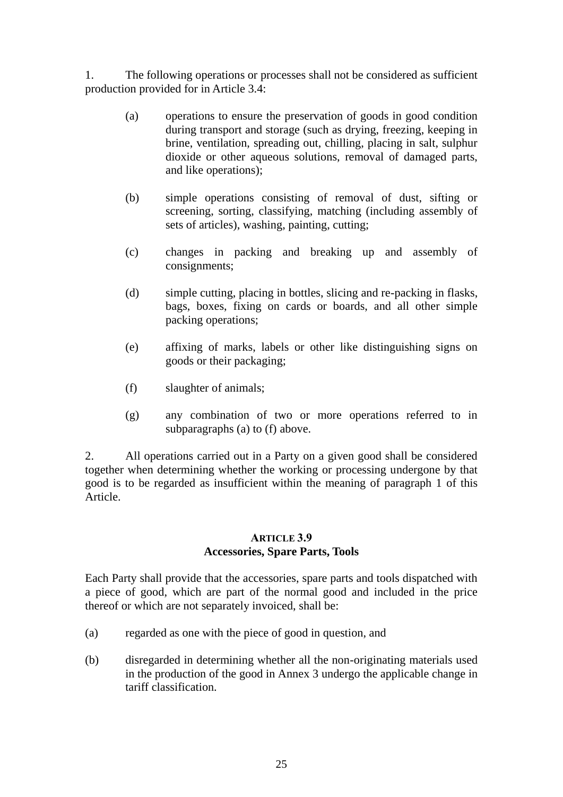1. The following operations or processes shall not be considered as sufficient production provided for in Article 3.4:

- (a) operations to ensure the preservation of goods in good condition during transport and storage (such as drying, freezing, keeping in brine, ventilation, spreading out, chilling, placing in salt, sulphur dioxide or other aqueous solutions, removal of damaged parts, and like operations);
- (b) simple operations consisting of removal of dust, sifting or screening, sorting, classifying, matching (including assembly of sets of articles), washing, painting, cutting;
- (c) changes in packing and breaking up and assembly of consignments;
- (d) simple cutting, placing in bottles, slicing and re-packing in flasks, bags, boxes, fixing on cards or boards, and all other simple packing operations;
- (e) affixing of marks, labels or other like distinguishing signs on goods or their packaging;
- (f) slaughter of animals;
- (g) any combination of two or more operations referred to in subparagraphs (a) to (f) above.

2. All operations carried out in a Party on a given good shall be considered together when determining whether the working or processing undergone by that good is to be regarded as insufficient within the meaning of paragraph 1 of this Article.

# **ARTICLE 3.9 Accessories, Spare Parts, Tools**

Each Party shall provide that the accessories, spare parts and tools dispatched with a piece of good, which are part of the normal good and included in the price thereof or which are not separately invoiced, shall be:

- (a) regarded as one with the piece of good in question, and
- (b) disregarded in determining whether all the non-originating materials used in the production of the good in Annex 3 undergo the applicable change in tariff classification.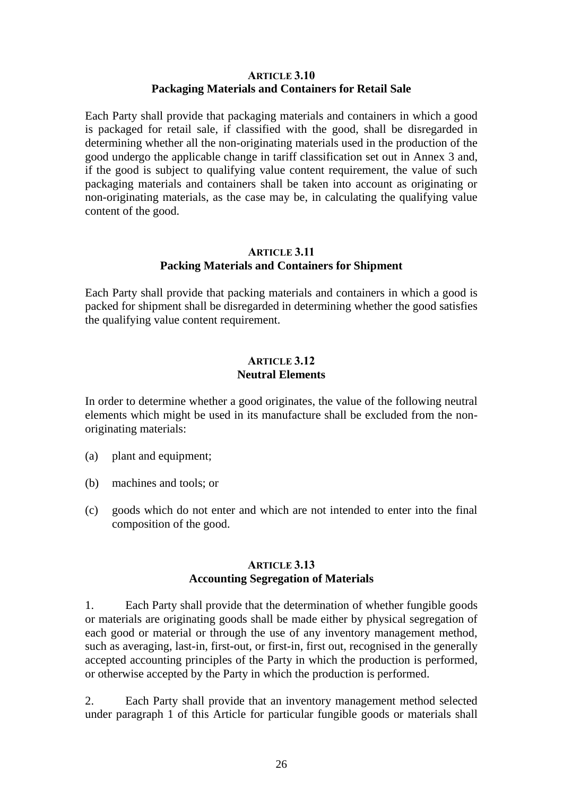#### **ARTICLE 3.10 Packaging Materials and Containers for Retail Sale**

Each Party shall provide that packaging materials and containers in which a good is packaged for retail sale, if classified with the good, shall be disregarded in determining whether all the non-originating materials used in the production of the good undergo the applicable change in tariff classification set out in Annex 3 and, if the good is subject to qualifying value content requirement, the value of such packaging materials and containers shall be taken into account as originating or non-originating materials, as the case may be, in calculating the qualifying value content of the good.

#### **ARTICLE 3.11 Packing Materials and Containers for Shipment**

Each Party shall provide that packing materials and containers in which a good is packed for shipment shall be disregarded in determining whether the good satisfies the qualifying value content requirement.

# **ARTICLE 3.12 Neutral Elements**

In order to determine whether a good originates, the value of the following neutral elements which might be used in its manufacture shall be excluded from the nonoriginating materials:

- (a) plant and equipment;
- (b) machines and tools; or
- (c) goods which do not enter and which are not intended to enter into the final composition of the good.

# **ARTICLE 3.13 Accounting Segregation of Materials**

1. Each Party shall provide that the determination of whether fungible goods or materials are originating goods shall be made either by physical segregation of each good or material or through the use of any inventory management method, such as averaging, last-in, first-out, or first-in, first out, recognised in the generally accepted accounting principles of the Party in which the production is performed, or otherwise accepted by the Party in which the production is performed.

2. Each Party shall provide that an inventory management method selected under paragraph 1 of this Article for particular fungible goods or materials shall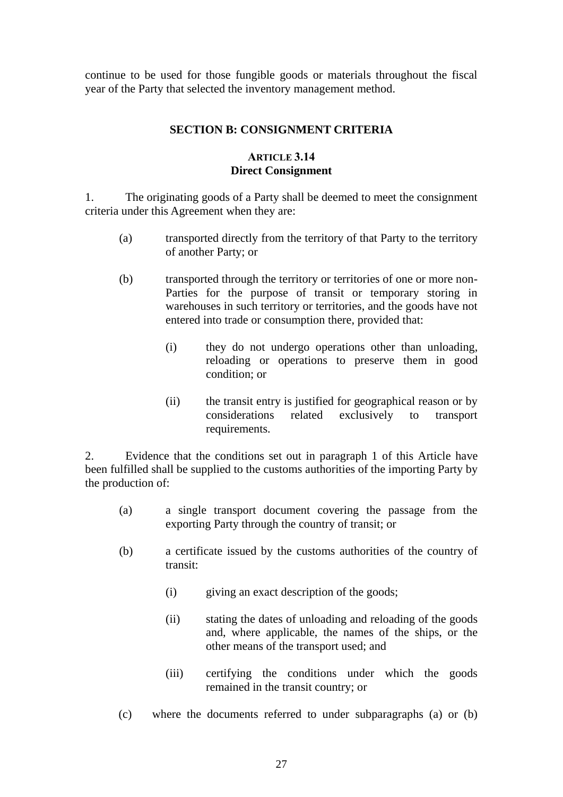continue to be used for those fungible goods or materials throughout the fiscal year of the Party that selected the inventory management method.

# **SECTION B: CONSIGNMENT CRITERIA**

#### **ARTICLE 3.14 Direct Consignment**

1. The originating goods of a Party shall be deemed to meet the consignment criteria under this Agreement when they are:

- (a) transported directly from the territory of that Party to the territory of another Party; or
- (b) transported through the territory or territories of one or more non-Parties for the purpose of transit or temporary storing in warehouses in such territory or territories, and the goods have not entered into trade or consumption there, provided that:
	- (i) they do not undergo operations other than unloading, reloading or operations to preserve them in good condition; or
	- (ii) the transit entry is justified for geographical reason or by considerations related exclusively to transport requirements.

2. Evidence that the conditions set out in paragraph 1 of this Article have been fulfilled shall be supplied to the customs authorities of the importing Party by the production of:

- (a) a single transport document covering the passage from the exporting Party through the country of transit; or
- (b) a certificate issued by the customs authorities of the country of transit:
	- (i) giving an exact description of the goods;
	- (ii) stating the dates of unloading and reloading of the goods and, where applicable, the names of the ships, or the other means of the transport used; and
	- (iii) certifying the conditions under which the goods remained in the transit country; or
- (c) where the documents referred to under subparagraphs (a) or (b)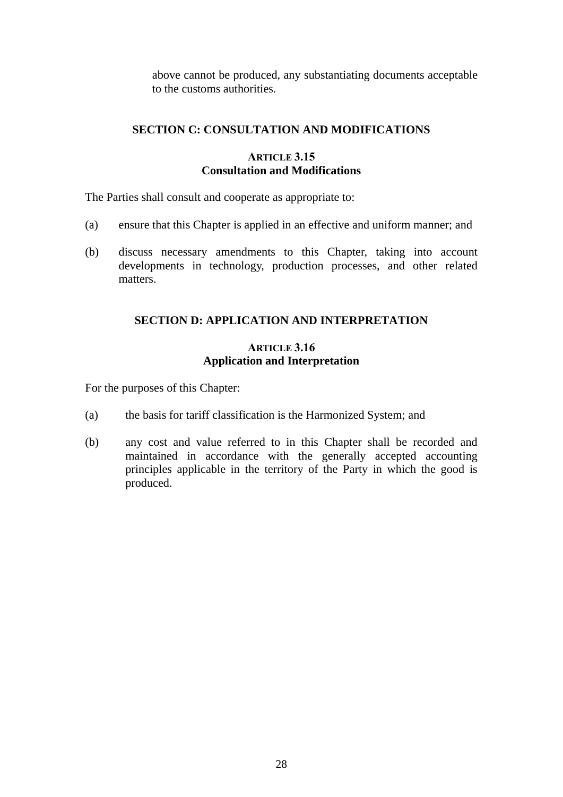above cannot be produced, any substantiating documents acceptable to the customs authorities.

# **SECTION C: CONSULTATION AND MODIFICATIONS**

# **ARTICLE 3.15 Consultation and Modifications**

The Parties shall consult and cooperate as appropriate to:

- (a) ensure that this Chapter is applied in an effective and uniform manner; and
- (b) discuss necessary amendments to this Chapter, taking into account developments in technology, production processes, and other related matters.

# **SECTION D: APPLICATION AND INTERPRETATION**

# **ARTICLE 3.16 Application and Interpretation**

For the purposes of this Chapter:

- (a) the basis for tariff classification is the Harmonized System; and
- (b) any cost and value referred to in this Chapter shall be recorded and maintained in accordance with the generally accepted accounting principles applicable in the territory of the Party in which the good is produced.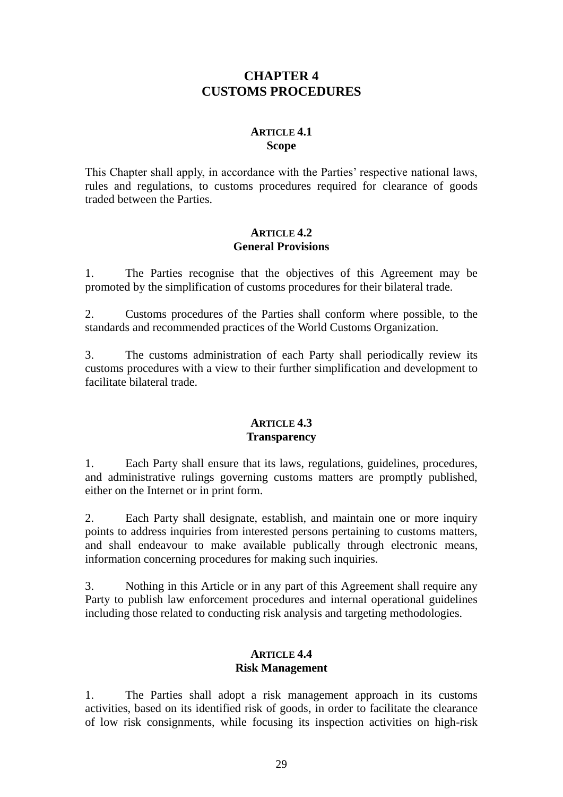# **CHAPTER 4 CUSTOMS PROCEDURES**

# **ARTICLE 4.1 Scope**

This Chapter shall apply, in accordance with the Parties' respective national laws, rules and regulations, to customs procedures required for clearance of goods traded between the Parties.

# **ARTICLE 4.2 General Provisions**

1. The Parties recognise that the objectives of this Agreement may be promoted by the simplification of customs procedures for their bilateral trade.

2. Customs procedures of the Parties shall conform where possible, to the standards and recommended practices of the World Customs Organization.

3. The customs administration of each Party shall periodically review its customs procedures with a view to their further simplification and development to facilitate bilateral trade.

#### **ARTICLE 4.3 Transparency**

1. Each Party shall ensure that its laws, regulations, guidelines, procedures, and administrative rulings governing customs matters are promptly published, either on the Internet or in print form.

2. Each Party shall designate, establish, and maintain one or more inquiry points to address inquiries from interested persons pertaining to customs matters, and shall endeavour to make available publically through electronic means, information concerning procedures for making such inquiries.

3. Nothing in this Article or in any part of this Agreement shall require any Party to publish law enforcement procedures and internal operational guidelines including those related to conducting risk analysis and targeting methodologies.

# **ARTICLE 4.4 Risk Management**

1. The Parties shall adopt a risk management approach in its customs activities, based on its identified risk of goods, in order to facilitate the clearance of low risk consignments, while focusing its inspection activities on high-risk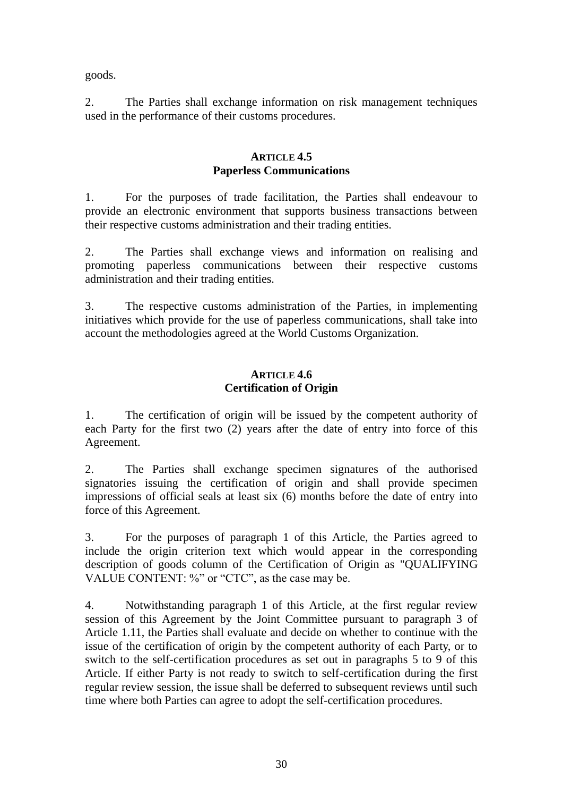goods.

2. The Parties shall exchange information on risk management techniques used in the performance of their customs procedures.

#### **ARTICLE 4.5 Paperless Communications**

1. For the purposes of trade facilitation, the Parties shall endeavour to provide an electronic environment that supports business transactions between their respective customs administration and their trading entities.

2. The Parties shall exchange views and information on realising and promoting paperless communications between their respective customs administration and their trading entities.

3. The respective customs administration of the Parties, in implementing initiatives which provide for the use of paperless communications, shall take into account the methodologies agreed at the World Customs Organization.

#### **ARTICLE 4.6 Certification of Origin**

1. The certification of origin will be issued by the competent authority of each Party for the first two (2) years after the date of entry into force of this Agreement.

2. The Parties shall exchange specimen signatures of the authorised signatories issuing the certification of origin and shall provide specimen impressions of official seals at least six (6) months before the date of entry into force of this Agreement.

3. For the purposes of paragraph 1 of this Article, the Parties agreed to include the origin criterion text which would appear in the corresponding description of goods column of the Certification of Origin as "QUALIFYING VALUE CONTENT: %" or "CTC", as the case may be.

4. Notwithstanding paragraph 1 of this Article, at the first regular review session of this Agreement by the Joint Committee pursuant to paragraph 3 of Article 1.11, the Parties shall evaluate and decide on whether to continue with the issue of the certification of origin by the competent authority of each Party, or to switch to the self-certification procedures as set out in paragraphs 5 to 9 of this Article. If either Party is not ready to switch to self-certification during the first regular review session, the issue shall be deferred to subsequent reviews until such time where both Parties can agree to adopt the self-certification procedures.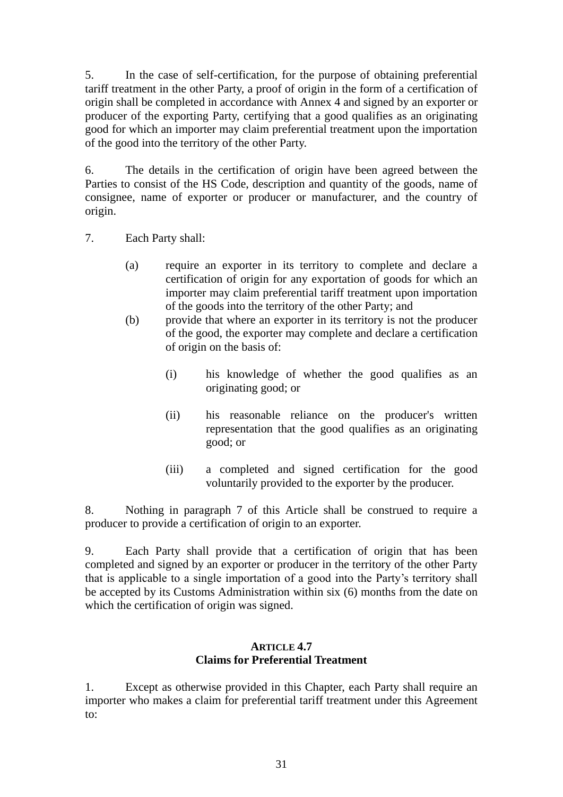5. In the case of self-certification, for the purpose of obtaining preferential tariff treatment in the other Party, a proof of origin in the form of a certification of origin shall be completed in accordance with Annex 4 and signed by an exporter or producer of the exporting Party, certifying that a good qualifies as an originating good for which an importer may claim preferential treatment upon the importation of the good into the territory of the other Party.

6. The details in the certification of origin have been agreed between the Parties to consist of the HS Code, description and quantity of the goods, name of consignee, name of exporter or producer or manufacturer, and the country of origin.

- 7. Each Party shall:
	- (a) require an exporter in its territory to complete and declare a certification of origin for any exportation of goods for which an importer may claim preferential tariff treatment upon importation of the goods into the territory of the other Party; and
	- (b) provide that where an exporter in its territory is not the producer of the good, the exporter may complete and declare a certification of origin on the basis of:
		- (i) his knowledge of whether the good qualifies as an originating good; or
		- (ii) his reasonable reliance on the producer's written representation that the good qualifies as an originating good; or
		- (iii) a completed and signed certification for the good voluntarily provided to the exporter by the producer.

8. Nothing in paragraph 7 of this Article shall be construed to require a producer to provide a certification of origin to an exporter.

9. Each Party shall provide that a certification of origin that has been completed and signed by an exporter or producer in the territory of the other Party that is applicable to a single importation of a good into the Party's territory shall be accepted by its Customs Administration within six (6) months from the date on which the certification of origin was signed.

# **ARTICLE 4.7 Claims for Preferential Treatment**

1. Except as otherwise provided in this Chapter, each Party shall require an importer who makes a claim for preferential tariff treatment under this Agreement to: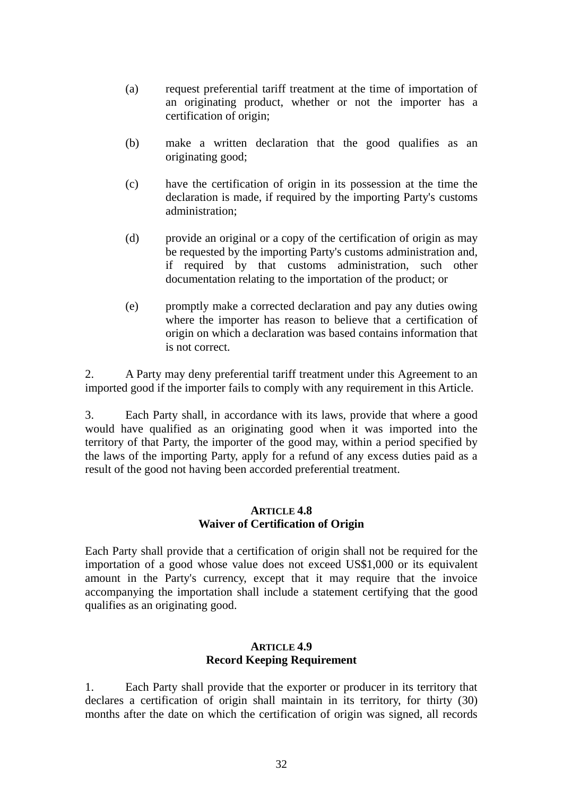- (a) request preferential tariff treatment at the time of importation of an originating product, whether or not the importer has a certification of origin;
- (b) make a written declaration that the good qualifies as an originating good;
- (c) have the certification of origin in its possession at the time the declaration is made, if required by the importing Party's customs administration;
- (d) provide an original or a copy of the certification of origin as may be requested by the importing Party's customs administration and, if required by that customs administration, such other documentation relating to the importation of the product; or
- (e) promptly make a corrected declaration and pay any duties owing where the importer has reason to believe that a certification of origin on which a declaration was based contains information that is not correct.

2. A Party may deny preferential tariff treatment under this Agreement to an imported good if the importer fails to comply with any requirement in this Article.

3. Each Party shall, in accordance with its laws, provide that where a good would have qualified as an originating good when it was imported into the territory of that Party, the importer of the good may, within a period specified by the laws of the importing Party, apply for a refund of any excess duties paid as a result of the good not having been accorded preferential treatment.

#### **ARTICLE 4.8 Waiver of Certification of Origin**

Each Party shall provide that a certification of origin shall not be required for the importation of a good whose value does not exceed US\$1,000 or its equivalent amount in the Party's currency, except that it may require that the invoice accompanying the importation shall include a statement certifying that the good qualifies as an originating good.

# **ARTICLE 4.9 Record Keeping Requirement**

1. Each Party shall provide that the exporter or producer in its territory that declares a certification of origin shall maintain in its territory, for thirty (30) months after the date on which the certification of origin was signed, all records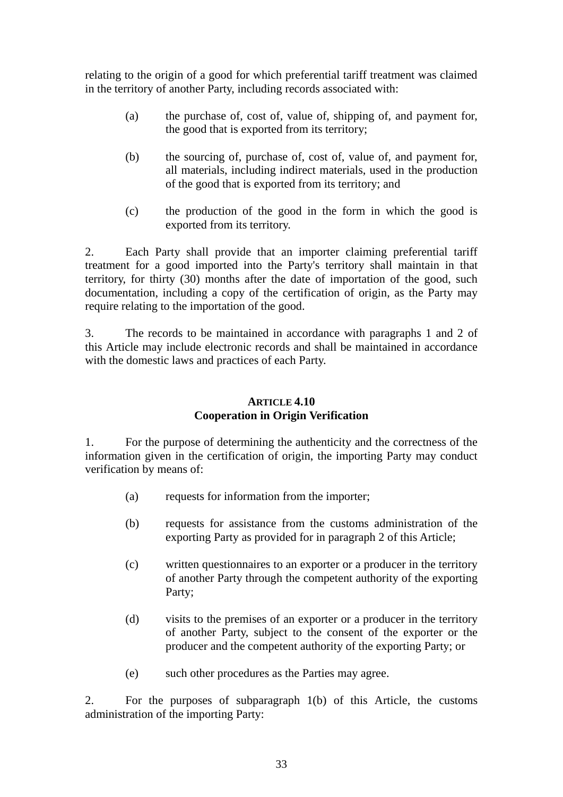relating to the origin of a good for which preferential tariff treatment was claimed in the territory of another Party, including records associated with:

- (a) the purchase of, cost of, value of, shipping of, and payment for, the good that is exported from its territory;
- (b) the sourcing of, purchase of, cost of, value of, and payment for, all materials, including indirect materials, used in the production of the good that is exported from its territory; and
- (c) the production of the good in the form in which the good is exported from its territory.

2. Each Party shall provide that an importer claiming preferential tariff treatment for a good imported into the Party's territory shall maintain in that territory, for thirty (30) months after the date of importation of the good, such documentation, including a copy of the certification of origin, as the Party may require relating to the importation of the good.

3. The records to be maintained in accordance with paragraphs 1 and 2 of this Article may include electronic records and shall be maintained in accordance with the domestic laws and practices of each Party.

# **ARTICLE 4.10 Cooperation in Origin Verification**

1. For the purpose of determining the authenticity and the correctness of the information given in the certification of origin, the importing Party may conduct verification by means of:

- (a) requests for information from the importer;
- (b) requests for assistance from the customs administration of the exporting Party as provided for in paragraph 2 of this Article;
- (c) written questionnaires to an exporter or a producer in the territory of another Party through the competent authority of the exporting Party;
- (d) visits to the premises of an exporter or a producer in the territory of another Party, subject to the consent of the exporter or the producer and the competent authority of the exporting Party; or
- (e) such other procedures as the Parties may agree.

2. For the purposes of subparagraph 1(b) of this Article, the customs administration of the importing Party: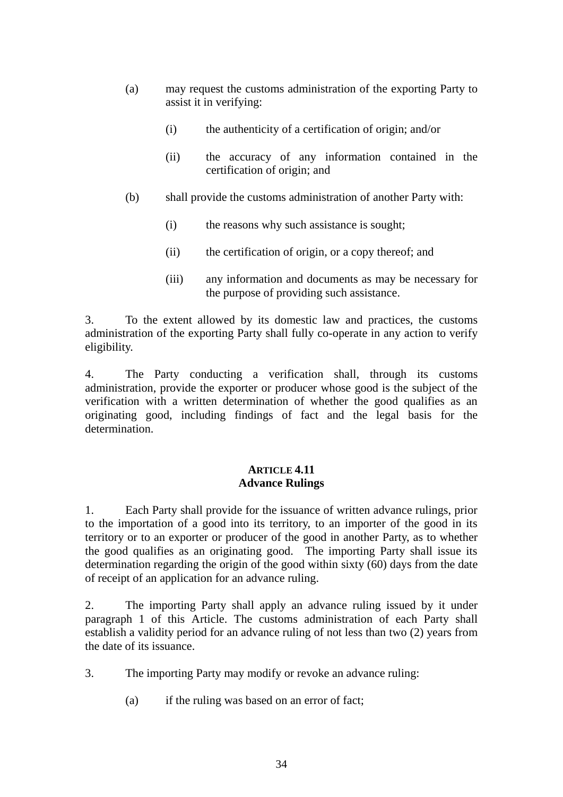- (a) may request the customs administration of the exporting Party to assist it in verifying:
	- (i) the authenticity of a certification of origin; and/or
	- (ii) the accuracy of any information contained in the certification of origin; and
- (b) shall provide the customs administration of another Party with:
	- (i) the reasons why such assistance is sought;
	- (ii) the certification of origin, or a copy thereof; and
	- (iii) any information and documents as may be necessary for the purpose of providing such assistance.

3. To the extent allowed by its domestic law and practices, the customs administration of the exporting Party shall fully co-operate in any action to verify eligibility.

4. The Party conducting a verification shall, through its customs administration, provide the exporter or producer whose good is the subject of the verification with a written determination of whether the good qualifies as an originating good, including findings of fact and the legal basis for the determination.

# **ARTICLE 4.11 Advance Rulings**

1. Each Party shall provide for the issuance of written advance rulings, prior to the importation of a good into its territory, to an importer of the good in its territory or to an exporter or producer of the good in another Party, as to whether the good qualifies as an originating good. The importing Party shall issue its determination regarding the origin of the good within sixty (60) days from the date of receipt of an application for an advance ruling.

2. The importing Party shall apply an advance ruling issued by it under paragraph 1 of this Article. The customs administration of each Party shall establish a validity period for an advance ruling of not less than two (2) years from the date of its issuance.

3. The importing Party may modify or revoke an advance ruling:

(a) if the ruling was based on an error of fact;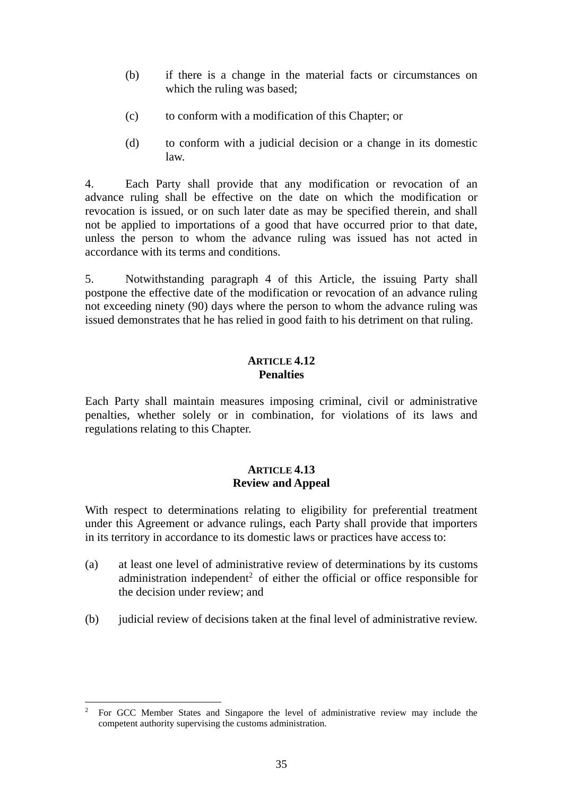- (b) if there is a change in the material facts or circumstances on which the ruling was based;
- (c) to conform with a modification of this Chapter; or
- (d) to conform with a judicial decision or a change in its domestic law.

4. Each Party shall provide that any modification or revocation of an advance ruling shall be effective on the date on which the modification or revocation is issued, or on such later date as may be specified therein, and shall not be applied to importations of a good that have occurred prior to that date, unless the person to whom the advance ruling was issued has not acted in accordance with its terms and conditions.

5. Notwithstanding paragraph 4 of this Article, the issuing Party shall postpone the effective date of the modification or revocation of an advance ruling not exceeding ninety (90) days where the person to whom the advance ruling was issued demonstrates that he has relied in good faith to his detriment on that ruling.

# **ARTICLE 4.12 Penalties**

Each Party shall maintain measures imposing criminal, civil or administrative penalties, whether solely or in combination, for violations of its laws and regulations relating to this Chapter.

# **ARTICLE 4.13 Review and Appeal**

With respect to determinations relating to eligibility for preferential treatment under this Agreement or advance rulings, each Party shall provide that importers in its territory in accordance to its domestic laws or practices have access to:

- (a) at least one level of administrative review of determinations by its customs administration independent<sup>2</sup> of either the official or office responsible for the decision under review; and
- (b) judicial review of decisions taken at the final level of administrative review.

1

<sup>&</sup>lt;sup>2</sup> For GCC Member States and Singapore the level of administrative review may include the competent authority supervising the customs administration.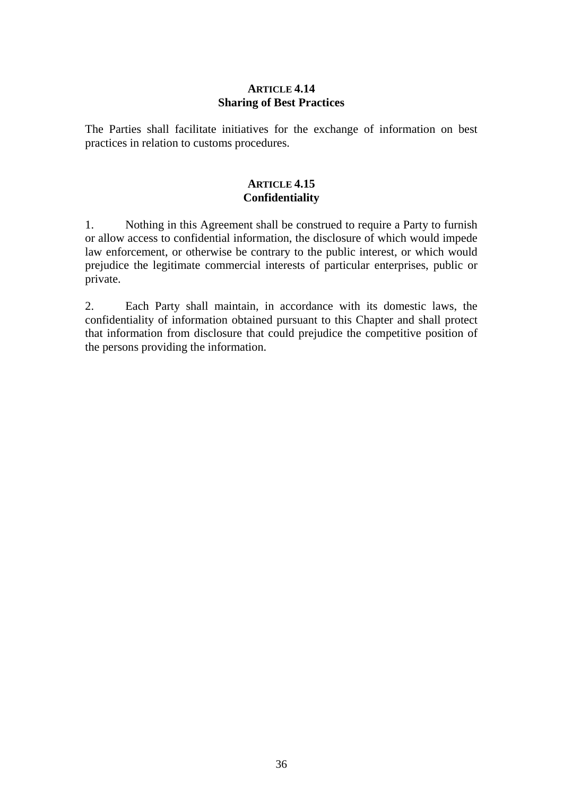# **ARTICLE 4.14 Sharing of Best Practices**

The Parties shall facilitate initiatives for the exchange of information on best practices in relation to customs procedures.

# **ARTICLE 4.15 Confidentiality**

1. Nothing in this Agreement shall be construed to require a Party to furnish or allow access to confidential information, the disclosure of which would impede law enforcement, or otherwise be contrary to the public interest, or which would prejudice the legitimate commercial interests of particular enterprises, public or private.

2. Each Party shall maintain, in accordance with its domestic laws, the confidentiality of information obtained pursuant to this Chapter and shall protect that information from disclosure that could prejudice the competitive position of the persons providing the information.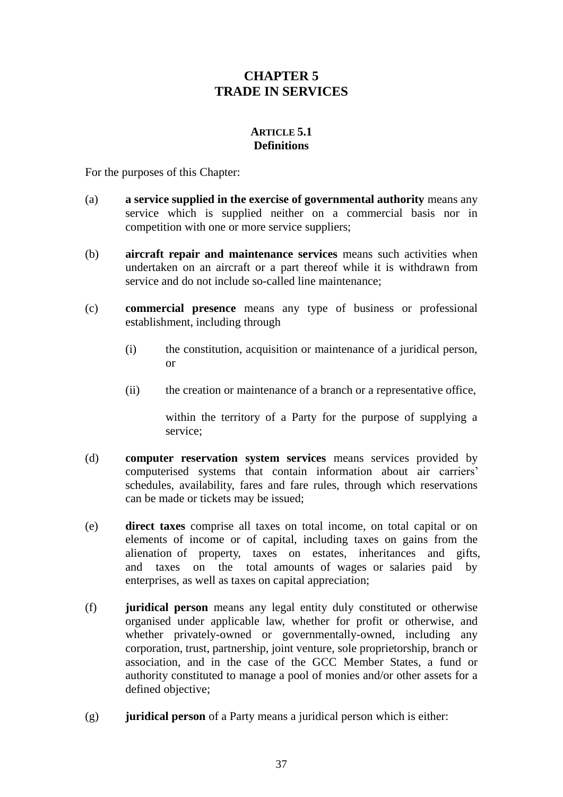# **CHAPTER 5 TRADE IN SERVICES**

#### **ARTICLE 5.1 Definitions**

For the purposes of this Chapter:

- (a) **a service supplied in the exercise of governmental authority** means any service which is supplied neither on a commercial basis nor in competition with one or more service suppliers;
- (b) **aircraft repair and maintenance services** means such activities when undertaken on an aircraft or a part thereof while it is withdrawn from service and do not include so-called line maintenance;
- (c) **commercial presence** means any type of business or professional establishment, including through
	- (i) the constitution, acquisition or maintenance of a juridical person, or
	- (ii) the creation or maintenance of a branch or a representative office,

within the territory of a Party for the purpose of supplying a service;

- (d) **computer reservation system services** means services provided by computerised systems that contain information about air carriers' schedules, availability, fares and fare rules, through which reservations can be made or tickets may be issued;
- (e) **direct taxes** comprise all taxes on total income, on total capital or on elements of income or of capital, including taxes on gains from the alienation of property, taxes on estates, inheritances and gifts, and taxes on the total amounts of wages or salaries paid by enterprises, as well as taxes on capital appreciation;
- (f) **juridical person** means any legal entity duly constituted or otherwise organised under applicable law, whether for profit or otherwise, and whether privately-owned or governmentally-owned, including any corporation, trust, partnership, joint venture, sole proprietorship, branch or association, and in the case of the GCC Member States, a fund or authority constituted to manage a pool of monies and/or other assets for a defined objective;
- (g) **juridical person** of a Party means a juridical person which is either: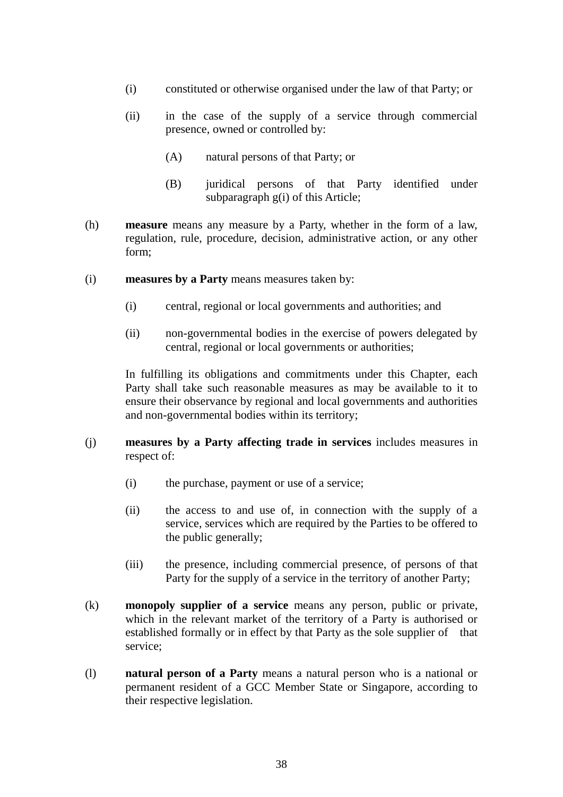- (i) constituted or otherwise organised under the law of that Party; or
- (ii) in the case of the supply of a service through commercial presence, owned or controlled by:
	- (A) natural persons of that Party; or
	- (B) juridical persons of that Party identified under subparagraph  $g(i)$  of this Article;
- (h) **measure** means any measure by a Party, whether in the form of a law, regulation, rule, procedure, decision, administrative action, or any other form;
- (i) **measures by a Party** means measures taken by:
	- (i) central, regional or local governments and authorities; and
	- (ii) non-governmental bodies in the exercise of powers delegated by central, regional or local governments or authorities;

In fulfilling its obligations and commitments under this Chapter, each Party shall take such reasonable measures as may be available to it to ensure their observance by regional and local governments and authorities and non-governmental bodies within its territory;

- (j) **measures by a Party affecting trade in services** includes measures in respect of:
	- (i) the purchase, payment or use of a service;
	- (ii) the access to and use of, in connection with the supply of a service, services which are required by the Parties to be offered to the public generally;
	- (iii) the presence, including commercial presence, of persons of that Party for the supply of a service in the territory of another Party;
- (k) **monopoly supplier of a service** means any person, public or private, which in the relevant market of the territory of a Party is authorised or established formally or in effect by that Party as the sole supplier of that service;
- (l) **natural person of a Party** means a natural person who is a national or permanent resident of a GCC Member State or Singapore, according to their respective legislation.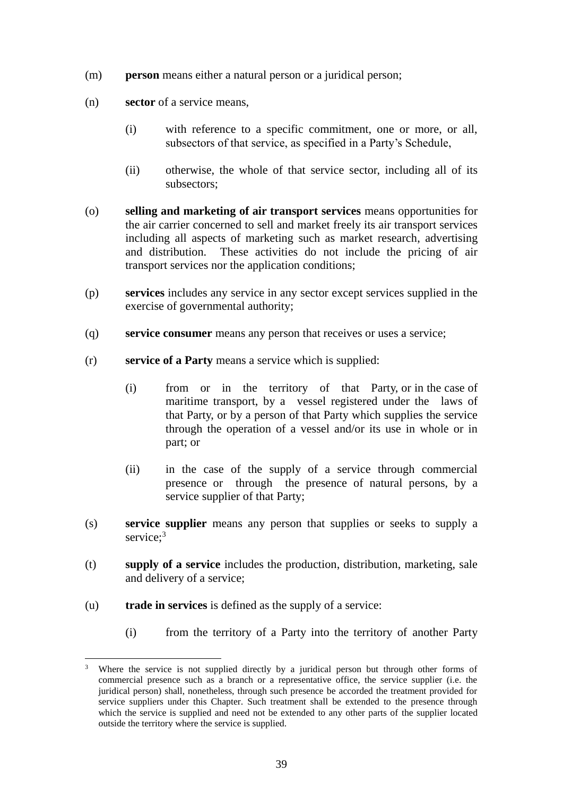- (m) **person** means either a natural person or a juridical person;
- (n) **sector** of a service means,
	- (i) with reference to a specific commitment, one or more, or all, subsectors of that service, as specified in a Party's Schedule,
	- (ii) otherwise, the whole of that service sector, including all of its subsectors;
- (o) **selling and marketing of air transport services** means opportunities for the air carrier concerned to sell and market freely its air transport services including all aspects of marketing such as market research, advertising and distribution. These activities do not include the pricing of air transport services nor the application conditions;
- (p) **services** includes any service in any sector except services supplied in the exercise of governmental authority;
- (q) **service consumer** means any person that receives or uses a service;
- (r) **service of a Party** means a service which is supplied:
	- (i) from or in the territory of that Party, or in the case of maritime transport, by a vessel registered under the laws of that Party, or by a person of that Party which supplies the service through the operation of a vessel and/or its use in whole or in part; or
	- (ii) in the case of the supply of a service through commercial presence or through the presence of natural persons, by a service supplier of that Party;
- (s) **service supplier** means any person that supplies or seeks to supply a service:<sup>3</sup>
- (t) **supply of a service** includes the production, distribution, marketing, sale and delivery of a service;
- (u) **trade in services** is defined as the supply of a service:

 $\overline{a}$ 

(i) from the territory of a Party into the territory of another Party

Where the service is not supplied directly by a juridical person but through other forms of commercial presence such as a branch or a representative office, the service supplier (i.e. the juridical person) shall, nonetheless, through such presence be accorded the treatment provided for service suppliers under this Chapter. Such treatment shall be extended to the presence through which the service is supplied and need not be extended to any other parts of the supplier located outside the territory where the service is supplied.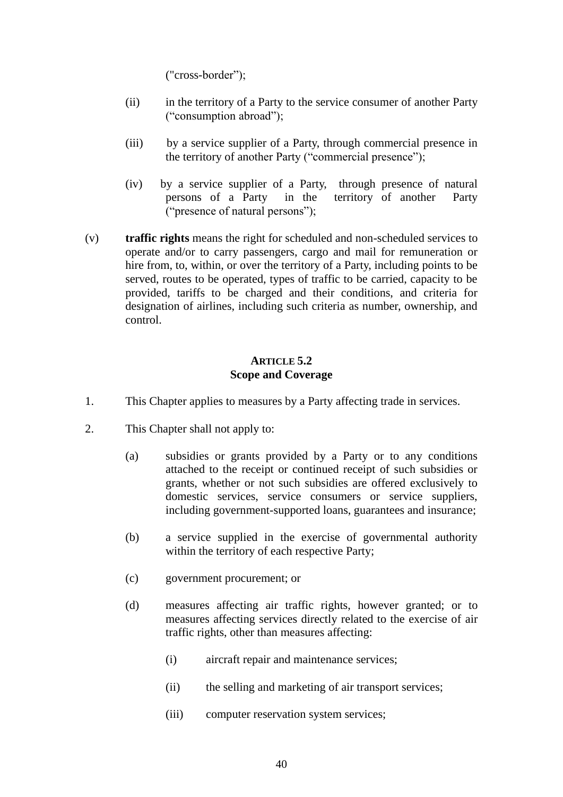("cross-border");

- (ii) in the territory of a Party to the service consumer of another Party ("consumption abroad");
- (iii) by a service supplier of a Party, through commercial presence in the territory of another Party ("commercial presence");
- (iv) by a service supplier of a Party, through presence of natural persons of a Party in the territory of another Party ("presence of natural persons");
- (v) **traffic rights** means the right for scheduled and non-scheduled services to operate and/or to carry passengers, cargo and mail for remuneration or hire from, to, within, or over the territory of a Party, including points to be served, routes to be operated, types of traffic to be carried, capacity to be provided, tariffs to be charged and their conditions, and criteria for designation of airlines, including such criteria as number, ownership, and control.

### **ARTICLE 5.2 Scope and Coverage**

- 1. This Chapter applies to measures by a Party affecting trade in services.
- 2. This Chapter shall not apply to:
	- (a) subsidies or grants provided by a Party or to any conditions attached to the receipt or continued receipt of such subsidies or grants, whether or not such subsidies are offered exclusively to domestic services, service consumers or service suppliers, including government-supported loans, guarantees and insurance;
	- (b) a service supplied in the exercise of governmental authority within the territory of each respective Party;
	- (c) government procurement; or
	- (d) measures affecting air traffic rights, however granted; or to measures affecting services directly related to the exercise of air traffic rights, other than measures affecting:
		- (i) aircraft repair and maintenance services;
		- (ii) the selling and marketing of air transport services;
		- (iii) computer reservation system services;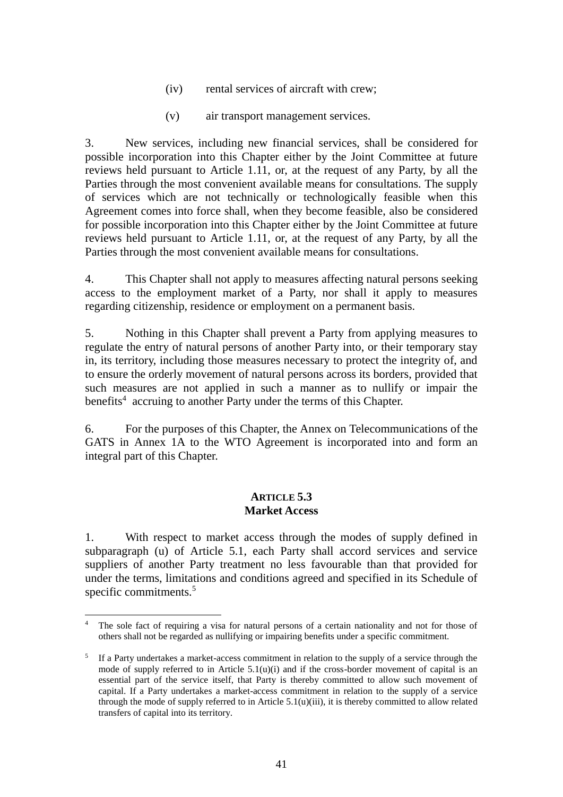- (iv) rental services of aircraft with crew;
- (v) air transport management services.

3. New services, including new financial services, shall be considered for possible incorporation into this Chapter either by the Joint Committee at future reviews held pursuant to Article 1.11, or, at the request of any Party, by all the Parties through the most convenient available means for consultations. The supply of services which are not technically or technologically feasible when this Agreement comes into force shall, when they become feasible, also be considered for possible incorporation into this Chapter either by the Joint Committee at future reviews held pursuant to Article 1.11, or, at the request of any Party, by all the Parties through the most convenient available means for consultations.

4. This Chapter shall not apply to measures affecting natural persons seeking access to the employment market of a Party, nor shall it apply to measures regarding citizenship, residence or employment on a permanent basis.

5. Nothing in this Chapter shall prevent a Party from applying measures to regulate the entry of natural persons of another Party into, or their temporary stay in, its territory, including those measures necessary to protect the integrity of, and to ensure the orderly movement of natural persons across its borders, provided that such measures are not applied in such a manner as to nullify or impair the benefits<sup>4</sup> accruing to another Party under the terms of this Chapter.

6. For the purposes of this Chapter, the Annex on Telecommunications of the GATS in Annex 1A to the WTO Agreement is incorporated into and form an integral part of this Chapter.

#### **ARTICLE 5.3 Market Access**

1. With respect to market access through the modes of supply defined in subparagraph (u) of Article 5.1, each Party shall accord services and service suppliers of another Party treatment no less favourable than that provided for under the terms, limitations and conditions agreed and specified in its Schedule of specific commitments.<sup>5</sup>

 $\overline{a}$ 

The sole fact of requiring a visa for natural persons of a certain nationality and not for those of others shall not be regarded as nullifying or impairing benefits under a specific commitment.

<sup>&</sup>lt;sup>5</sup> If a Party undertakes a market-access commitment in relation to the supply of a service through the mode of supply referred to in Article  $5.1(u)(i)$  and if the cross-border movement of capital is an essential part of the service itself, that Party is thereby committed to allow such movement of capital. If a Party undertakes a market-access commitment in relation to the supply of a service through the mode of supply referred to in Article  $5.1(u)(iii)$ , it is thereby committed to allow related transfers of capital into its territory.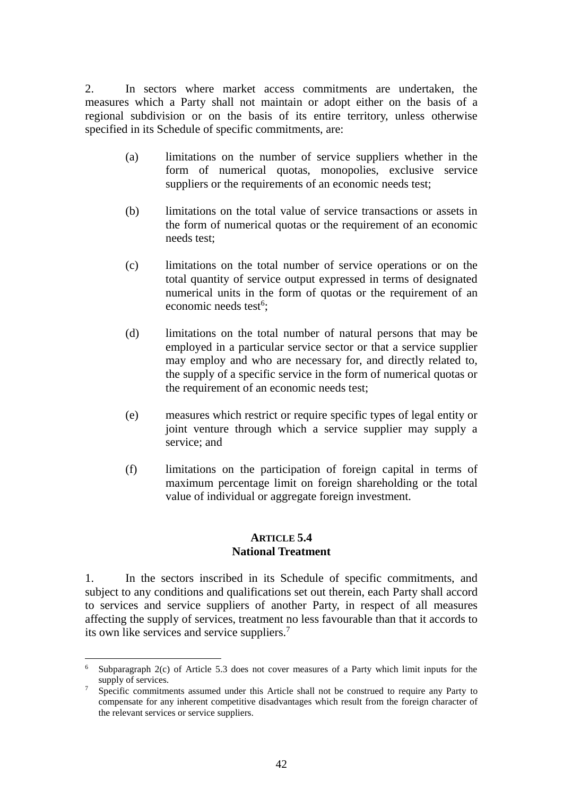2. In sectors where market access commitments are undertaken, the measures which a Party shall not maintain or adopt either on the basis of a regional subdivision or on the basis of its entire territory, unless otherwise specified in its Schedule of specific commitments, are:

- (a) limitations on the number of service suppliers whether in the form of numerical quotas, monopolies, exclusive service suppliers or the requirements of an economic needs test;
- (b) limitations on the total value of service transactions or assets in the form of numerical quotas or the requirement of an economic needs test;
- (c) limitations on the total number of service operations or on the total quantity of service output expressed in terms of designated numerical units in the form of quotas or the requirement of an economic needs test<sup>6</sup>;
- (d) limitations on the total number of natural persons that may be employed in a particular service sector or that a service supplier may employ and who are necessary for, and directly related to, the supply of a specific service in the form of numerical quotas or the requirement of an economic needs test;
- (e) measures which restrict or require specific types of legal entity or joint venture through which a service supplier may supply a service; and
- (f) limitations on the participation of foreign capital in terms of maximum percentage limit on foreign shareholding or the total value of individual or aggregate foreign investment.

#### **ARTICLE 5.4 National Treatment**

1. In the sectors inscribed in its Schedule of specific commitments, and subject to any conditions and qualifications set out therein, each Party shall accord to services and service suppliers of another Party, in respect of all measures affecting the supply of services, treatment no less favourable than that it accords to its own like services and service suppliers.<sup>7</sup>

 $\overline{a}$ 

Subparagraph 2(c) of Article 5.3 does not cover measures of a Party which limit inputs for the supply of services.

<sup>7</sup> Specific commitments assumed under this Article shall not be construed to require any Party to compensate for any inherent competitive disadvantages which result from the foreign character of the relevant services or service suppliers.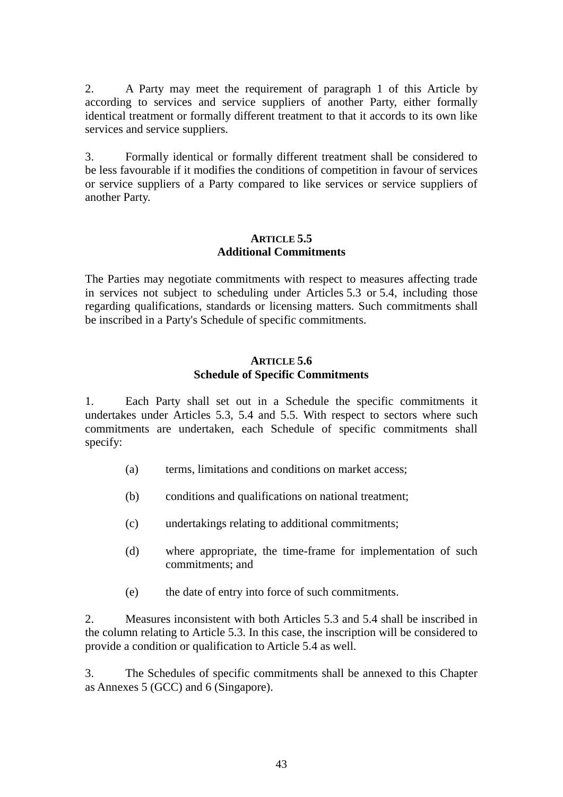2. A Party may meet the requirement of paragraph 1 of this Article by according to services and service suppliers of another Party, either formally identical treatment or formally different treatment to that it accords to its own like services and service suppliers.

3. Formally identical or formally different treatment shall be considered to be less favourable if it modifies the conditions of competition in favour of services or service suppliers of a Party compared to like services or service suppliers of another Party.

#### **ARTICLE 5.5 Additional Commitments**

The Parties may negotiate commitments with respect to measures affecting trade in services not subject to scheduling under Articles 5.3 or 5.4, including those regarding qualifications, standards or licensing matters. Such commitments shall be inscribed in a Party's Schedule of specific commitments.

#### **ARTICLE 5.6 Schedule of Specific Commitments**

1. Each Party shall set out in a Schedule the specific commitments it undertakes under Articles 5.3, 5.4 and 5.5. With respect to sectors where such commitments are undertaken, each Schedule of specific commitments shall specify:

- (a) terms, limitations and conditions on market access;
- (b) conditions and qualifications on national treatment;
- (c) undertakings relating to additional commitments;
- (d) where appropriate, the time-frame for implementation of such commitments; and
- (e) the date of entry into force of such commitments.

2. Measures inconsistent with both Articles 5.3 and 5.4 shall be inscribed in the column relating to Article 5.3. In this case, the inscription will be considered to provide a condition or qualification to Article 5.4 as well.

3. The Schedules of specific commitments shall be annexed to this Chapter as Annexes 5 (GCC) and 6 (Singapore).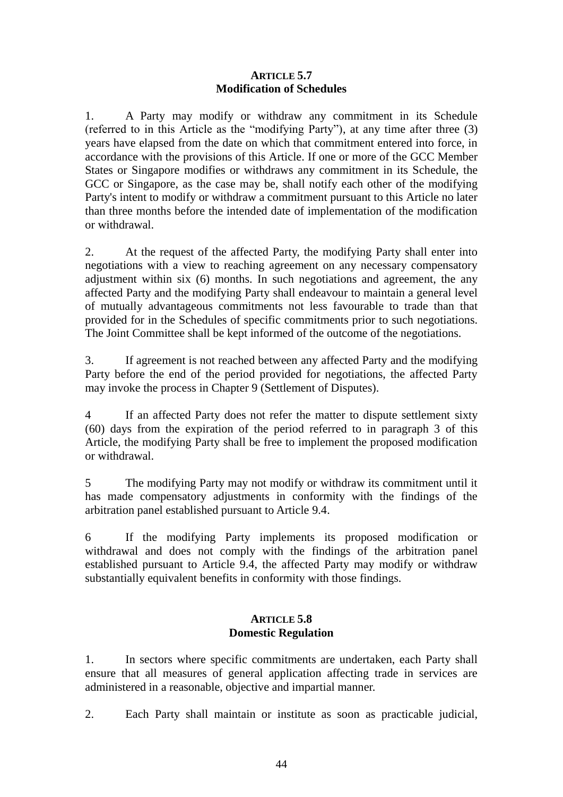#### **ARTICLE 5.7 Modification of Schedules**

1. A Party may modify or withdraw any commitment in its Schedule (referred to in this Article as the "modifying Party"), at any time after three (3) years have elapsed from the date on which that commitment entered into force, in accordance with the provisions of this Article. If one or more of the GCC Member States or Singapore modifies or withdraws any commitment in its Schedule, the GCC or Singapore, as the case may be, shall notify each other of the modifying Party's intent to modify or withdraw a commitment pursuant to this Article no later than three months before the intended date of implementation of the modification or withdrawal.

2. At the request of the affected Party, the modifying Party shall enter into negotiations with a view to reaching agreement on any necessary compensatory adjustment within six (6) months. In such negotiations and agreement, the any affected Party and the modifying Party shall endeavour to maintain a general level of mutually advantageous commitments not less favourable to trade than that provided for in the Schedules of specific commitments prior to such negotiations. The Joint Committee shall be kept informed of the outcome of the negotiations.

3. If agreement is not reached between any affected Party and the modifying Party before the end of the period provided for negotiations, the affected Party may invoke the process in Chapter 9 (Settlement of Disputes).

4 If an affected Party does not refer the matter to dispute settlement sixty (60) days from the expiration of the period referred to in paragraph 3 of this Article, the modifying Party shall be free to implement the proposed modification or withdrawal.

5 The modifying Party may not modify or withdraw its commitment until it has made compensatory adjustments in conformity with the findings of the arbitration panel established pursuant to Article 9.4.

6 If the modifying Party implements its proposed modification or withdrawal and does not comply with the findings of the arbitration panel established pursuant to Article 9.4, the affected Party may modify or withdraw substantially equivalent benefits in conformity with those findings.

## **ARTICLE 5.8 Domestic Regulation**

1. In sectors where specific commitments are undertaken, each Party shall ensure that all measures of general application affecting trade in services are administered in a reasonable, objective and impartial manner.

2. Each Party shall maintain or institute as soon as practicable judicial,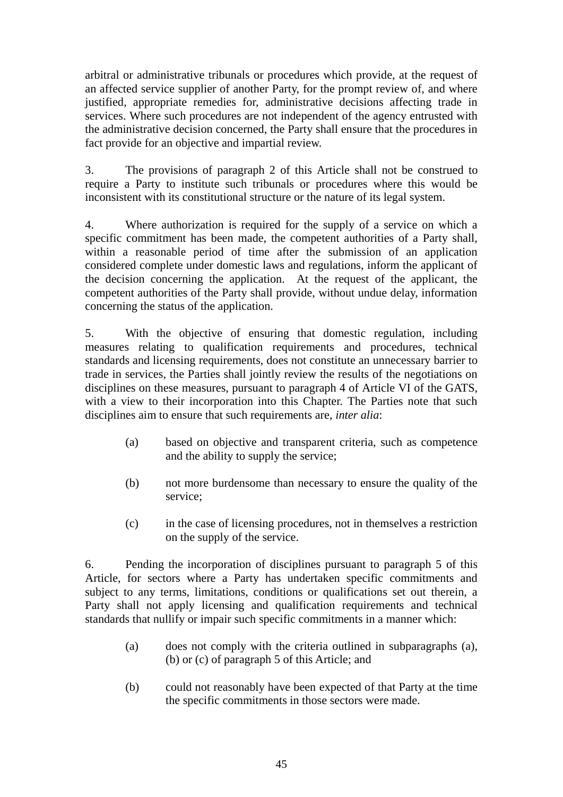arbitral or administrative tribunals or procedures which provide, at the request of an affected service supplier of another Party, for the prompt review of, and where justified, appropriate remedies for, administrative decisions affecting trade in services. Where such procedures are not independent of the agency entrusted with the administrative decision concerned, the Party shall ensure that the procedures in fact provide for an objective and impartial review.

3. The provisions of paragraph 2 of this Article shall not be construed to require a Party to institute such tribunals or procedures where this would be inconsistent with its constitutional structure or the nature of its legal system.

4. Where authorization is required for the supply of a service on which a specific commitment has been made, the competent authorities of a Party shall, within a reasonable period of time after the submission of an application considered complete under domestic laws and regulations, inform the applicant of the decision concerning the application. At the request of the applicant, the competent authorities of the Party shall provide, without undue delay, information concerning the status of the application.

5. With the objective of ensuring that domestic regulation, including measures relating to qualification requirements and procedures, technical standards and licensing requirements, does not constitute an unnecessary barrier to trade in services, the Parties shall jointly review the results of the negotiations on disciplines on these measures, pursuant to paragraph 4 of Article VI of the GATS, with a view to their incorporation into this Chapter. The Parties note that such disciplines aim to ensure that such requirements are, *inter alia*:

- (a) based on objective and transparent criteria, such as competence and the ability to supply the service;
- (b) not more burdensome than necessary to ensure the quality of the service;
- (c) in the case of licensing procedures, not in themselves a restriction on the supply of the service.

6. Pending the incorporation of disciplines pursuant to paragraph 5 of this Article, for sectors where a Party has undertaken specific commitments and subject to any terms, limitations, conditions or qualifications set out therein, a Party shall not apply licensing and qualification requirements and technical standards that nullify or impair such specific commitments in a manner which:

- (a) does not comply with the criteria outlined in subparagraphs (a), (b) or (c) of paragraph 5 of this Article; and
- (b) could not reasonably have been expected of that Party at the time the specific commitments in those sectors were made.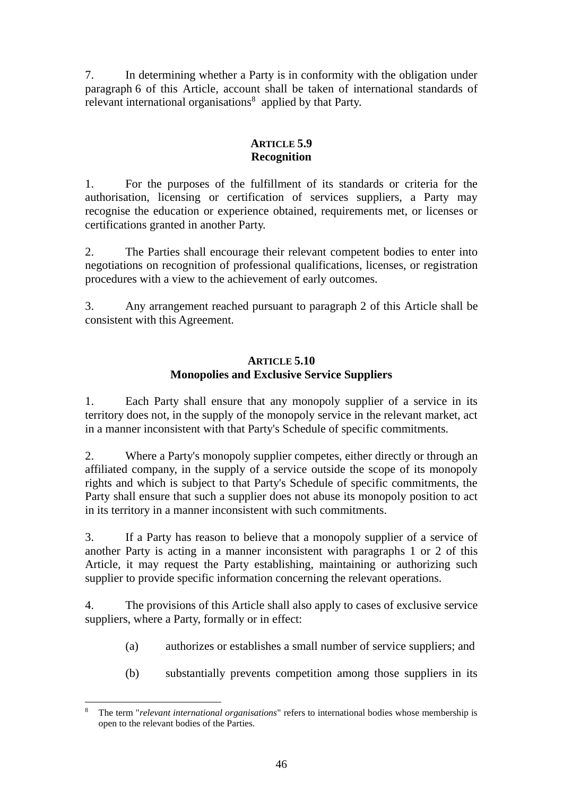7. In determining whether a Party is in conformity with the obligation under paragraph 6 of this Article, account shall be taken of international standards of relevant international organisations<sup>8</sup> applied by that Party.

## **ARTICLE 5.9 Recognition**

1. For the purposes of the fulfillment of its standards or criteria for the authorisation, licensing or certification of services suppliers, a Party may recognise the education or experience obtained, requirements met, or licenses or certifications granted in another Party.

2. The Parties shall encourage their relevant competent bodies to enter into negotiations on recognition of professional qualifications, licenses, or registration procedures with a view to the achievement of early outcomes.

3. Any arrangement reached pursuant to paragraph 2 of this Article shall be consistent with this Agreement.

## **ARTICLE 5.10 Monopolies and Exclusive Service Suppliers**

1. Each Party shall ensure that any monopoly supplier of a service in its territory does not, in the supply of the monopoly service in the relevant market, act in a manner inconsistent with that Party's Schedule of specific commitments.

2. Where a Party's monopoly supplier competes, either directly or through an affiliated company, in the supply of a service outside the scope of its monopoly rights and which is subject to that Party's Schedule of specific commitments, the Party shall ensure that such a supplier does not abuse its monopoly position to act in its territory in a manner inconsistent with such commitments.

3. If a Party has reason to believe that a monopoly supplier of a service of another Party is acting in a manner inconsistent with paragraphs 1 or 2 of this Article, it may request the Party establishing, maintaining or authorizing such supplier to provide specific information concerning the relevant operations.

4. The provisions of this Article shall also apply to cases of exclusive service suppliers, where a Party, formally or in effect:

- (a) authorizes or establishes a small number of service suppliers; and
- (b) substantially prevents competition among those suppliers in its

1

<sup>8</sup> The term "*relevant international organisations*" refers to international bodies whose membership is open to the relevant bodies of the Parties.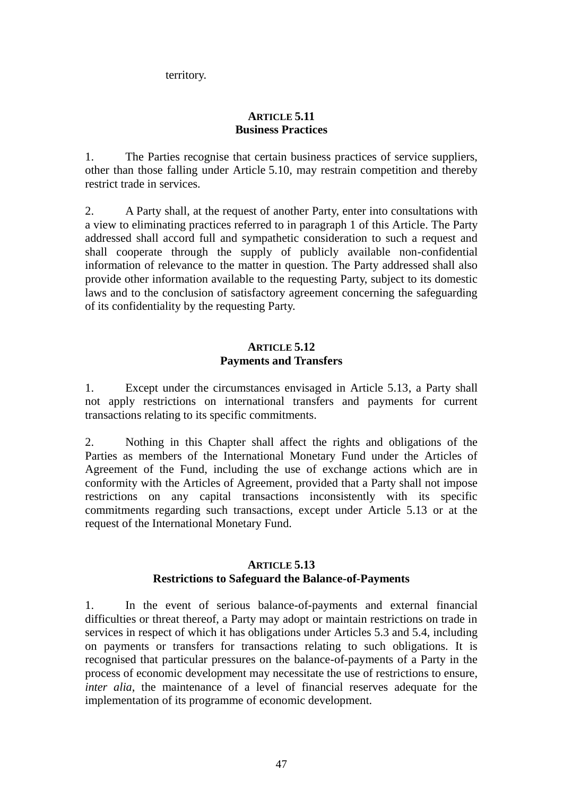territory.

## **ARTICLE 5.11 Business Practices**

1. The Parties recognise that certain business practices of service suppliers, other than those falling under Article 5.10, may restrain competition and thereby restrict trade in services.

2. A Party shall, at the request of another Party, enter into consultations with a view to eliminating practices referred to in paragraph 1 of this Article. The Party addressed shall accord full and sympathetic consideration to such a request and shall cooperate through the supply of publicly available non-confidential information of relevance to the matter in question. The Party addressed shall also provide other information available to the requesting Party, subject to its domestic laws and to the conclusion of satisfactory agreement concerning the safeguarding of its confidentiality by the requesting Party.

## **ARTICLE 5.12 Payments and Transfers**

1. Except under the circumstances envisaged in Article 5.13, a Party shall not apply restrictions on international transfers and payments for current transactions relating to its specific commitments.

2. Nothing in this Chapter shall affect the rights and obligations of the Parties as members of the International Monetary Fund under the Articles of Agreement of the Fund, including the use of exchange actions which are in conformity with the Articles of Agreement, provided that a Party shall not impose restrictions on any capital transactions inconsistently with its specific commitments regarding such transactions, except under Article 5.13 or at the request of the International Monetary Fund.

## **ARTICLE 5.13 Restrictions to Safeguard the Balance-of-Payments**

1. In the event of serious balance-of-payments and external financial difficulties or threat thereof, a Party may adopt or maintain restrictions on trade in services in respect of which it has obligations under Articles 5.3 and 5.4, including on payments or transfers for transactions relating to such obligations. It is recognised that particular pressures on the balance-of-payments of a Party in the process of economic development may necessitate the use of restrictions to ensure, *inter alia*, the maintenance of a level of financial reserves adequate for the implementation of its programme of economic development.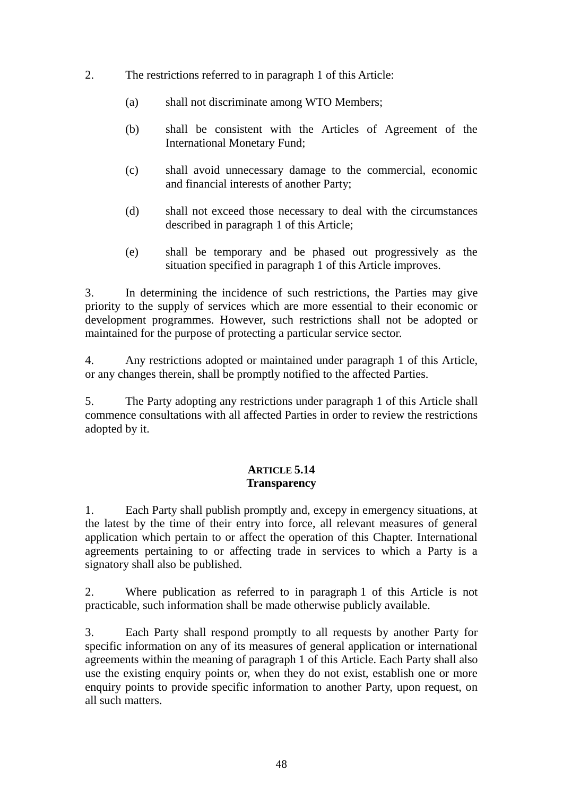- 2. The restrictions referred to in paragraph 1 of this Article:
	- (a) shall not discriminate among WTO Members;
	- (b) shall be consistent with the Articles of Agreement of the International Monetary Fund;
	- (c) shall avoid unnecessary damage to the commercial, economic and financial interests of another Party;
	- (d) shall not exceed those necessary to deal with the circumstances described in paragraph 1 of this Article;
	- (e) shall be temporary and be phased out progressively as the situation specified in paragraph 1 of this Article improves.

3. In determining the incidence of such restrictions, the Parties may give priority to the supply of services which are more essential to their economic or development programmes. However, such restrictions shall not be adopted or maintained for the purpose of protecting a particular service sector.

4. Any restrictions adopted or maintained under paragraph 1 of this Article, or any changes therein, shall be promptly notified to the affected Parties.

5. The Party adopting any restrictions under paragraph 1 of this Article shall commence consultations with all affected Parties in order to review the restrictions adopted by it.

## **ARTICLE 5.14 Transparency**

1. Each Party shall publish promptly and, excepy in emergency situations, at the latest by the time of their entry into force, all relevant measures of general application which pertain to or affect the operation of this Chapter. International agreements pertaining to or affecting trade in services to which a Party is a signatory shall also be published.

2. Where publication as referred to in paragraph 1 of this Article is not practicable, such information shall be made otherwise publicly available.

3. Each Party shall respond promptly to all requests by another Party for specific information on any of its measures of general application or international agreements within the meaning of paragraph 1 of this Article. Each Party shall also use the existing enquiry points or, when they do not exist, establish one or more enquiry points to provide specific information to another Party, upon request, on all such matters.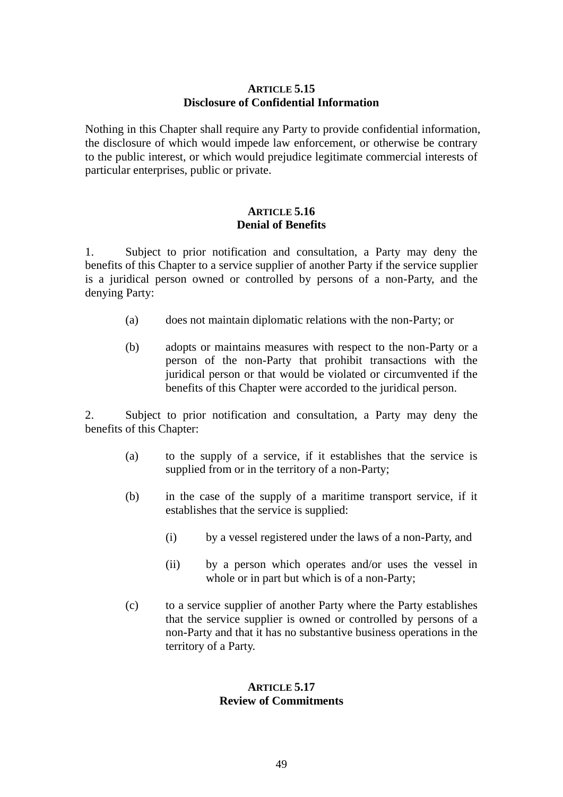#### **ARTICLE 5.15 Disclosure of Confidential Information**

Nothing in this Chapter shall require any Party to provide confidential information, the disclosure of which would impede law enforcement, or otherwise be contrary to the public interest, or which would prejudice legitimate commercial interests of particular enterprises, public or private.

## **ARTICLE 5.16 Denial of Benefits**

1. Subject to prior notification and consultation, a Party may deny the benefits of this Chapter to a service supplier of another Party if the service supplier is a juridical person owned or controlled by persons of a non-Party, and the denying Party:

- (a) does not maintain diplomatic relations with the non-Party; or
- (b) adopts or maintains measures with respect to the non-Party or a person of the non-Party that prohibit transactions with the juridical person or that would be violated or circumvented if the benefits of this Chapter were accorded to the juridical person.

2. Subject to prior notification and consultation, a Party may deny the benefits of this Chapter:

- (a) to the supply of a service, if it establishes that the service is supplied from or in the territory of a non-Party;
- (b) in the case of the supply of a maritime transport service, if it establishes that the service is supplied:
	- (i) by a vessel registered under the laws of a non-Party, and
	- (ii) by a person which operates and/or uses the vessel in whole or in part but which is of a non-Party;
- (c) to a service supplier of another Party where the Party establishes that the service supplier is owned or controlled by persons of a non-Party and that it has no substantive business operations in the territory of a Party.

#### **ARTICLE 5.17 Review of Commitments**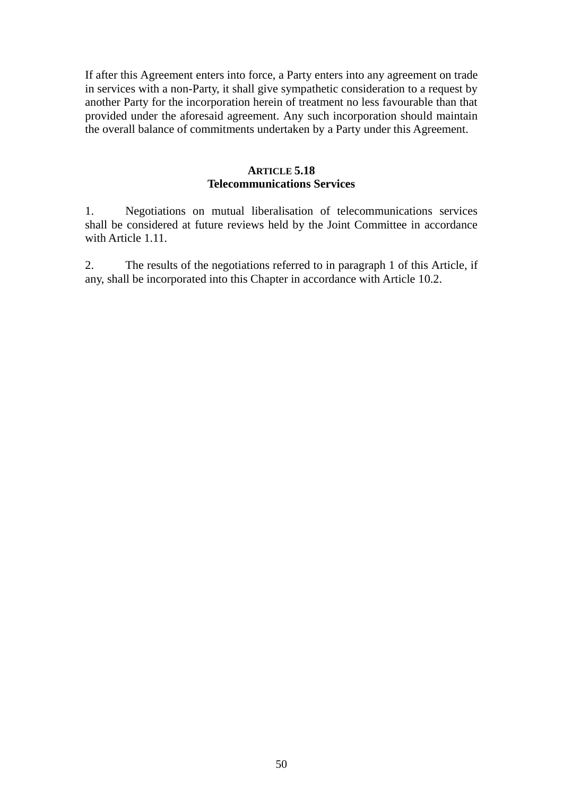If after this Agreement enters into force, a Party enters into any agreement on trade in services with a non-Party, it shall give sympathetic consideration to a request by another Party for the incorporation herein of treatment no less favourable than that provided under the aforesaid agreement. Any such incorporation should maintain the overall balance of commitments undertaken by a Party under this Agreement.

#### **ARTICLE 5.18 Telecommunications Services**

1. Negotiations on mutual liberalisation of telecommunications services shall be considered at future reviews held by the Joint Committee in accordance with Article 1.11.

2. The results of the negotiations referred to in paragraph 1 of this Article, if any, shall be incorporated into this Chapter in accordance with Article 10.2.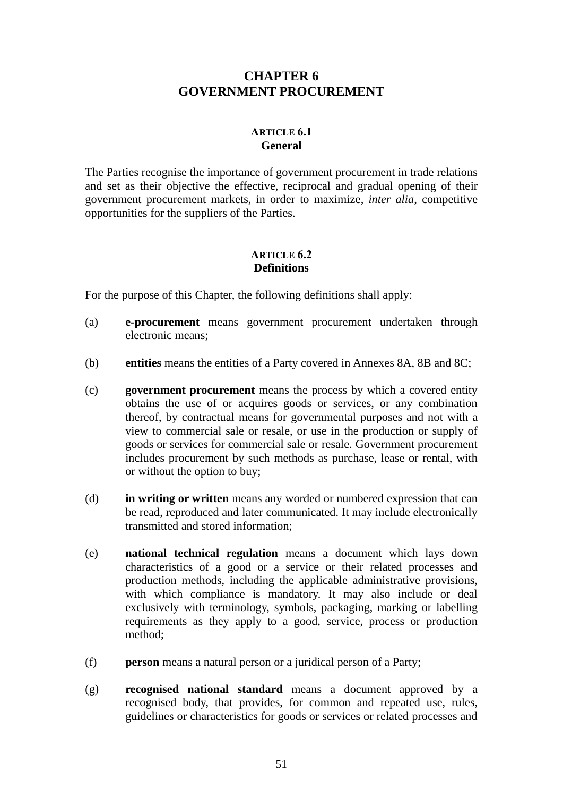# **CHAPTER 6 GOVERNMENT PROCUREMENT**

## **ARTICLE 6.1 General**

The Parties recognise the importance of government procurement in trade relations and set as their objective the effective, reciprocal and gradual opening of their government procurement markets, in order to maximize, *inter alia*, competitive opportunities for the suppliers of the Parties.

## **ARTICLE 6.2 Definitions**

For the purpose of this Chapter, the following definitions shall apply:

- (a) **e-procurement** means government procurement undertaken through electronic means;
- (b) **entities** means the entities of a Party covered in Annexes 8A, 8B and 8C;
- (c) **government procurement** means the process by which a covered entity obtains the use of or acquires goods or services, or any combination thereof, by contractual means for governmental purposes and not with a view to commercial sale or resale, or use in the production or supply of goods or services for commercial sale or resale. Government procurement includes procurement by such methods as purchase, lease or rental, with or without the option to buy;
- (d) **in writing or written** means any worded or numbered expression that can be read, reproduced and later communicated. It may include electronically transmitted and stored information;
- (e) **national technical regulation** means a document which lays down characteristics of a good or a service or their related processes and production methods, including the applicable administrative provisions, with which compliance is mandatory. It may also include or deal exclusively with terminology, symbols, packaging, marking or labelling requirements as they apply to a good, service, process or production method;
- (f) **person** means a natural person or a juridical person of a Party;
- (g) **recognised national standard** means a document approved by a recognised body, that provides, for common and repeated use, rules, guidelines or characteristics for goods or services or related processes and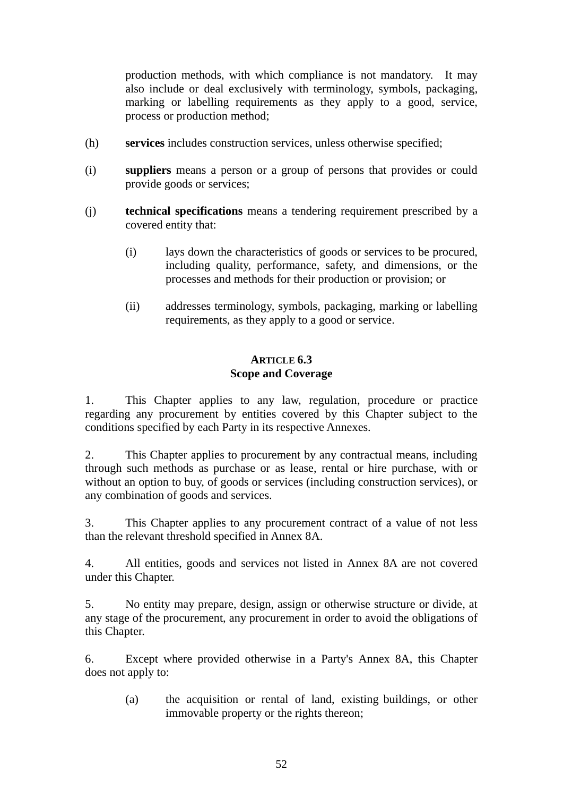production methods, with which compliance is not mandatory. It may also include or deal exclusively with terminology, symbols, packaging, marking or labelling requirements as they apply to a good, service, process or production method;

- (h) **services** includes construction services, unless otherwise specified;
- (i) **suppliers** means a person or a group of persons that provides or could provide goods or services;
- (j) **technical specifications** means a tendering requirement prescribed by a covered entity that:
	- (i) lays down the characteristics of goods or services to be procured, including quality, performance, safety, and dimensions, or the processes and methods for their production or provision; or
	- (ii) addresses terminology, symbols, packaging, marking or labelling requirements, as they apply to a good or service.

## **ARTICLE 6.3 Scope and Coverage**

1. This Chapter applies to any law, regulation, procedure or practice regarding any procurement by entities covered by this Chapter subject to the conditions specified by each Party in its respective Annexes.

2. This Chapter applies to procurement by any contractual means, including through such methods as purchase or as lease, rental or hire purchase, with or without an option to buy, of goods or services (including construction services), or any combination of goods and services.

3. This Chapter applies to any procurement contract of a value of not less than the relevant threshold specified in Annex 8A.

4. All entities, goods and services not listed in Annex 8A are not covered under this Chapter.

5. No entity may prepare, design, assign or otherwise structure or divide, at any stage of the procurement, any procurement in order to avoid the obligations of this Chapter.

6. Except where provided otherwise in a Party's Annex 8A, this Chapter does not apply to:

> (a) the acquisition or rental of land, existing buildings, or other immovable property or the rights thereon;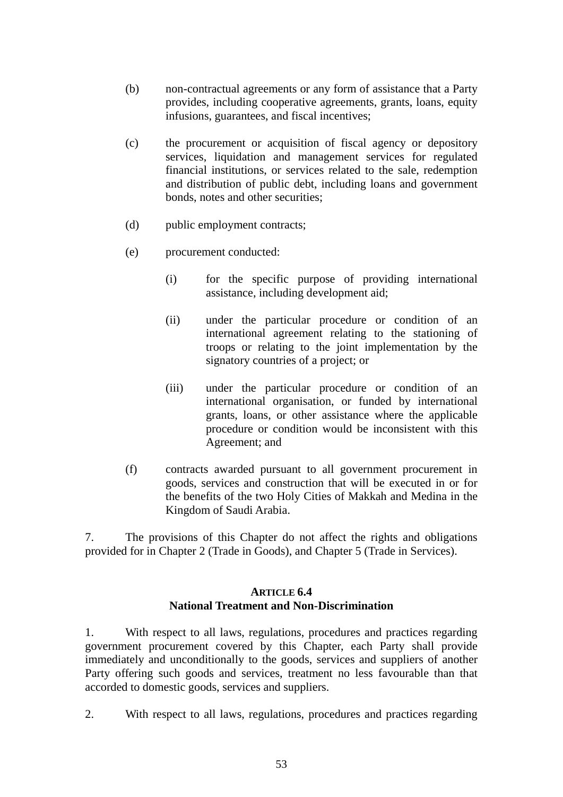- (b) non-contractual agreements or any form of assistance that a Party provides, including cooperative agreements, grants, loans, equity infusions, guarantees, and fiscal incentives;
- (c) the procurement or acquisition of fiscal agency or depository services, liquidation and management services for regulated financial institutions, or services related to the sale, redemption and distribution of public debt, including loans and government bonds, notes and other securities;
- (d) public employment contracts;
- (e) procurement conducted:
	- (i) for the specific purpose of providing international assistance, including development aid;
	- (ii) under the particular procedure or condition of an international agreement relating to the stationing of troops or relating to the joint implementation by the signatory countries of a project; or
	- (iii) under the particular procedure or condition of an international organisation, or funded by international grants, loans, or other assistance where the applicable procedure or condition would be inconsistent with this Agreement; and
- (f) contracts awarded pursuant to all government procurement in goods, services and construction that will be executed in or for the benefits of the two Holy Cities of Makkah and Medina in the Kingdom of Saudi Arabia.

7. The provisions of this Chapter do not affect the rights and obligations provided for in Chapter 2 (Trade in Goods), and Chapter 5 (Trade in Services).

#### **ARTICLE 6.4 National Treatment and Non-Discrimination**

1. With respect to all laws, regulations, procedures and practices regarding government procurement covered by this Chapter, each Party shall provide immediately and unconditionally to the goods, services and suppliers of another Party offering such goods and services, treatment no less favourable than that accorded to domestic goods, services and suppliers.

2. With respect to all laws, regulations, procedures and practices regarding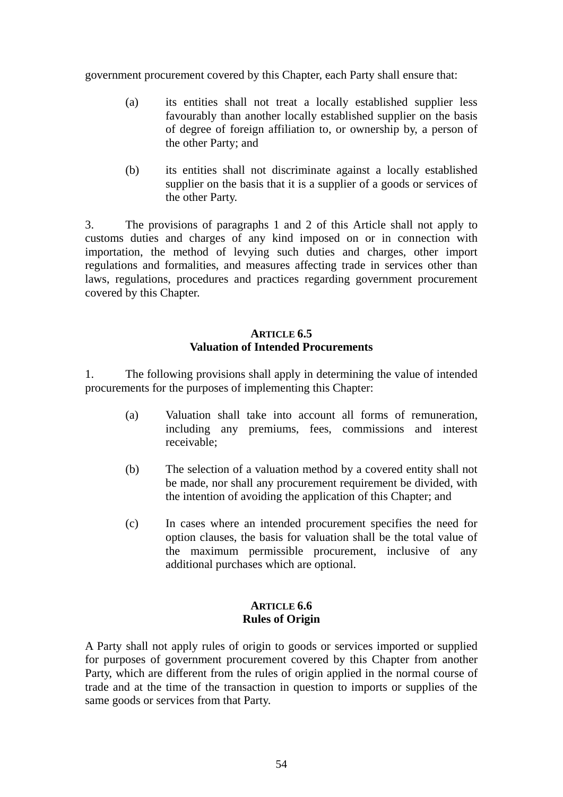government procurement covered by this Chapter, each Party shall ensure that:

- (a) its entities shall not treat a locally established supplier less favourably than another locally established supplier on the basis of degree of foreign affiliation to, or ownership by, a person of the other Party; and
- (b) its entities shall not discriminate against a locally established supplier on the basis that it is a supplier of a goods or services of the other Party.

3. The provisions of paragraphs 1 and 2 of this Article shall not apply to customs duties and charges of any kind imposed on or in connection with importation, the method of levying such duties and charges, other import regulations and formalities, and measures affecting trade in services other than laws, regulations, procedures and practices regarding government procurement covered by this Chapter.

## **ARTICLE 6.5 Valuation of Intended Procurements**

1. The following provisions shall apply in determining the value of intended procurements for the purposes of implementing this Chapter:

- (a) Valuation shall take into account all forms of remuneration, including any premiums, fees, commissions and interest receivable;
- (b) The selection of a valuation method by a covered entity shall not be made, nor shall any procurement requirement be divided, with the intention of avoiding the application of this Chapter; and
- (c) In cases where an intended procurement specifies the need for option clauses, the basis for valuation shall be the total value of the maximum permissible procurement, inclusive of any additional purchases which are optional.

#### **ARTICLE 6.6 Rules of Origin**

A Party shall not apply rules of origin to goods or services imported or supplied for purposes of government procurement covered by this Chapter from another Party, which are different from the rules of origin applied in the normal course of trade and at the time of the transaction in question to imports or supplies of the same goods or services from that Party.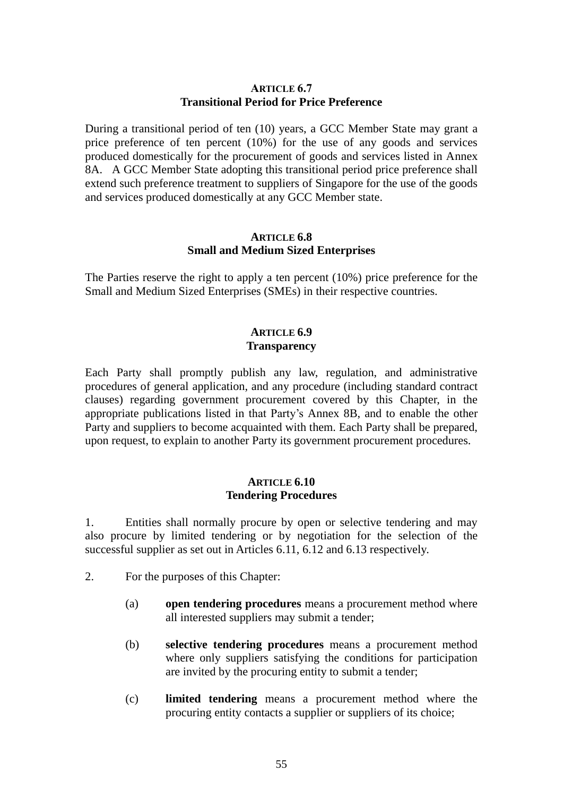#### **ARTICLE 6.7 Transitional Period for Price Preference**

During a transitional period of ten (10) years, a GCC Member State may grant a price preference of ten percent (10%) for the use of any goods and services produced domestically for the procurement of goods and services listed in Annex 8A. A GCC Member State adopting this transitional period price preference shall extend such preference treatment to suppliers of Singapore for the use of the goods and services produced domestically at any GCC Member state.

#### **ARTICLE 6.8 Small and Medium Sized Enterprises**

The Parties reserve the right to apply a ten percent (10%) price preference for the Small and Medium Sized Enterprises (SMEs) in their respective countries.

## **ARTICLE 6.9 Transparency**

Each Party shall promptly publish any law, regulation, and administrative procedures of general application, and any procedure (including standard contract clauses) regarding government procurement covered by this Chapter, in the appropriate publications listed in that Party's Annex 8B, and to enable the other Party and suppliers to become acquainted with them. Each Party shall be prepared, upon request, to explain to another Party its government procurement procedures.

#### **ARTICLE 6.10 Tendering Procedures**

1. Entities shall normally procure by open or selective tendering and may also procure by limited tendering or by negotiation for the selection of the successful supplier as set out in Articles 6.11, 6.12 and 6.13 respectively.

- 2. For the purposes of this Chapter:
	- (a) **open tendering procedures** means a procurement method where all interested suppliers may submit a tender;
	- (b) **selective tendering procedures** means a procurement method where only suppliers satisfying the conditions for participation are invited by the procuring entity to submit a tender;
	- (c) **limited tendering** means a procurement method where the procuring entity contacts a supplier or suppliers of its choice;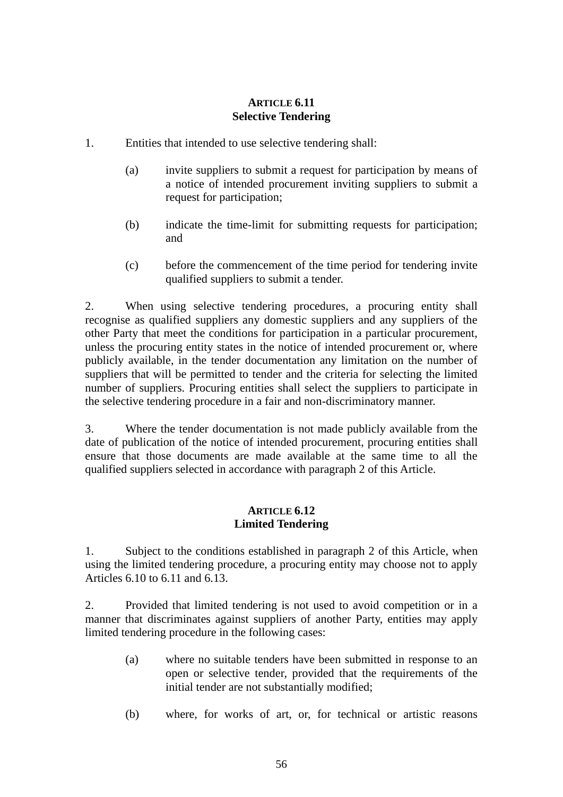## **ARTICLE 6.11 Selective Tendering**

- 1. Entities that intended to use selective tendering shall:
	- (a) invite suppliers to submit a request for participation by means of a notice of intended procurement inviting suppliers to submit a request for participation;
	- (b) indicate the time-limit for submitting requests for participation; and
	- (c) before the commencement of the time period for tendering invite qualified suppliers to submit a tender.

2. When using selective tendering procedures, a procuring entity shall recognise as qualified suppliers any domestic suppliers and any suppliers of the other Party that meet the conditions for participation in a particular procurement, unless the procuring entity states in the notice of intended procurement or, where publicly available, in the tender documentation any limitation on the number of suppliers that will be permitted to tender and the criteria for selecting the limited number of suppliers. Procuring entities shall select the suppliers to participate in the selective tendering procedure in a fair and non-discriminatory manner.

3. Where the tender documentation is not made publicly available from the date of publication of the notice of intended procurement, procuring entities shall ensure that those documents are made available at the same time to all the qualified suppliers selected in accordance with paragraph 2 of this Article.

#### **ARTICLE 6.12 Limited Tendering**

1. Subject to the conditions established in paragraph 2 of this Article, when using the limited tendering procedure, a procuring entity may choose not to apply Articles 6.10 to 6.11 and 6.13.

2. Provided that limited tendering is not used to avoid competition or in a manner that discriminates against suppliers of another Party, entities may apply limited tendering procedure in the following cases:

- (a) where no suitable tenders have been submitted in response to an open or selective tender, provided that the requirements of the initial tender are not substantially modified;
- (b) where, for works of art, or, for technical or artistic reasons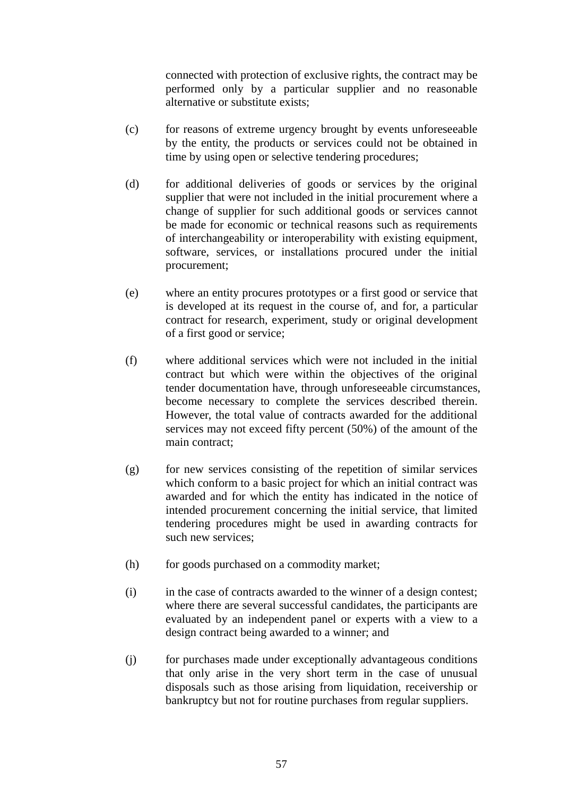connected with protection of exclusive rights, the contract may be performed only by a particular supplier and no reasonable alternative or substitute exists;

- (c) for reasons of extreme urgency brought by events unforeseeable by the entity, the products or services could not be obtained in time by using open or selective tendering procedures;
- (d) for additional deliveries of goods or services by the original supplier that were not included in the initial procurement where a change of supplier for such additional goods or services cannot be made for economic or technical reasons such as requirements of interchangeability or interoperability with existing equipment, software, services, or installations procured under the initial procurement;
- (e) where an entity procures prototypes or a first good or service that is developed at its request in the course of, and for, a particular contract for research, experiment, study or original development of a first good or service;
- (f) where additional services which were not included in the initial contract but which were within the objectives of the original tender documentation have, through unforeseeable circumstances, become necessary to complete the services described therein. However, the total value of contracts awarded for the additional services may not exceed fifty percent (50%) of the amount of the main contract;
- (g) for new services consisting of the repetition of similar services which conform to a basic project for which an initial contract was awarded and for which the entity has indicated in the notice of intended procurement concerning the initial service, that limited tendering procedures might be used in awarding contracts for such new services;
- (h) for goods purchased on a commodity market;
- (i) in the case of contracts awarded to the winner of a design contest; where there are several successful candidates, the participants are evaluated by an independent panel or experts with a view to a design contract being awarded to a winner; and
- (j) for purchases made under exceptionally advantageous conditions that only arise in the very short term in the case of unusual disposals such as those arising from liquidation, receivership or bankruptcy but not for routine purchases from regular suppliers.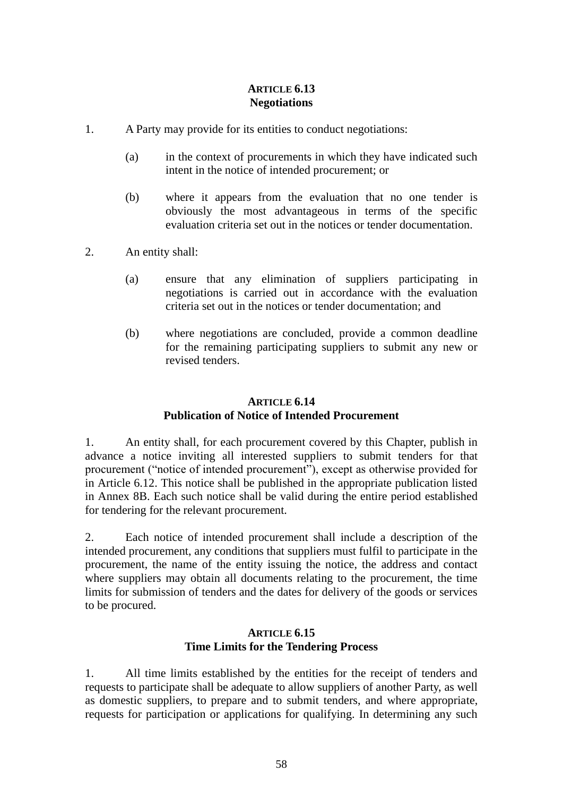## **ARTICLE 6.13 Negotiations**

- 1. A Party may provide for its entities to conduct negotiations:
	- (a) in the context of procurements in which they have indicated such intent in the notice of intended procurement; or
	- (b) where it appears from the evaluation that no one tender is obviously the most advantageous in terms of the specific evaluation criteria set out in the notices or tender documentation.
- 2. An entity shall:
	- (a) ensure that any elimination of suppliers participating in negotiations is carried out in accordance with the evaluation criteria set out in the notices or tender documentation; and
	- (b) where negotiations are concluded, provide a common deadline for the remaining participating suppliers to submit any new or revised tenders.

## **ARTICLE 6.14 Publication of Notice of Intended Procurement**

1. An entity shall, for each procurement covered by this Chapter, publish in advance a notice inviting all interested suppliers to submit tenders for that procurement ("notice of intended procurement"), except as otherwise provided for in Article 6.12. This notice shall be published in the appropriate publication listed in Annex 8B. Each such notice shall be valid during the entire period established for tendering for the relevant procurement.

2. Each notice of intended procurement shall include a description of the intended procurement, any conditions that suppliers must fulfil to participate in the procurement, the name of the entity issuing the notice, the address and contact where suppliers may obtain all documents relating to the procurement, the time limits for submission of tenders and the dates for delivery of the goods or services to be procured.

## **ARTICLE 6.15 Time Limits for the Tendering Process**

1. All time limits established by the entities for the receipt of tenders and requests to participate shall be adequate to allow suppliers of another Party, as well as domestic suppliers, to prepare and to submit tenders, and where appropriate, requests for participation or applications for qualifying. In determining any such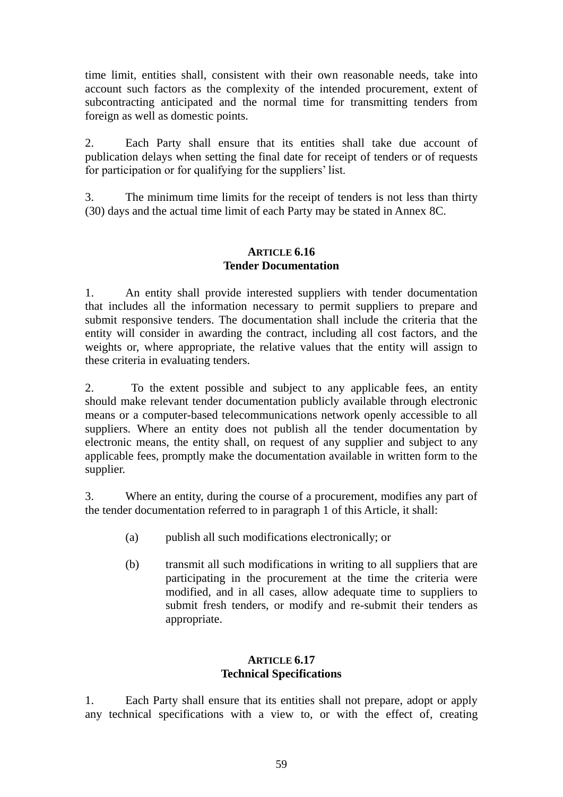time limit, entities shall, consistent with their own reasonable needs, take into account such factors as the complexity of the intended procurement, extent of subcontracting anticipated and the normal time for transmitting tenders from foreign as well as domestic points.

2. Each Party shall ensure that its entities shall take due account of publication delays when setting the final date for receipt of tenders or of requests for participation or for qualifying for the suppliers' list.

3. The minimum time limits for the receipt of tenders is not less than thirty (30) days and the actual time limit of each Party may be stated in Annex 8C.

## **ARTICLE 6.16 Tender Documentation**

1. An entity shall provide interested suppliers with tender documentation that includes all the information necessary to permit suppliers to prepare and submit responsive tenders. The documentation shall include the criteria that the entity will consider in awarding the contract, including all cost factors, and the weights or, where appropriate, the relative values that the entity will assign to these criteria in evaluating tenders.

2. To the extent possible and subject to any applicable fees, an entity should make relevant tender documentation publicly available through electronic means or a computer-based telecommunications network openly accessible to all suppliers. Where an entity does not publish all the tender documentation by electronic means, the entity shall, on request of any supplier and subject to any applicable fees, promptly make the documentation available in written form to the supplier.

3. Where an entity, during the course of a procurement, modifies any part of the tender documentation referred to in paragraph 1 of this Article, it shall:

- (a) publish all such modifications electronically; or
- (b) transmit all such modifications in writing to all suppliers that are participating in the procurement at the time the criteria were modified, and in all cases, allow adequate time to suppliers to submit fresh tenders, or modify and re-submit their tenders as appropriate.

#### **ARTICLE 6.17 Technical Specifications**

1. Each Party shall ensure that its entities shall not prepare, adopt or apply any technical specifications with a view to, or with the effect of, creating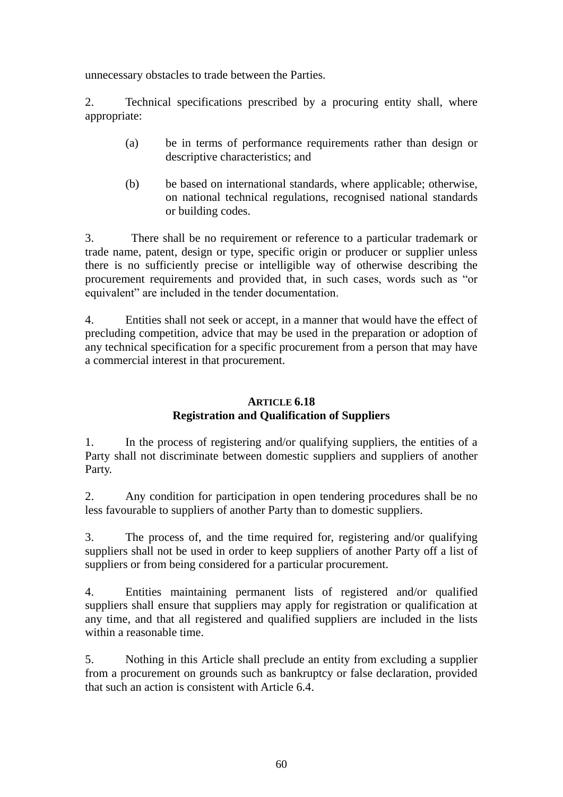unnecessary obstacles to trade between the Parties.

2. Technical specifications prescribed by a procuring entity shall, where appropriate:

- (a) be in terms of performance requirements rather than design or descriptive characteristics; and
- (b) be based on international standards, where applicable; otherwise, on national technical regulations, recognised national standards or building codes.

3. There shall be no requirement or reference to a particular trademark or trade name, patent, design or type, specific origin or producer or supplier unless there is no sufficiently precise or intelligible way of otherwise describing the procurement requirements and provided that, in such cases, words such as "or equivalent" are included in the tender documentation.

4. Entities shall not seek or accept, in a manner that would have the effect of precluding competition, advice that may be used in the preparation or adoption of any technical specification for a specific procurement from a person that may have a commercial interest in that procurement.

## **ARTICLE 6.18 Registration and Qualification of Suppliers**

1. In the process of registering and/or qualifying suppliers, the entities of a Party shall not discriminate between domestic suppliers and suppliers of another Party.

2. Any condition for participation in open tendering procedures shall be no less favourable to suppliers of another Party than to domestic suppliers.

3. The process of, and the time required for, registering and/or qualifying suppliers shall not be used in order to keep suppliers of another Party off a list of suppliers or from being considered for a particular procurement.

4. Entities maintaining permanent lists of registered and/or qualified suppliers shall ensure that suppliers may apply for registration or qualification at any time, and that all registered and qualified suppliers are included in the lists within a reasonable time.

5. Nothing in this Article shall preclude an entity from excluding a supplier from a procurement on grounds such as bankruptcy or false declaration, provided that such an action is consistent with Article 6.4.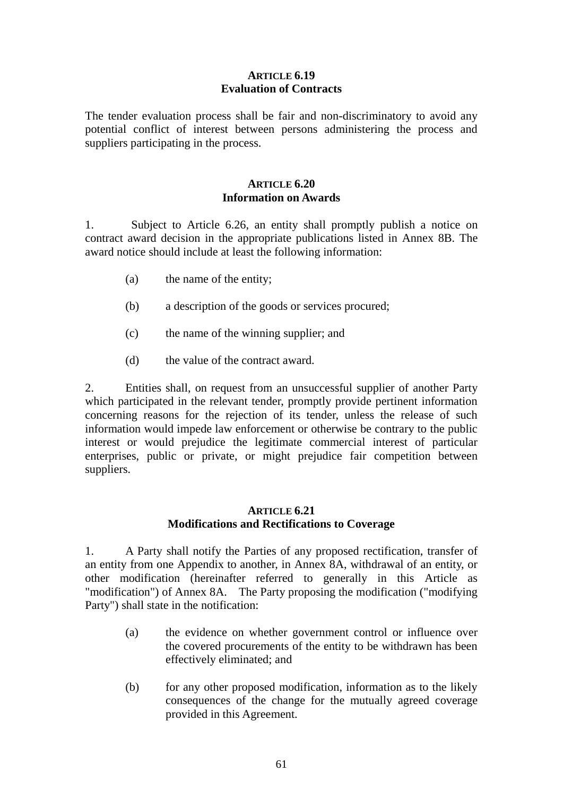### **ARTICLE 6.19 Evaluation of Contracts**

The tender evaluation process shall be fair and non-discriminatory to avoid any potential conflict of interest between persons administering the process and suppliers participating in the process.

#### **ARTICLE 6.20 Information on Awards**

1. Subject to Article 6.26, an entity shall promptly publish a notice on contract award decision in the appropriate publications listed in Annex 8B. The award notice should include at least the following information:

- (a) the name of the entity;
- (b) a description of the goods or services procured;
- (c) the name of the winning supplier; and
- (d) the value of the contract award.

2. Entities shall, on request from an unsuccessful supplier of another Party which participated in the relevant tender, promptly provide pertinent information concerning reasons for the rejection of its tender, unless the release of such information would impede law enforcement or otherwise be contrary to the public interest or would prejudice the legitimate commercial interest of particular enterprises, public or private, or might prejudice fair competition between suppliers.

#### **ARTICLE 6.21 Modifications and Rectifications to Coverage**

1. A Party shall notify the Parties of any proposed rectification, transfer of an entity from one Appendix to another, in Annex 8A, withdrawal of an entity, or other modification (hereinafter referred to generally in this Article as "modification") of Annex 8A. The Party proposing the modification ("modifying Party") shall state in the notification:

- (a) the evidence on whether government control or influence over the covered procurements of the entity to be withdrawn has been effectively eliminated; and
- (b) for any other proposed modification, information as to the likely consequences of the change for the mutually agreed coverage provided in this Agreement.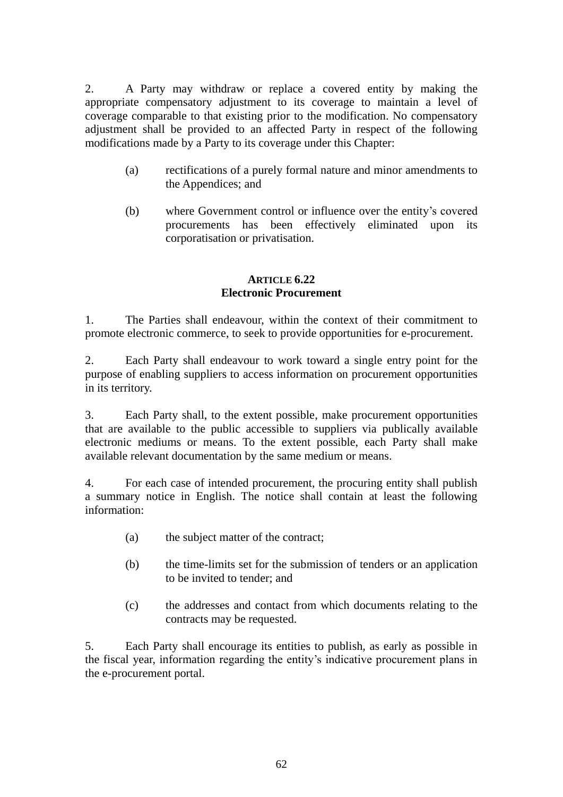2. A Party may withdraw or replace a covered entity by making the appropriate compensatory adjustment to its coverage to maintain a level of coverage comparable to that existing prior to the modification. No compensatory adjustment shall be provided to an affected Party in respect of the following modifications made by a Party to its coverage under this Chapter:

- (a) rectifications of a purely formal nature and minor amendments to the Appendices; and
- (b) where Government control or influence over the entity's covered procurements has been effectively eliminated upon its corporatisation or privatisation.

## **ARTICLE 6.22 Electronic Procurement**

1. The Parties shall endeavour, within the context of their commitment to promote electronic commerce, to seek to provide opportunities for e-procurement.

2. Each Party shall endeavour to work toward a single entry point for the purpose of enabling suppliers to access information on procurement opportunities in its territory.

3. Each Party shall, to the extent possible, make procurement opportunities that are available to the public accessible to suppliers via publically available electronic mediums or means. To the extent possible, each Party shall make available relevant documentation by the same medium or means.

4. For each case of intended procurement, the procuring entity shall publish a summary notice in English. The notice shall contain at least the following information:

- (a) the subject matter of the contract;
- (b) the time-limits set for the submission of tenders or an application to be invited to tender; and
- (c) the addresses and contact from which documents relating to the contracts may be requested.

5. Each Party shall encourage its entities to publish, as early as possible in the fiscal year, information regarding the entity's indicative procurement plans in the e-procurement portal.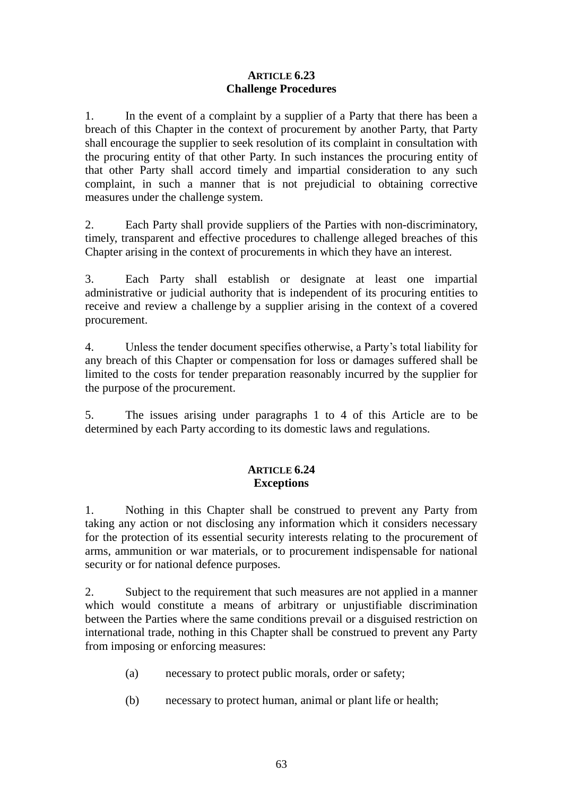### **ARTICLE 6.23 Challenge Procedures**

1. In the event of a complaint by a supplier of a Party that there has been a breach of this Chapter in the context of procurement by another Party, that Party shall encourage the supplier to seek resolution of its complaint in consultation with the procuring entity of that other Party. In such instances the procuring entity of that other Party shall accord timely and impartial consideration to any such complaint, in such a manner that is not prejudicial to obtaining corrective measures under the challenge system.

2. Each Party shall provide suppliers of the Parties with non-discriminatory, timely, transparent and effective procedures to challenge alleged breaches of this Chapter arising in the context of procurements in which they have an interest.

3. Each Party shall establish or designate at least one impartial administrative or judicial authority that is independent of its procuring entities to receive and review a challenge by a supplier arising in the context of a covered procurement.

4. Unless the tender document specifies otherwise, a Party's total liability for any breach of this Chapter or compensation for loss or damages suffered shall be limited to the costs for tender preparation reasonably incurred by the supplier for the purpose of the procurement.

5. The issues arising under paragraphs 1 to 4 of this Article are to be determined by each Party according to its domestic laws and regulations.

## **ARTICLE 6.24 Exceptions**

1. Nothing in this Chapter shall be construed to prevent any Party from taking any action or not disclosing any information which it considers necessary for the protection of its essential security interests relating to the procurement of arms, ammunition or war materials, or to procurement indispensable for national security or for national defence purposes.

2. Subject to the requirement that such measures are not applied in a manner which would constitute a means of arbitrary or unjustifiable discrimination between the Parties where the same conditions prevail or a disguised restriction on international trade, nothing in this Chapter shall be construed to prevent any Party from imposing or enforcing measures:

- (a) necessary to protect public morals, order or safety;
- (b) necessary to protect human, animal or plant life or health;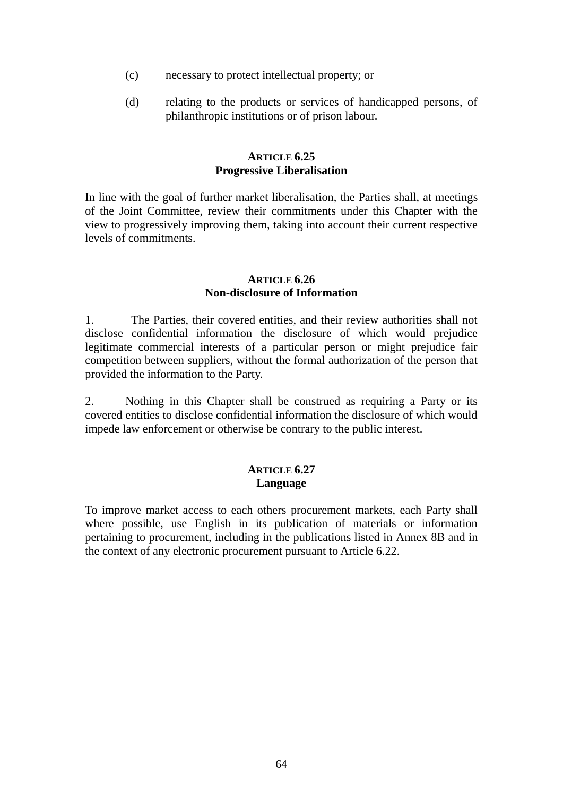- (c) necessary to protect intellectual property; or
- (d) relating to the products or services of handicapped persons, of philanthropic institutions or of prison labour.

#### **ARTICLE 6.25 Progressive Liberalisation**

In line with the goal of further market liberalisation, the Parties shall, at meetings of the Joint Committee, review their commitments under this Chapter with the view to progressively improving them, taking into account their current respective levels of commitments.

### **ARTICLE 6.26 Non-disclosure of Information**

1. The Parties, their covered entities, and their review authorities shall not disclose confidential information the disclosure of which would prejudice legitimate commercial interests of a particular person or might prejudice fair competition between suppliers, without the formal authorization of the person that provided the information to the Party.

2. Nothing in this Chapter shall be construed as requiring a Party or its covered entities to disclose confidential information the disclosure of which would impede law enforcement or otherwise be contrary to the public interest.

#### **ARTICLE 6.27 Language**

To improve market access to each others procurement markets, each Party shall where possible, use English in its publication of materials or information pertaining to procurement, including in the publications listed in Annex 8B and in the context of any electronic procurement pursuant to Article 6.22.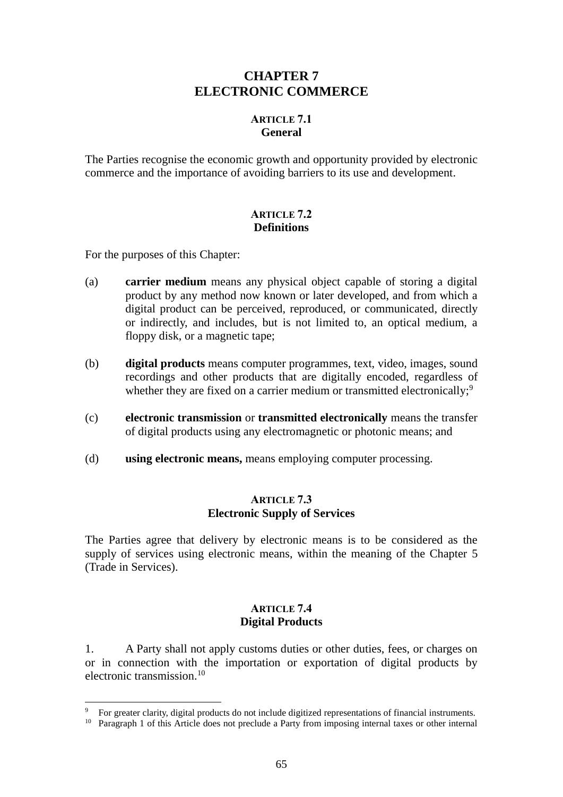# **CHAPTER 7 ELECTRONIC COMMERCE**

# **ARTICLE 7.1 General**

The Parties recognise the economic growth and opportunity provided by electronic commerce and the importance of avoiding barriers to its use and development.

### **ARTICLE 7.2 Definitions**

For the purposes of this Chapter:

1

- (a) **carrier medium** means any physical object capable of storing a digital product by any method now known or later developed, and from which a digital product can be perceived, reproduced, or communicated, directly or indirectly, and includes, but is not limited to, an optical medium, a floppy disk, or a magnetic tape;
- (b) **digital products** means computer programmes, text, video, images, sound recordings and other products that are digitally encoded, regardless of whether they are fixed on a carrier medium or transmitted electronically;<sup>9</sup>
- (c) **electronic transmission** or **transmitted electronically** means the transfer of digital products using any electromagnetic or photonic means; and
- (d) **using electronic means,** means employing computer processing.

## **ARTICLE 7.3 Electronic Supply of Services**

The Parties agree that delivery by electronic means is to be considered as the supply of services using electronic means, within the meaning of the Chapter 5 (Trade in Services).

#### **ARTICLE 7.4 Digital Products**

1. A Party shall not apply customs duties or other duties, fees, or charges on or in connection with the importation or exportation of digital products by electronic transmission.<sup>10</sup>

<sup>&</sup>lt;sup>9</sup> For greater clarity, digital products do not include digitized representations of financial instruments.

<sup>&</sup>lt;sup>10</sup> Paragraph 1 of this Article does not preclude a Party from imposing internal taxes or other internal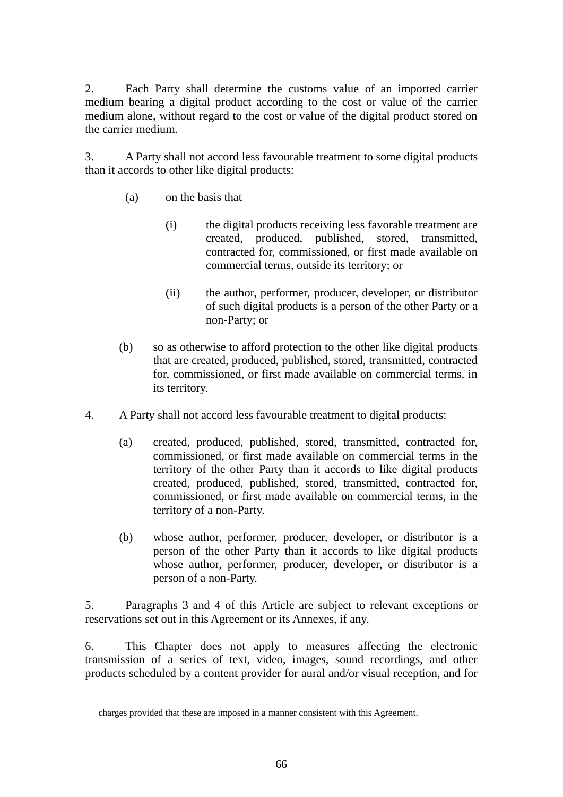2. Each Party shall determine the customs value of an imported carrier medium bearing a digital product according to the cost or value of the carrier medium alone, without regard to the cost or value of the digital product stored on the carrier medium.

3. A Party shall not accord less favourable treatment to some digital products than it accords to other like digital products:

- (a) on the basis that
	- (i) the digital products receiving less favorable treatment are created, produced, published, stored, transmitted, contracted for, commissioned, or first made available on commercial terms, outside its territory; or
	- (ii) the author, performer, producer, developer, or distributor of such digital products is a person of the other Party or a non-Party; or
- (b) so as otherwise to afford protection to the other like digital products that are created, produced, published, stored, transmitted, contracted for, commissioned, or first made available on commercial terms, in its territory.
- 4. A Party shall not accord less favourable treatment to digital products:
	- (a) created, produced, published, stored, transmitted, contracted for, commissioned, or first made available on commercial terms in the territory of the other Party than it accords to like digital products created, produced, published, stored, transmitted, contracted for, commissioned, or first made available on commercial terms, in the territory of a non-Party.
	- (b) whose author, performer, producer, developer, or distributor is a person of the other Party than it accords to like digital products whose author, performer, producer, developer, or distributor is a person of a non-Party.

5. Paragraphs 3 and 4 of this Article are subject to relevant exceptions or reservations set out in this Agreement or its Annexes, if any.

6. This Chapter does not apply to measures affecting the electronic transmission of a series of text, video, images, sound recordings, and other products scheduled by a content provider for aural and/or visual reception, and for

1

charges provided that these are imposed in a manner consistent with this Agreement.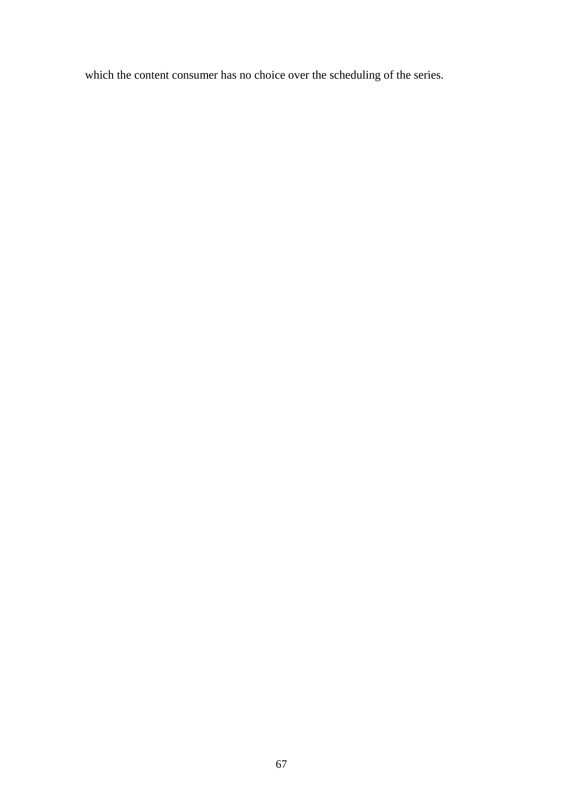which the content consumer has no choice over the scheduling of the series.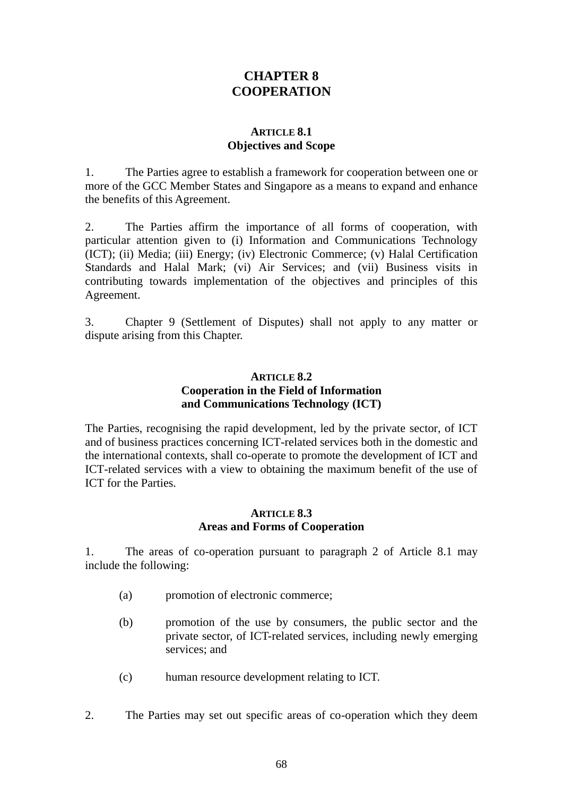# **CHAPTER 8 COOPERATION**

## **ARTICLE 8.1 Objectives and Scope**

1. The Parties agree to establish a framework for cooperation between one or more of the GCC Member States and Singapore as a means to expand and enhance the benefits of this Agreement.

2. The Parties affirm the importance of all forms of cooperation, with particular attention given to (i) Information and Communications Technology (ICT); (ii) Media; (iii) Energy; (iv) Electronic Commerce; (v) Halal Certification Standards and Halal Mark; (vi) Air Services; and (vii) Business visits in contributing towards implementation of the objectives and principles of this Agreement.

3. Chapter 9 (Settlement of Disputes) shall not apply to any matter or dispute arising from this Chapter.

## **ARTICLE 8.2 Cooperation in the Field of Information and Communications Technology (ICT)**

The Parties, recognising the rapid development, led by the private sector, of ICT and of business practices concerning ICT-related services both in the domestic and the international contexts, shall co-operate to promote the development of ICT and ICT-related services with a view to obtaining the maximum benefit of the use of ICT for the Parties.

## **ARTICLE 8.3 Areas and Forms of Cooperation**

1. The areas of co-operation pursuant to paragraph 2 of Article 8.1 may include the following:

- (a) promotion of electronic commerce;
- (b) promotion of the use by consumers, the public sector and the private sector, of ICT-related services, including newly emerging services; and
- (c) human resource development relating to ICT.
- 2. The Parties may set out specific areas of co-operation which they deem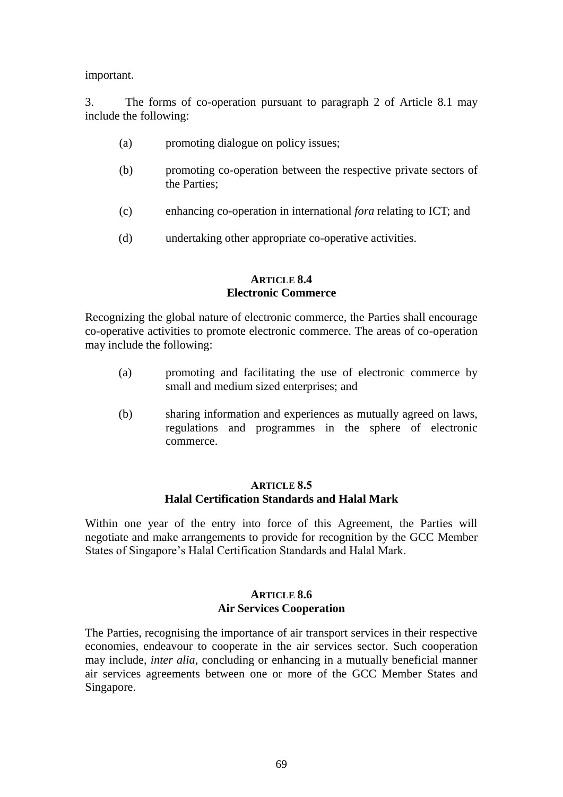important.

3. The forms of co-operation pursuant to paragraph 2 of Article 8.1 may include the following:

- (a) promoting dialogue on policy issues;
- (b) promoting co-operation between the respective private sectors of the Parties;
- (c) enhancing co-operation in international *fora* relating to ICT; and
- (d) undertaking other appropriate co-operative activities.

#### **ARTICLE 8.4 Electronic Commerce**

Recognizing the global nature of electronic commerce, the Parties shall encourage co-operative activities to promote electronic commerce. The areas of co-operation may include the following:

- (a) promoting and facilitating the use of electronic commerce by small and medium sized enterprises; and
- (b) sharing information and experiences as mutually agreed on laws, regulations and programmes in the sphere of electronic commerce.

### **ARTICLE 8.5 Halal Certification Standards and Halal Mark**

Within one year of the entry into force of this Agreement, the Parties will negotiate and make arrangements to provide for recognition by the GCC Member States of Singapore's Halal Certification Standards and Halal Mark.

#### **ARTICLE 8.6 Air Services Cooperation**

The Parties, recognising the importance of air transport services in their respective economies, endeavour to cooperate in the air services sector. Such cooperation may include, *inter alia*, concluding or enhancing in a mutually beneficial manner air services agreements between one or more of the GCC Member States and Singapore.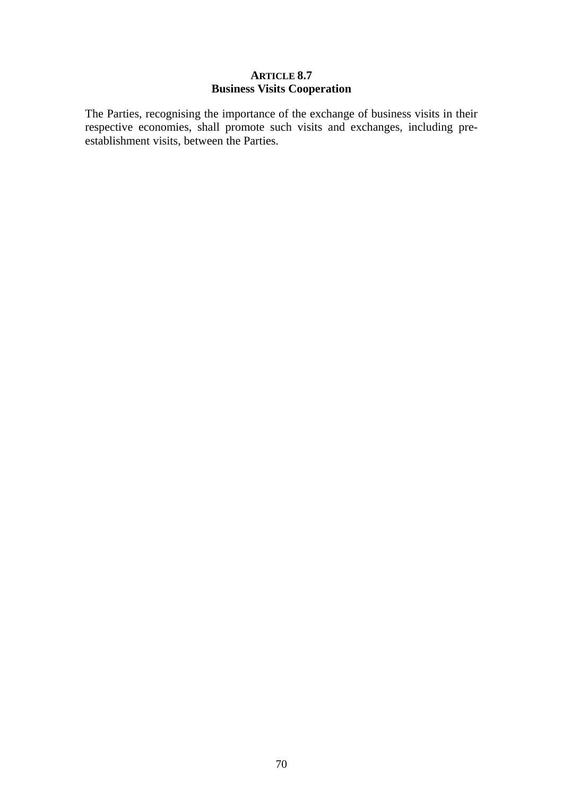## **ARTICLE 8.7 Business Visits Cooperation**

The Parties, recognising the importance of the exchange of business visits in their respective economies, shall promote such visits and exchanges, including preestablishment visits, between the Parties.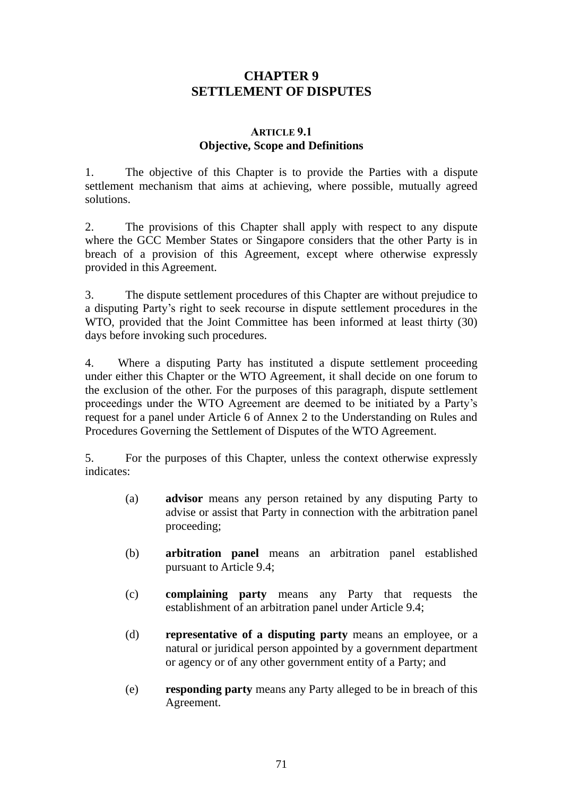# **CHAPTER 9 SETTLEMENT OF DISPUTES**

## **ARTICLE 9.1 Objective, Scope and Definitions**

1. The objective of this Chapter is to provide the Parties with a dispute settlement mechanism that aims at achieving, where possible, mutually agreed solutions.

2. The provisions of this Chapter shall apply with respect to any dispute where the GCC Member States or Singapore considers that the other Party is in breach of a provision of this Agreement, except where otherwise expressly provided in this Agreement.

3. The dispute settlement procedures of this Chapter are without prejudice to a disputing Party's right to seek recourse in dispute settlement procedures in the WTO, provided that the Joint Committee has been informed at least thirty (30) days before invoking such procedures.

4. Where a disputing Party has instituted a dispute settlement proceeding under either this Chapter or the WTO Agreement, it shall decide on one forum to the exclusion of the other. For the purposes of this paragraph, dispute settlement proceedings under the WTO Agreement are deemed to be initiated by a Party's request for a panel under Article 6 of Annex 2 to the Understanding on Rules and Procedures Governing the Settlement of Disputes of the WTO Agreement.

5. For the purposes of this Chapter, unless the context otherwise expressly indicates:

- (a) **advisor** means any person retained by any disputing Party to advise or assist that Party in connection with the arbitration panel proceeding;
- (b) **arbitration panel** means an arbitration panel established pursuant to Article 9.4;
- (c) **complaining party** means any Party that requests the establishment of an arbitration panel under Article 9.4;
- (d) **representative of a disputing party** means an employee, or a natural or juridical person appointed by a government department or agency or of any other government entity of a Party; and
- (e) **responding party** means any Party alleged to be in breach of this Agreement.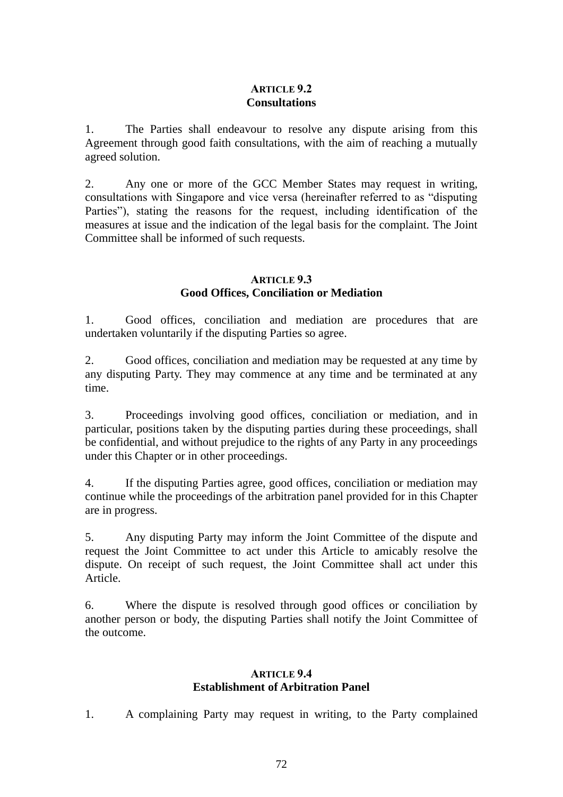## **ARTICLE 9.2 Consultations**

1. The Parties shall endeavour to resolve any dispute arising from this Agreement through good faith consultations, with the aim of reaching a mutually agreed solution.

2. Any one or more of the GCC Member States may request in writing, consultations with Singapore and vice versa (hereinafter referred to as "disputing Parties"), stating the reasons for the request, including identification of the measures at issue and the indication of the legal basis for the complaint. The Joint Committee shall be informed of such requests.

## **ARTICLE 9.3 Good Offices, Conciliation or Mediation**

1. Good offices, conciliation and mediation are procedures that are undertaken voluntarily if the disputing Parties so agree.

2. Good offices, conciliation and mediation may be requested at any time by any disputing Party. They may commence at any time and be terminated at any time.

3. Proceedings involving good offices, conciliation or mediation, and in particular, positions taken by the disputing parties during these proceedings, shall be confidential, and without prejudice to the rights of any Party in any proceedings under this Chapter or in other proceedings.

4. If the disputing Parties agree, good offices, conciliation or mediation may continue while the proceedings of the arbitration panel provided for in this Chapter are in progress.

5. Any disputing Party may inform the Joint Committee of the dispute and request the Joint Committee to act under this Article to amicably resolve the dispute. On receipt of such request, the Joint Committee shall act under this Article.

6. Where the dispute is resolved through good offices or conciliation by another person or body, the disputing Parties shall notify the Joint Committee of the outcome.

## **ARTICLE 9.4 Establishment of Arbitration Panel**

1. A complaining Party may request in writing, to the Party complained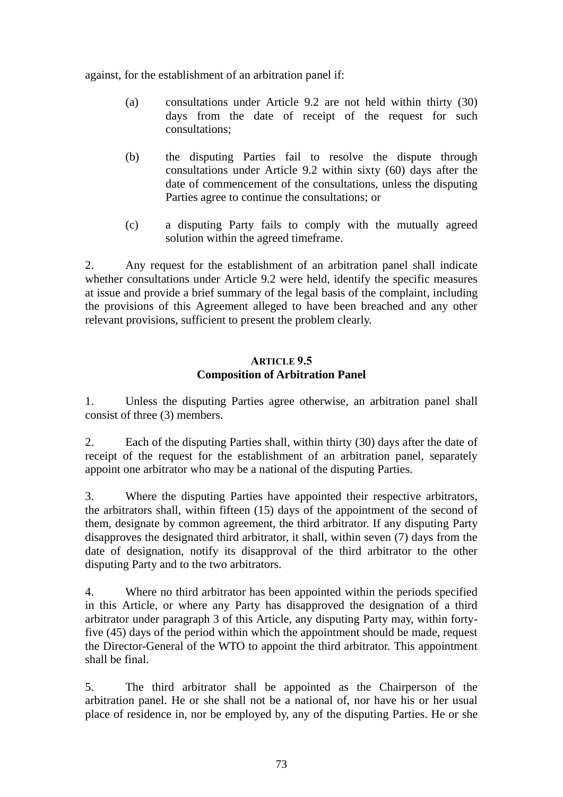against, for the establishment of an arbitration panel if:

- (a) consultations under Article 9.2 are not held within thirty (30) days from the date of receipt of the request for such consultations;
- (b) the disputing Parties fail to resolve the dispute through consultations under Article 9.2 within sixty (60) days after the date of commencement of the consultations, unless the disputing Parties agree to continue the consultations; or
- (c) a disputing Party fails to comply with the mutually agreed solution within the agreed timeframe.

2. Any request for the establishment of an arbitration panel shall indicate whether consultations under Article 9.2 were held, identify the specific measures at issue and provide a brief summary of the legal basis of the complaint, including the provisions of this Agreement alleged to have been breached and any other relevant provisions, sufficient to present the problem clearly.

### **ARTICLE 9.5 Composition of Arbitration Panel**

1. Unless the disputing Parties agree otherwise, an arbitration panel shall consist of three (3) members.

2. Each of the disputing Parties shall, within thirty (30) days after the date of receipt of the request for the establishment of an arbitration panel, separately appoint one arbitrator who may be a national of the disputing Parties.

3. Where the disputing Parties have appointed their respective arbitrators, the arbitrators shall, within fifteen (15) days of the appointment of the second of them, designate by common agreement, the third arbitrator. If any disputing Party disapproves the designated third arbitrator, it shall, within seven (7) days from the date of designation, notify its disapproval of the third arbitrator to the other disputing Party and to the two arbitrators.

4. Where no third arbitrator has been appointed within the periods specified in this Article, or where any Party has disapproved the designation of a third arbitrator under paragraph 3 of this Article, any disputing Party may, within fortyfive (45) days of the period within which the appointment should be made, request the Director-General of the WTO to appoint the third arbitrator. This appointment shall be final.

5. The third arbitrator shall be appointed as the Chairperson of the arbitration panel. He or she shall not be a national of, nor have his or her usual place of residence in, nor be employed by, any of the disputing Parties. He or she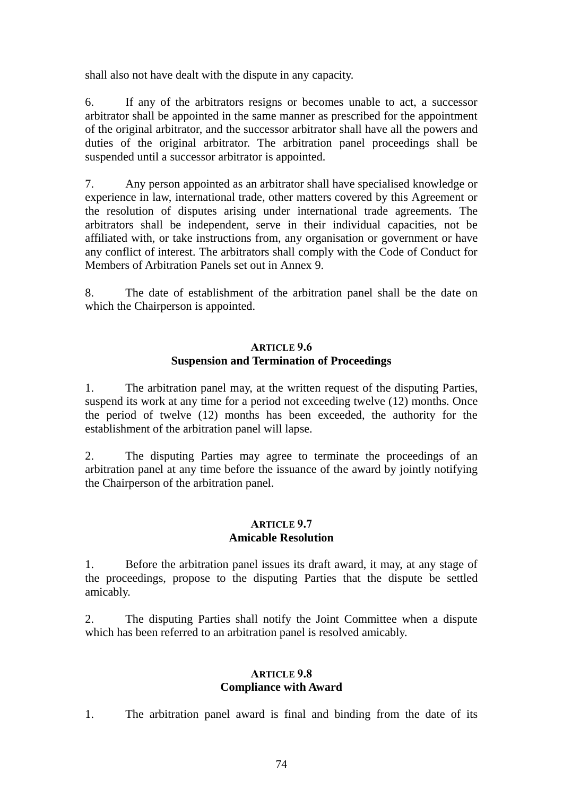shall also not have dealt with the dispute in any capacity.

6. If any of the arbitrators resigns or becomes unable to act, a successor arbitrator shall be appointed in the same manner as prescribed for the appointment of the original arbitrator, and the successor arbitrator shall have all the powers and duties of the original arbitrator. The arbitration panel proceedings shall be suspended until a successor arbitrator is appointed.

7. Any person appointed as an arbitrator shall have specialised knowledge or experience in law, international trade, other matters covered by this Agreement or the resolution of disputes arising under international trade agreements. The arbitrators shall be independent, serve in their individual capacities, not be affiliated with, or take instructions from, any organisation or government or have any conflict of interest. The arbitrators shall comply with the Code of Conduct for Members of Arbitration Panels set out in Annex 9.

8. The date of establishment of the arbitration panel shall be the date on which the Chairperson is appointed.

## **ARTICLE 9.6 Suspension and Termination of Proceedings**

1. The arbitration panel may, at the written request of the disputing Parties, suspend its work at any time for a period not exceeding twelve (12) months. Once the period of twelve (12) months has been exceeded, the authority for the establishment of the arbitration panel will lapse.

2. The disputing Parties may agree to terminate the proceedings of an arbitration panel at any time before the issuance of the award by jointly notifying the Chairperson of the arbitration panel.

### **ARTICLE 9.7 Amicable Resolution**

1. Before the arbitration panel issues its draft award, it may, at any stage of the proceedings, propose to the disputing Parties that the dispute be settled amicably.

2. The disputing Parties shall notify the Joint Committee when a dispute which has been referred to an arbitration panel is resolved amicably.

#### **ARTICLE 9.8 Compliance with Award**

1. The arbitration panel award is final and binding from the date of its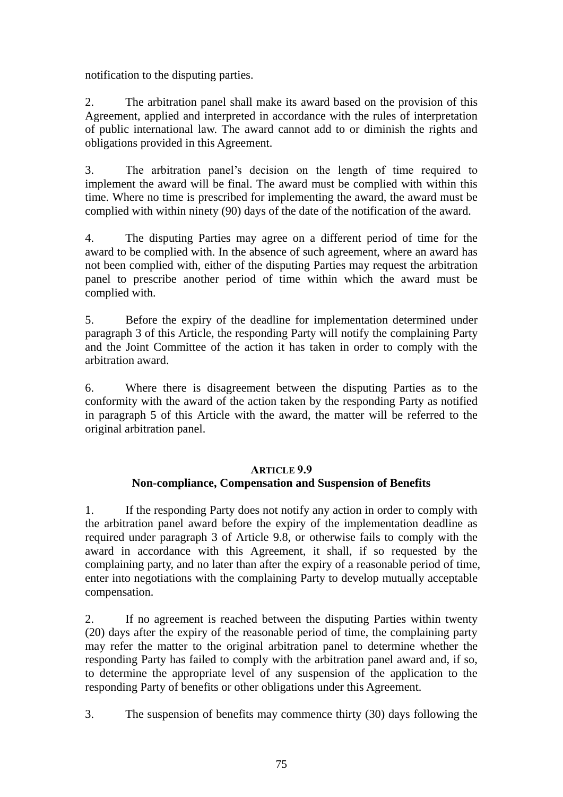notification to the disputing parties.

2. The arbitration panel shall make its award based on the provision of this Agreement, applied and interpreted in accordance with the rules of interpretation of public international law. The award cannot add to or diminish the rights and obligations provided in this Agreement.

3. The arbitration panel's decision on the length of time required to implement the award will be final. The award must be complied with within this time. Where no time is prescribed for implementing the award, the award must be complied with within ninety (90) days of the date of the notification of the award.

4. The disputing Parties may agree on a different period of time for the award to be complied with. In the absence of such agreement, where an award has not been complied with, either of the disputing Parties may request the arbitration panel to prescribe another period of time within which the award must be complied with.

5. Before the expiry of the deadline for implementation determined under paragraph 3 of this Article, the responding Party will notify the complaining Party and the Joint Committee of the action it has taken in order to comply with the arbitration award.

6. Where there is disagreement between the disputing Parties as to the conformity with the award of the action taken by the responding Party as notified in paragraph 5 of this Article with the award, the matter will be referred to the original arbitration panel.

### **ARTICLE 9.9 Non-compliance, Compensation and Suspension of Benefits**

1. If the responding Party does not notify any action in order to comply with the arbitration panel award before the expiry of the implementation deadline as required under paragraph 3 of Article 9.8, or otherwise fails to comply with the award in accordance with this Agreement, it shall, if so requested by the complaining party, and no later than after the expiry of a reasonable period of time, enter into negotiations with the complaining Party to develop mutually acceptable compensation.

2. If no agreement is reached between the disputing Parties within twenty (20) days after the expiry of the reasonable period of time, the complaining party may refer the matter to the original arbitration panel to determine whether the responding Party has failed to comply with the arbitration panel award and, if so, to determine the appropriate level of any suspension of the application to the responding Party of benefits or other obligations under this Agreement.

3. The suspension of benefits may commence thirty (30) days following the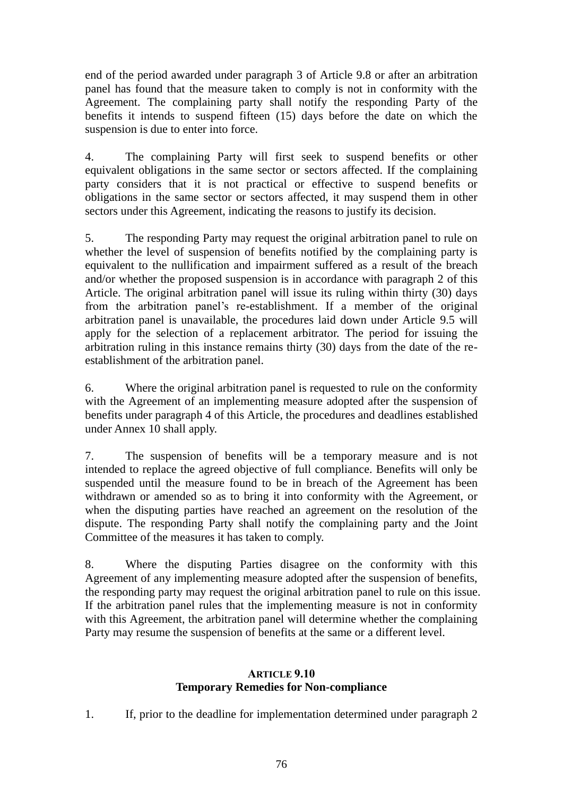end of the period awarded under paragraph 3 of Article 9.8 or after an arbitration panel has found that the measure taken to comply is not in conformity with the Agreement. The complaining party shall notify the responding Party of the benefits it intends to suspend fifteen (15) days before the date on which the suspension is due to enter into force.

4. The complaining Party will first seek to suspend benefits or other equivalent obligations in the same sector or sectors affected. If the complaining party considers that it is not practical or effective to suspend benefits or obligations in the same sector or sectors affected, it may suspend them in other sectors under this Agreement, indicating the reasons to justify its decision.

5. The responding Party may request the original arbitration panel to rule on whether the level of suspension of benefits notified by the complaining party is equivalent to the nullification and impairment suffered as a result of the breach and/or whether the proposed suspension is in accordance with paragraph 2 of this Article. The original arbitration panel will issue its ruling within thirty (30) days from the arbitration panel's re-establishment. If a member of the original arbitration panel is unavailable, the procedures laid down under Article 9.5 will apply for the selection of a replacement arbitrator. The period for issuing the arbitration ruling in this instance remains thirty (30) days from the date of the reestablishment of the arbitration panel.

6. Where the original arbitration panel is requested to rule on the conformity with the Agreement of an implementing measure adopted after the suspension of benefits under paragraph 4 of this Article, the procedures and deadlines established under Annex 10 shall apply.

7. The suspension of benefits will be a temporary measure and is not intended to replace the agreed objective of full compliance. Benefits will only be suspended until the measure found to be in breach of the Agreement has been withdrawn or amended so as to bring it into conformity with the Agreement, or when the disputing parties have reached an agreement on the resolution of the dispute. The responding Party shall notify the complaining party and the Joint Committee of the measures it has taken to comply.

8. Where the disputing Parties disagree on the conformity with this Agreement of any implementing measure adopted after the suspension of benefits, the responding party may request the original arbitration panel to rule on this issue. If the arbitration panel rules that the implementing measure is not in conformity with this Agreement, the arbitration panel will determine whether the complaining Party may resume the suspension of benefits at the same or a different level.

## **ARTICLE 9.10 Temporary Remedies for Non-compliance**

1. If, prior to the deadline for implementation determined under paragraph 2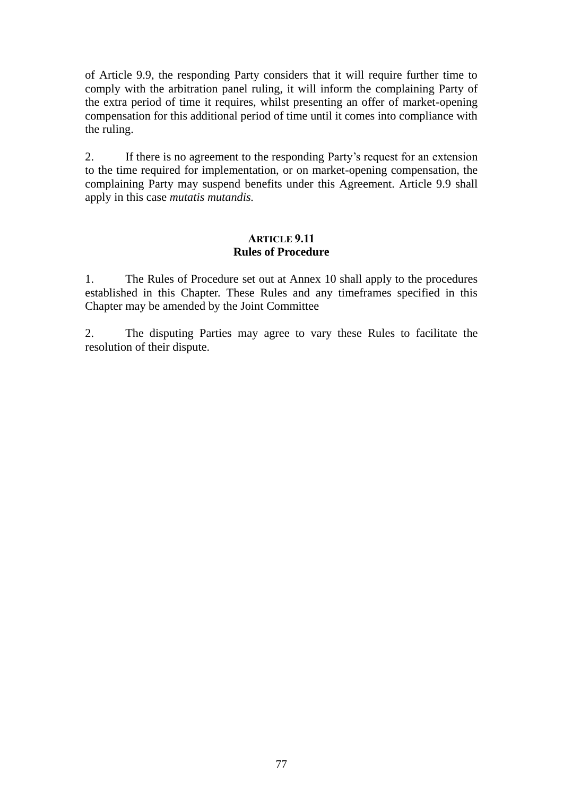of Article 9.9, the responding Party considers that it will require further time to comply with the arbitration panel ruling, it will inform the complaining Party of the extra period of time it requires, whilst presenting an offer of market-opening compensation for this additional period of time until it comes into compliance with the ruling.

2. If there is no agreement to the responding Party's request for an extension to the time required for implementation, or on market-opening compensation, the complaining Party may suspend benefits under this Agreement. Article 9.9 shall apply in this case *mutatis mutandis.*

### **ARTICLE 9.11 Rules of Procedure**

1. The Rules of Procedure set out at Annex 10 shall apply to the procedures established in this Chapter. These Rules and any timeframes specified in this Chapter may be amended by the Joint Committee

2. The disputing Parties may agree to vary these Rules to facilitate the resolution of their dispute.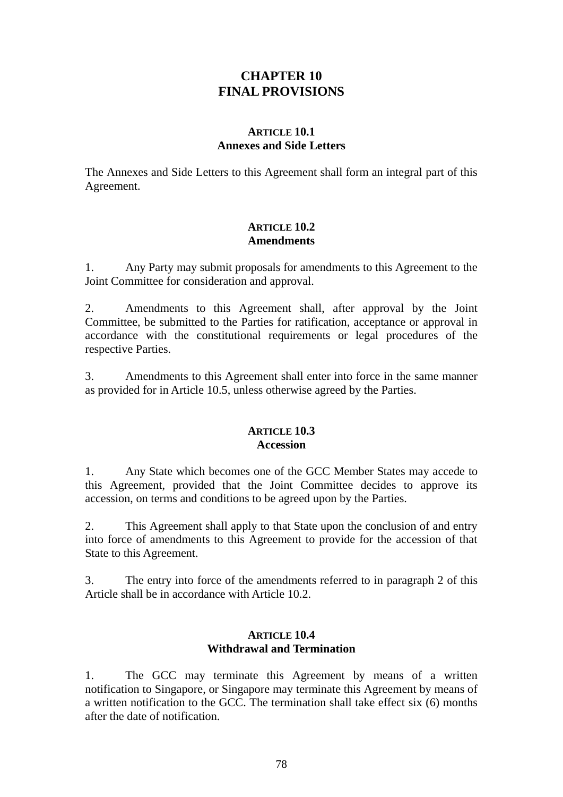# **CHAPTER 10 FINAL PROVISIONS**

### **ARTICLE 10.1 Annexes and Side Letters**

The Annexes and Side Letters to this Agreement shall form an integral part of this Agreement.

## **ARTICLE 10.2 Amendments**

1. Any Party may submit proposals for amendments to this Agreement to the Joint Committee for consideration and approval.

2. Amendments to this Agreement shall, after approval by the Joint Committee, be submitted to the Parties for ratification, acceptance or approval in accordance with the constitutional requirements or legal procedures of the respective Parties.

3. Amendments to this Agreement shall enter into force in the same manner as provided for in Article 10.5, unless otherwise agreed by the Parties.

### **ARTICLE 10.3 Accession**

1. Any State which becomes one of the GCC Member States may accede to this Agreement, provided that the Joint Committee decides to approve its accession, on terms and conditions to be agreed upon by the Parties.

2. This Agreement shall apply to that State upon the conclusion of and entry into force of amendments to this Agreement to provide for the accession of that State to this Agreement.

3. The entry into force of the amendments referred to in paragraph 2 of this Article shall be in accordance with Article 10.2.

## **ARTICLE 10.4 Withdrawal and Termination**

1. The GCC may terminate this Agreement by means of a written notification to Singapore, or Singapore may terminate this Agreement by means of a written notification to the GCC. The termination shall take effect six (6) months after the date of notification.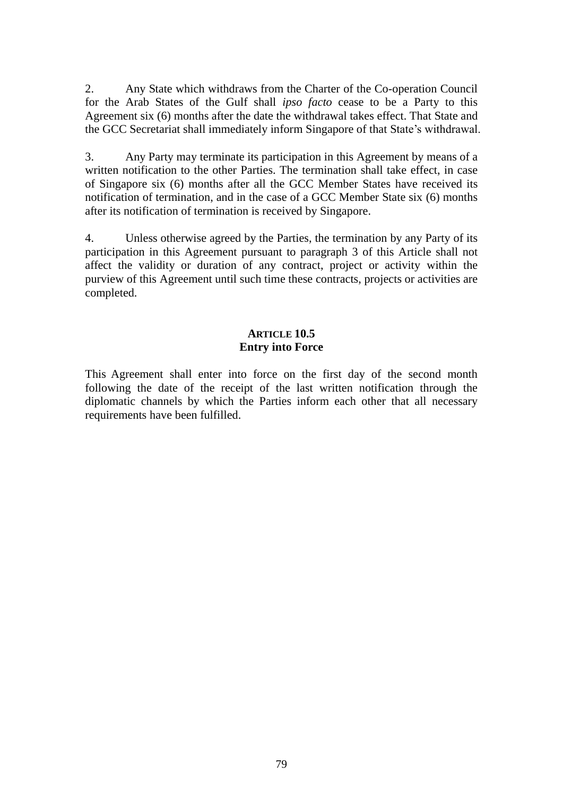2. Any State which withdraws from the Charter of the Co-operation Council for the Arab States of the Gulf shall *ipso facto* cease to be a Party to this Agreement six (6) months after the date the withdrawal takes effect. That State and the GCC Secretariat shall immediately inform Singapore of that State's withdrawal.

3. Any Party may terminate its participation in this Agreement by means of a written notification to the other Parties. The termination shall take effect, in case of Singapore six (6) months after all the GCC Member States have received its notification of termination, and in the case of a GCC Member State six (6) months after its notification of termination is received by Singapore.

4. Unless otherwise agreed by the Parties, the termination by any Party of its participation in this Agreement pursuant to paragraph 3 of this Article shall not affect the validity or duration of any contract, project or activity within the purview of this Agreement until such time these contracts, projects or activities are completed.

# **ARTICLE 10.5 Entry into Force**

This Agreement shall enter into force on the first day of the second month following the date of the receipt of the last written notification through the diplomatic channels by which the Parties inform each other that all necessary requirements have been fulfilled.